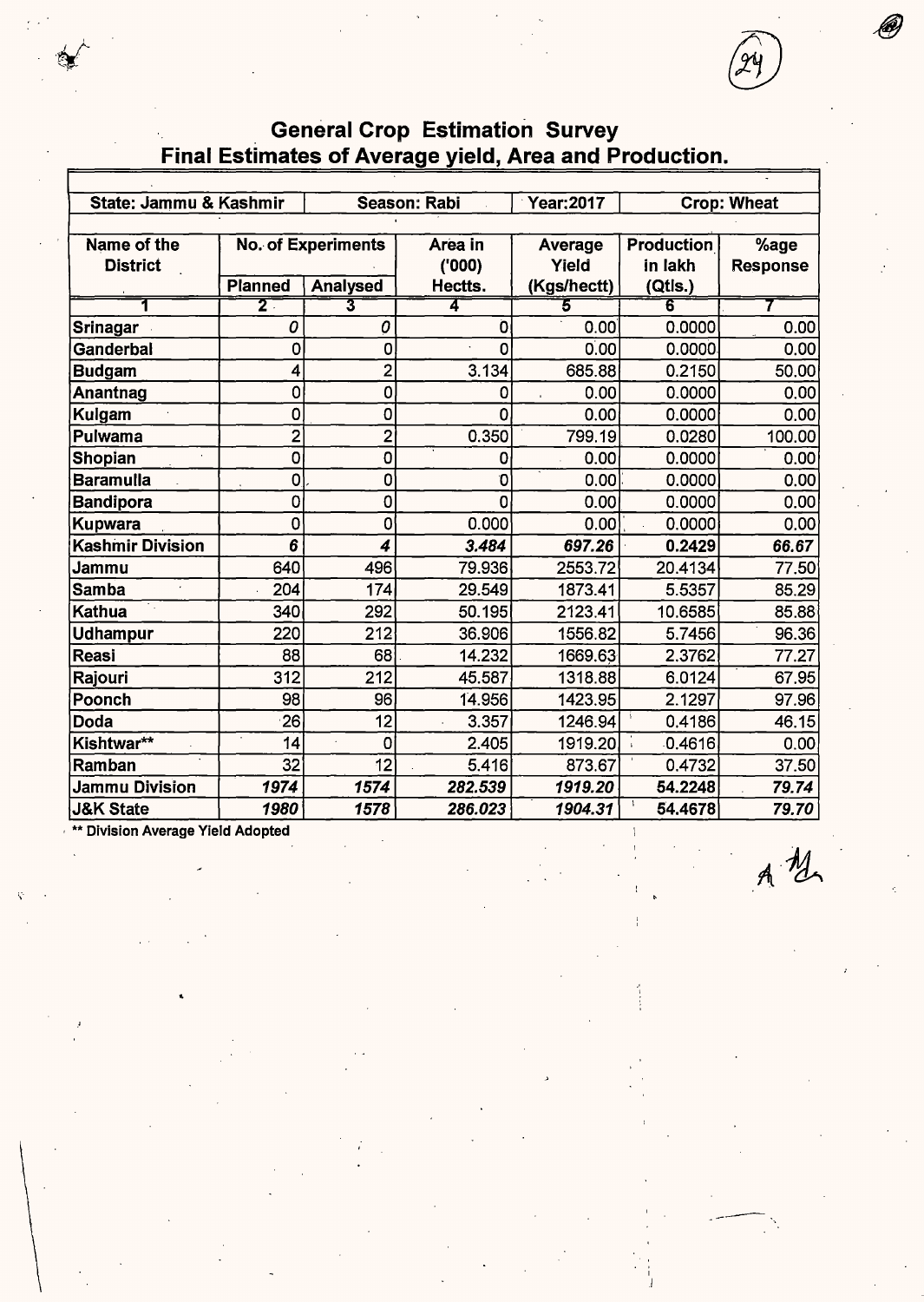. **General Crop Estimation Survey Final Estimates of Average yield, Area and Production.** 

| State: Jammu & Kashmir  |                |                           | Season: Rabi | <b>Year:2017</b> |                   | <b>Crop: Wheat</b> |
|-------------------------|----------------|---------------------------|--------------|------------------|-------------------|--------------------|
|                         |                |                           |              |                  |                   |                    |
| Name of the             |                | <b>No. of Experiments</b> | Area in      | Average          | <b>Production</b> | %age               |
| <b>District</b>         |                |                           | (000)        | Yield            | in lakh           | <b>Response</b>    |
|                         | <b>Planned</b> | <b>Analysed</b>           | Hectts.      | (Kgs/hectt)      | (Qtls.)           |                    |
|                         | $\overline{2}$ |                           | 4            | 5                | 6                 |                    |
| Srinagar                | 0              | 0                         | 0            | 0.00             | 0.0000            | 0.00               |
| Ganderbal               | 0              | 0                         | O            | 0.00             | 0.0000            | 0.00               |
| <b>Budgam</b>           | 4              | $\overline{2}$            | 3.134        | 685.88           | 0.2150            | 50.00              |
| Anantnag                | 0              | 0                         | 0            | 0.00             | 0.0000            | 0.00               |
| Kulgam                  | 0              | 0                         | 0            | 0.00             | 0.0000            | 0.00               |
| Pulwama                 | $\overline{2}$ | $\overline{2}$            | 0.350        | 799.19           | 0.0280            | 100.00             |
| Shopian                 | $\mathbf 0$    | 0                         | 0            | 0.00             | 0.0000            | 0.00               |
| Baramulla               | 0              | 0                         | 0            | 0.00             | 0.0000            | 0.00               |
| <b>Bandipora</b>        | 0              | 0                         | 0            | 0.00             | 0.0000            | 0.00               |
| Kupwara                 | 0              | 0                         | 0.000        | 0.00             | 0.0000            | 0.00               |
| <b>Kashmir Division</b> | 6              | 4                         | 3.484        | 697.26           | 0.2429            | 66.67              |
| Jammu                   | 640            | 496                       | 79.936       | 2553.72          | 20.4134           | 77.50              |
| <b>Samba</b>            | 204            | 174                       | 29.549       | 1873.41          | 5.5357            | 85.29              |
| Kathua                  | 340            | 292                       | 50.195       | 2123.41          | 10.6585           | 85.88              |
| <b>Udhampur</b>         | 220            | 212                       | 36.906       | 1556.82          | 5.7456            | 96.36              |
| <b>Reasi</b>            | 88             | 68                        | 14.232       | 1669.63          | 2.3762            | 77.27              |
| Rajouri                 | 312            | 212                       | 45.587       | 1318.88          | 6.0124            | 67.95              |
| Poonch                  | 98             | 96                        | 14.956       | 1423.95          | 2.1297            | 97.96              |
| Doda                    | 26             | 12                        | 3.357        | 1246.94          | 0.4186            | 46.15              |
| Kishtwar**              | 14             | 0                         | 2.405        | 1919.20          | 0.4616            | 0.00               |
| Ramban                  | 32             | 12                        | 5.416        | 873.67           | 0.4732            | 37.50              |
| <b>Jammu Division</b>   | 1974           | 1574                      | 282.539      | 1919.20          | 54.2248           | 79.74              |
| <b>J&amp;K State</b>    | 1980           | 1578                      | 286.023      | 1904.31          | 54.4678           | 79.70              |

 $A$   $M$ 

, \*\* Division Average Yield Adopted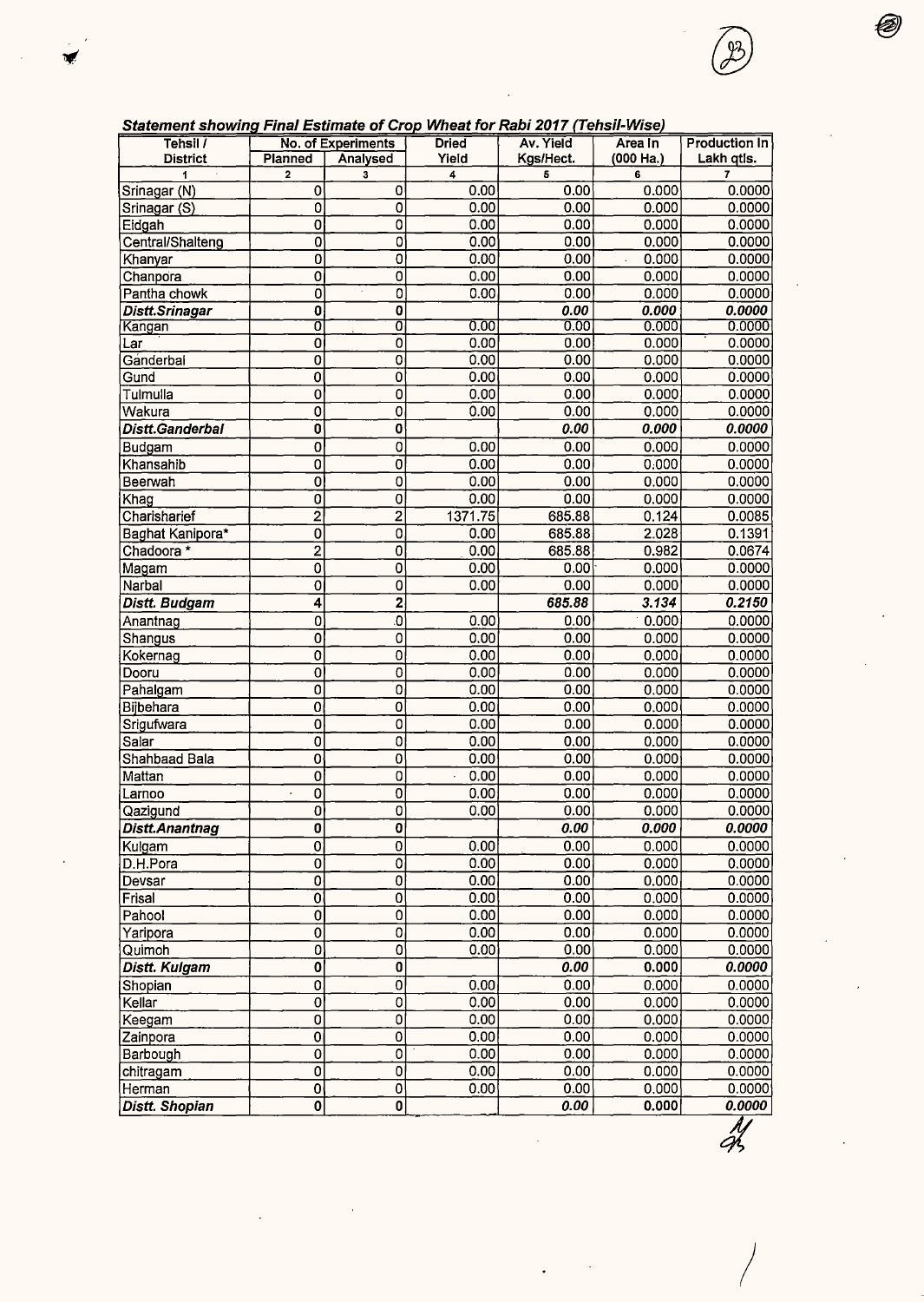| Statement showing Final Estimate of Crop Wheat for Rabi 2017 (Tehsil-Wise) |                         |                           |              |                   |                |                |
|----------------------------------------------------------------------------|-------------------------|---------------------------|--------------|-------------------|----------------|----------------|
| Tehsil /                                                                   |                         | No. of Experiments        | <b>Dried</b> | Av. Yield         | Area In        | Production In  |
| <b>District</b><br>$\bar{z}$                                               | Planned                 | Analysed                  | Yield        | Kgs/Hect.         | (000 Ha.)      | Lakh qtis.     |
| 1                                                                          | $\overline{2}$          | 3                         | 4            | 5                 | 6              | $\overline{7}$ |
| Srinagar (N)                                                               | 0                       | 0                         | 0.00         | 0.00              | 0.000<br>0.000 | 0.0000         |
| Srinagar (S)                                                               | 0                       | 0                         | 0.00         | 0.00              |                | 0.0000         |
| Eidgah                                                                     | 0                       | $\overline{0}$            | 0.00         | 0.00              | 0.000          | 0.0000         |
| Central/Shalteng                                                           | 0                       | $\overline{0}$            | 0.00         | 0.00              | 0.000          | 0.0000         |
| Khanyar                                                                    | 0                       | 0                         | 0.00         | 0.00              | 0.000          | 0.0000         |
| Chanpora                                                                   | 0                       | 0<br>$\ddot{\phantom{a}}$ | 0.00         | 0.00              | 0.000          | 0.0000         |
| Pantha chowk                                                               | 0                       | $\mathbf 0$               | 0.00         | 0.00              | 0.000          | 0.0000         |
| Distt.Srinagar                                                             | 0                       | 0                         |              | 0.00              | 0.000          | 0.0000         |
| Kangan                                                                     | ō                       | $\overline{\mathfrak{o}}$ | 0.00         | 0.00              | 0.000          | 0.0000         |
| Lar                                                                        | $\mathbf 0$             | 0                         | 0.00         | 0.00              | 0.000          | 0.0000         |
| Ganderbal                                                                  | $\overline{0}$          | $\overline{\mathbf{o}}$   | 0.00         | 0.00              | 0.000          | 0.0000         |
| Gund                                                                       | 0                       | $\overline{0}$            | 0.00         | 0.00              | 0.000          | 0.0000         |
| Tulmulla                                                                   | 0                       | 0                         | 0.00         | 0.00              | 0.000          | 0.0000         |
| Wakura                                                                     | 0                       | 0                         | 0.00         | 0.00              | 0.000          | 0.0000         |
| Distt.Ganderbal                                                            | $\overline{\mathbf{0}}$ | $\mathbf 0$               |              | 0.00              | 0.000          | 0.0000         |
| Budgam                                                                     | $\overline{0}$          | $\overline{0}$            | 0.00         | 0.00              | 0.000          | 0.0000         |
| Khansahib                                                                  | 0                       | $\overline{0}$            | 0.00         | 0.00              | 0.000          | 0.0000         |
| Beerwah                                                                    | $\overline{0}$          | $\overline{0}$            | 0.00         | 0.00              | 0.000          | 0.0000         |
| Khag                                                                       | 0                       | $\mathbf 0$               | 0.00         | 0.00              | 0.000          | 0.0000         |
| Charisharief                                                               | $\overline{2}$          | $\overline{2}$            | 1371.75      | 685.88            | 0.124          | 0.0085         |
| Baghat Kanipora*                                                           | $\overline{0}$          | 0                         | 0.00         | 685.88            | 2.028          | 0.1391         |
| Chadoora *                                                                 | $\overline{2}$          | 0                         | 0.00         | 685.88            | 0.982          | 0.0674         |
| Magam                                                                      | 0                       | 0                         | 0.00         | 0.00              | 0.000          | 0.0000         |
| Narbal                                                                     | $\overline{0}$          | 0                         | 0.00         | 0.00              | 0.000          | 0.0000         |
| Distt. Budgam                                                              | 4                       | $\overline{2}$            |              | 685.88            | 3.134          | 0.2150         |
| Anantnag                                                                   | 0                       | o                         | 0.00         | 0.00              | 0.000          | 0.0000         |
| Shangus                                                                    | 0                       | 0                         | 0.00         | 0.00              | 0.000          | 0.0000         |
| Kokernag                                                                   | 0                       | $\bf{0}$                  | 0.00         | 0.00              | 0.000          | 0.0000         |
| Dooru                                                                      | 0                       | $\overline{0}$            | 0.00         | 0.00              | 0.000          | 0.0000         |
| Pahalgam                                                                   | 0                       | 0                         | 0.00         | 0.00              | 0.000          | 0.0000         |
| Bijbehara                                                                  | 0                       | 0                         | 0.00         | 0.00              | 0.000          | 0.0000         |
| Srigufwara                                                                 | $\mathbf 0$             | 0                         | 0.00         | 0.00              | 0.000          | 0.0000         |
| Salar                                                                      | 0                       | $\overline{0}$            | 0.00         | 0.00              | 0.000          | 0.0000         |
| Shahbaad Bala                                                              | $\overline{0}$          | $\overline{0}$            | 0.00         | 0.00              | 0.000          | 0.0000         |
| Mattan                                                                     | $\mathbf 0$             | 0                         | 0.00         | 0.00              | 0.000          | 0.0000         |
| Larnoo                                                                     | $\overline{0}$<br>Ŷ.    | $\overline{0}$            | 0.00         | 0.00              | 0.000          | 0.0000         |
|                                                                            |                         | $\overline{\mathbf{0}}$   | 0.00         | 0.00              | 0.000          | 0.0000         |
| Qazigund<br><b>Distt.Anantnag</b>                                          | 0<br>0                  | $\overline{\mathbf{0}}$   |              | 0.00              | 0.000          | 0.0000         |
|                                                                            |                         |                           |              |                   |                |                |
| Kulgam                                                                     | 0                       | 0                         | 0.00         | 0.00              | 0.000          | 0.0000         |
| D.H.Pora                                                                   | $\overline{\text{o}}$   | $\overline{0}$            | 0.00         | 0.00              | 0.000          | 0.0000         |
| Devsar                                                                     | $\overline{0}$          | $\overline{0}$            | 0.00         | 0.00              | 0.000          | 0.0000         |
| Frisal                                                                     | $\overline{0}$          | $\overline{0}$            | 0.00         | 0.00              | 0.000          | 0.0000         |
| Pahool                                                                     | 0                       | $\overline{0}$            | 0.00         | 0.00              | 0.000          | 0.0000         |
| Yaripora                                                                   | 0                       | 0                         | 0.00         | 0.00              | 0.000          | 0.0000         |
| Quimoh                                                                     | 0                       | $\overline{0}$            | 0.00         | 0.00              | 0.000          | 0.0000         |
| Distt. Kulgam                                                              | $\overline{\mathbf{0}}$ | $\overline{\mathbf{0}}$   |              | 0.00              | 0.000          | 0.0000         |
| Shopian                                                                    | 0                       | $\overline{0}$            | 0.00         | 0.00              | 0.000          | 0.0000         |
| Kellar                                                                     | 0                       | 0                         | 0.00         | 0.00              | 0.000          | 0.0000         |
| Keegam                                                                     | 0                       | 0                         | 0.00         | 0.00              | 0.000          | 0.0000         |
| Zainpora                                                                   | $\overline{0}$          | $\overline{0}$            | 0.00         | 0.00              | 0.000          | 0.0000         |
| Barbough                                                                   | 0                       | 0                         | 0.00         | 0.00.             | 0.000          | 0.0000         |
| chitragam                                                                  | 0                       | 0                         | 0.00         | 0.00              | 0.000          | 0.0000         |
| Herman                                                                     | $\mathbf 0$             | $\overline{0}$            | 0.00         | 0.00              | 0.000          | 0.0000         |
| Distt. Shopian                                                             | $\overline{\mathbf{0}}$ | $\overline{\mathbf{0}}$   |              | 0.00 <sub>1</sub> | 0.000          | 0.0000         |

 $\frac{1}{2}$ 

 $\overline{a}$ 

Ø)

B

 $\Bigg)$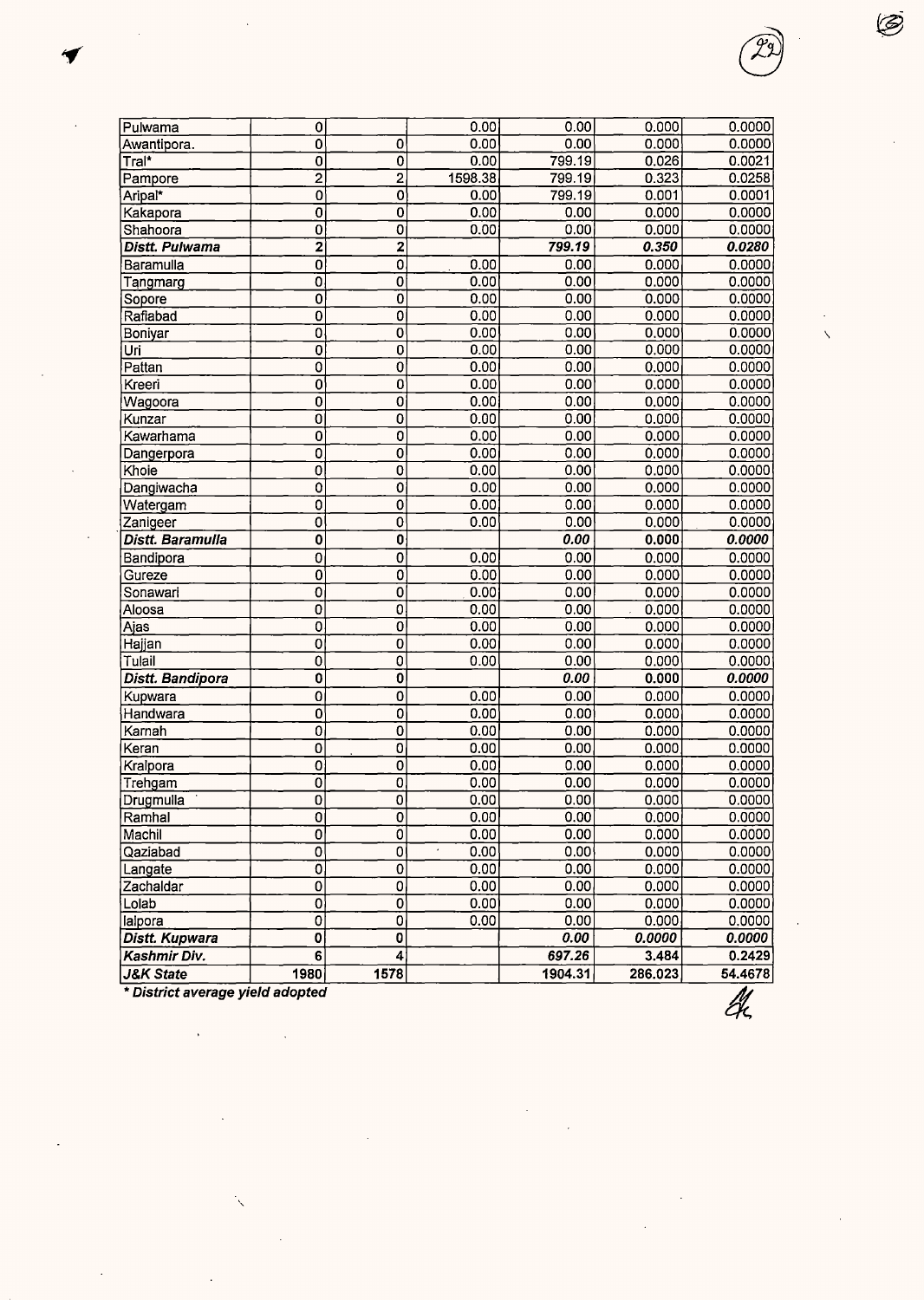| <b>J&amp;K State</b>       | 1980                         | 1578                      |              | 1904.31      | 286.023        | 54.4678          |  |
|----------------------------|------------------------------|---------------------------|--------------|--------------|----------------|------------------|--|
| Kashmir Div.               | 6                            | $\vert 4 \vert$           |              | 697.26       | 3.484          | 0.2429           |  |
| Distt. Kupwara             | 0                            | 0                         |              | 0.00         | 0.0000         | 0.0000           |  |
| lalpora                    | 0                            | 0                         | 0.00         | 0.00         | 0.000          | 0.0000           |  |
| Lolab                      | 0                            | $\overline{\mathfrak{o}}$ | 0.00         | 0.00         | 0.000          | 0.0000           |  |
| Zachaldar                  | 0                            | 0                         | 0.00         | 0.00         | 0.000          | 0.0000           |  |
| Langate                    | $\overline{\mathfrak{o}}$    | 0                         | 0.00         | 0.00         | 0.000          | 0.0000           |  |
| Qaziabad                   | 0                            | $\mathbf 0$               | 0.00         | 0.00         | 0.000          | 0.0000           |  |
| Machil                     | $\overline{0}$               | $\overline{0}$            | 0.00         | 0.00         | 0.000          | 0.0000           |  |
| Ramhal                     | 0                            | $\mathbf{0}$              | 0.00         | 0.00         | 0.000          | 0.0000           |  |
| Drugmulla                  | 0                            | 0                         | 0.00         | 0.00         | 0.000          | 0.0000           |  |
| Trehgam                    | 0                            | 0                         | 0.00         | 0.00         | 0.000          | 0.0000           |  |
| Kralpora                   | 0                            | 0                         | 0.00         | 0.00         | 0.000          | 0.0000           |  |
| Keran                      | $\overline{\mathbf{0}}$      | $\overline{0}$            | 0.00         | 0.00         | 0.000          | 0.0000           |  |
| Karnah                     | 0                            | 0                         | 0.00         | 0.00         | 0.000          | 0.0000           |  |
| Handwara                   | 0                            | 0                         | 0.00         | 0.00         | 0.000          | 0.0000           |  |
| Kupwara                    | 0                            | 0                         | 0.00         | 0.00         | 0.000          | 0.0000           |  |
| Distt. Bandipora           | 0                            | 0                         |              | 0.00         | 0.000          | 0.0000           |  |
| Tulail                     | 0                            | 0                         | 0.00         | 0.00         | 0.000          | 0.0000           |  |
| Hajjan                     | 0                            | 0                         | 0.00         | 0.00         | 0.000          | 0.0000           |  |
| Ajas                       | 0                            | 0                         | 0.00         | 0.00         | 0.000          | 0.0000           |  |
| Aloosa                     | $\overline{0}$               | 0                         | 0.00         | 0.00         | 0.000          | 0.0000           |  |
| Sonawari                   | $\overline{0}$               | ō                         | 0.00         | 0.00         | 0.000          | 0.0000           |  |
| Gureze                     | 0                            | 0                         | 0.00         | 0.00         | 0.000          | 0.0000           |  |
| Bandipora                  | 0                            | 0                         | 0.00         | 0.00         | 0.000          | 0.0000           |  |
| Distt. Baramulla           | 0                            | 0                         |              | 0.00         | 0.000          | 0.0000           |  |
| Zanigeer                   | 0                            | $\overline{0}$            | 0.00         | 0.00         | 0.000          | 0.0000           |  |
| Watergam                   | $\overline{0}$               | 0                         | 0.00         | 0.00         | 0.000          | 0.0000           |  |
| Dangiwacha                 | 0                            | 0                         | 0.00         | 0.00         | 0.000          | 0.0000           |  |
| Khoie                      | $\overline{\mathfrak{o}}$    | 0                         | 0.00         | 0.00         | 0.000          | 0.0000           |  |
| Dangerpora                 | 0                            | 0                         | 0.00         | 0.00         | 0.000          | 0.0000           |  |
| Kawarhama                  | 0                            | 0                         | 0.00         | 0.00         | 0.000          | 0.0000           |  |
| Kunzar                     | 0                            | 0                         | 0.00         | 0.00         | 0.000          | 0.0000           |  |
| Wagoora                    | 0                            | 0                         | 0.00         | 0.00         | 0.000          | 0.0000           |  |
| Kreeri                     | 0                            | 0                         | 0.00         | 0.00         | 0.000          | 0.0000           |  |
| Pattan                     | 0                            | Ò                         | 0.00         | 0.00         | 0.000          | 0.0000           |  |
| Boniyar<br>Uri             | 0                            | 0                         | 0.00         | 0.00         | 0.000          | 0.0000           |  |
| Rafiabad                   | $\overline{0}$               | 0                         | 0.00         | 0.00         | 0.000          | 0.0000           |  |
|                            | 0                            | 0                         | 0.00         | 0.00         | 0.000          | 0.0000           |  |
| Tangmarg<br>Sopore         | 0<br>0                       | 0<br>0                    | 0.00         | 0.00         | 0.000          | 0.0000           |  |
| Baramulla                  | 0                            |                           | 0.00         | 0.00         | 0.000          | 0.0000           |  |
|                            |                              | 0                         | 0.00         | 0.00         | 0.000          | 0.0000           |  |
| Shahoora<br>Distt. Pulwama | 0<br>$\overline{\mathbf{2}}$ | $\overline{\mathbf{c}}$   |              | 799.19       | 0.350          | 0.0000<br>0.0280 |  |
| Kakapora                   | 0                            | 0<br>$\overline{0}$       | 0.00<br>0.00 | 0.00<br>0.00 | 0.000<br>0.000 | 0.0000           |  |
| Aripal*                    | $\overline{\mathfrak{o}}$    | 0                         | 0.00         | 799.19       | 0.001          | 0.0001           |  |
| Pampore                    | $\overline{2}$               | 2                         | 1598.38      | 799.19       | 0.323          | 0.0258           |  |
| Tral*                      | 0                            | 0                         | 0.00         | 799.19       | 0.026          | 0.0021           |  |
| Awantipora.                | 0                            | 0                         | 0.00         | 0.00         | 0.000          | 0.0000           |  |
| Pulwama                    | 0                            |                           | 0.00         | 0.00         | 0.000          | 0.0000           |  |

\* **District average yield adopted** 

 $\ddot{\phantom{1}}$ 

 $\ddot{\phantom{1}}$ 

 $\overline{\mathscr{A}}$ 

Ð,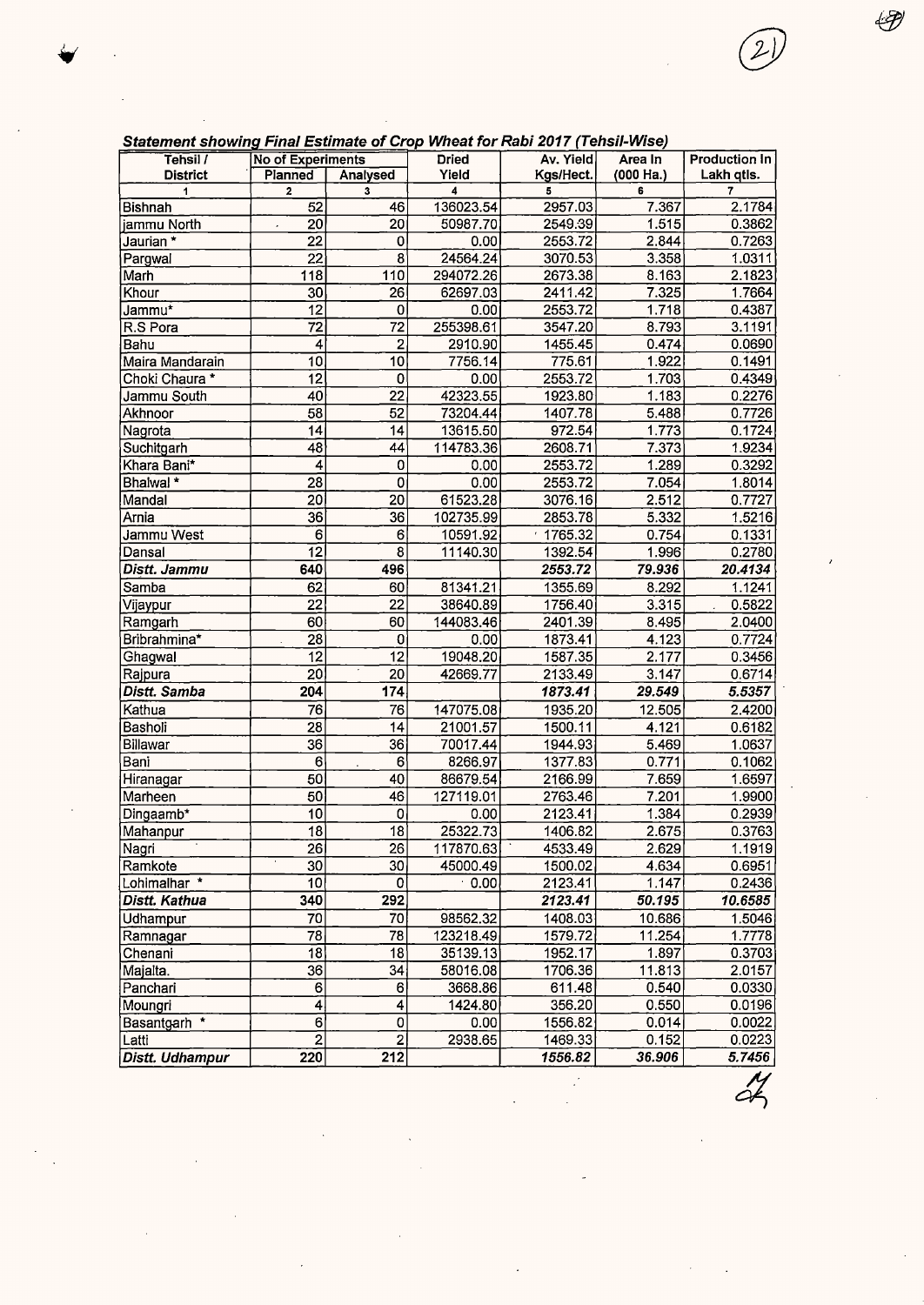| <u>uatement showing r mar Ladinate or Orop Whoat for Rabi Lorr (Ponsi-Wiso)</u><br>Tehsil / | <b>No of Experiments</b> |                  | <b>Dried</b> | Av. Yield | Area In        | <b>Production In</b> |
|---------------------------------------------------------------------------------------------|--------------------------|------------------|--------------|-----------|----------------|----------------------|
| <b>District</b>                                                                             | Planned                  | Analysed         | Yield        | Kgs/Hect. | (000 Ha.)      | Lakh qtls.           |
| 1                                                                                           | $\overline{2}$           | 3                | 4            | 5         | 6              | 7                    |
| Bishnah                                                                                     | 52                       | 46               | 136023.54    | 2957.03   | 7.367          | 2.1784               |
| jammu North                                                                                 | $\overline{20}$          | 20               | 50987.70     | 2549.39   | 1.515          | 0.3862               |
| Jaurian *                                                                                   | $\overline{22}$          | $\mathbf 0$      | 0.00         | 2553.72   | 2.844          | 0.7263               |
| Pargwal                                                                                     | 22                       | 8                | 24564.24     | 3070.53   | 3.358          | 1.0311               |
| Marh                                                                                        | 118                      | 110              | 294072.26    | 2673.38   | 8.163          | 2.1823               |
| Khour                                                                                       | 30                       | $\overline{26}$  | 62697.03     | 2411.42   | 7.325          | 1.7664               |
|                                                                                             | $\overline{12}$          | 0                | 0.00         | 2553.72   |                |                      |
| Jammu <sup>*</sup>                                                                          | $\overline{72}$          | 72               | 255398.61    | 3547.20   | 1.718<br>8.793 | 0.4387<br>3.1191     |
| R.S Pora                                                                                    |                          |                  |              | 1455.45   |                |                      |
| Bahu                                                                                        | 4                        | $\overline{2}$   | 2910.90      |           | 0.474          | 0.0690               |
| Maira Mandarain                                                                             | 10                       | 10               | 7756.14      | 775.61    | 1.922          | 0.1491               |
| Choki Chaura *                                                                              | 12                       | 0                | 0.00         | 2553.72   | 1.703          | 0.4349               |
| Jammu South                                                                                 | 40                       | 22               | 42323.55     | 1923.80   | 1.183          | 0.2276               |
| Akhnoor                                                                                     | $\overline{58}$          | $\overline{52}$  | 73204.44     | 1407.78   | 5.488          | 0.7726               |
| Nagrota                                                                                     | 14                       | $\overline{14}$  | 13615.50     | 972.54    | 1.773          | 0.1724               |
| Suchitgarh                                                                                  | $\overline{48}$          | 44               | 114783.36    | 2608.71   | 7.373          | 1.9234               |
| Khara Bani*                                                                                 | $\overline{4}$           | $\circ$          | 0.00         | 2553.72   | 1.289          | 0.3292               |
| Bhalwal *                                                                                   | 28                       | $\overline{0}$   | 0.00         | 2553.72   | 7.054          | 1.8014               |
| Mandal                                                                                      | 20                       | 20               | 61523.28     | 3076.16   | 2.512          | 0.7727               |
| Arnia                                                                                       | 36                       | 36               | 102735.99    | 2853.78   | 5.332          | 1.5216               |
| Jammu West                                                                                  | 6                        | 6                | 10591.92     | 1765.32   | 0.754          | 0.1331               |
| Dansal                                                                                      | $\overline{12}$          | $\overline{8}$   | 11140.30     | 1392.54   | 1.996          | 0.2780               |
| Distt. Jammu                                                                                | 640                      | 496              |              | 2553.72   | 79.936         | 20.4134              |
| Samba                                                                                       | 62                       | 60               | 81341.21     | 1355.69   | 8.292          | 1.1241               |
| Vijaypur                                                                                    | $\overline{2}2$          | 22               | 38640.89     | 1756.40   | 3.315          | 0.5822               |
| Ramgarh                                                                                     | 60                       | 60               | 144083.46    | 2401.39   | 8.495          | 2.0400               |
| Bribrahmina*                                                                                | 28                       | 0                | 0.00         | 1873.41   | 4.123          | 0.7724               |
| Ghagwal                                                                                     | 12                       | 12               | 19048.20     | 1587.35   | 2.177          | 0.3456               |
| Rajpura                                                                                     | 20                       | 20               | 42669.77     | 2133.49   | 3.147          | 0.6714               |
| Distt. Samba                                                                                | 204                      | 174              |              | 1873.41   | 29.549         | 5.5357               |
| Kathua                                                                                      | $\overline{76}$          | 76               | 147075.08    | 1935.20   | 12.505         | 2.4200               |
| Basholi                                                                                     | $\overline{28}$          | 14               | 21001.57     | 1500.11   | 4.121          | 0.6182               |
| Billawar                                                                                    | 36                       | 36               | 70017.44     | 1944.93   | 5.469          | 1.0637               |
| Bani                                                                                        | $\mathbf 6$              | $6\phantom{a}$   | 8266.97      | 1377.83   | 0.771          | 0.1062               |
|                                                                                             | 50                       | 40               | 86679.54     | 2166.99   | 7.659          | 1.6597               |
| Hiranagar<br>Marheen                                                                        | 50                       | 46               | 127119.01    | 2763.46   | 7.201          | 1.9900               |
|                                                                                             |                          |                  |              |           |                |                      |
| Dingaamb*                                                                                   | 10                       | 0                | 0.00         | 2123.41   | 1.384          | 0.2939               |
| Mahanpur                                                                                    | $\overline{18}$          | 18               | 25322.73     | 1406.82   | 2.675          | 0.3763               |
| Nagri                                                                                       | 26                       | 26               | 117870.63    | 4533.49   | 2.629          | 1.1919               |
| Ramkote                                                                                     | 30                       | 30               | 45000.49     | 1500.02   | 4.634          | 0.6951               |
| Lohimalhar *                                                                                | 10                       | 0                | 0.00         | 2123.41   | 1.147          | 0.2436               |
| Distt. Kathua                                                                               | 340                      | 292              |              | 2123.41   | 50.195         | 10.6585              |
| Udhampur                                                                                    | 70                       | 70               | 98562.32     | 1408.03   | 10.686         | 1.5046               |
| Ramnagar                                                                                    | 78                       | 78               | 123218.49    | 1579.72   | 11.254         | 1.7778               |
| Chenani                                                                                     | 18                       | 18               | 35139.13     | 1952.17   | 1.897          | 0.3703               |
| Majalta.                                                                                    | 36                       | 34               | 58016.08     | 1706.36   | 11.813         | 2.0157               |
| Panchari                                                                                    | 6                        | 6                | 3668.86      | 611.48    | 0.540          | 0.0330               |
| Moungri                                                                                     | $\overline{\mathbf{4}}$  | 4                | 1424.80      | 356.20    | 0.550          | 0.0196               |
| Basantgarh *                                                                                | 6                        | 0                | 0.00         | 1556.82   | 0.014          | 0.0022               |
| Latti                                                                                       | $\overline{2}$           | $\overline{2}$   | 2938.65      | 1469.33   | 0.152          | 0.0223               |
| Distt. Udhampur                                                                             | 220                      | $\overline{212}$ |              | 1556.82   | 36.906         | 5.7456               |

 $\ddot{\phantom{a}}$ 

l,

óŁ

#### Statement showing Final Estimate of Crop Wheat for Rabi 2017 (Tehsil-Wise)

€Ð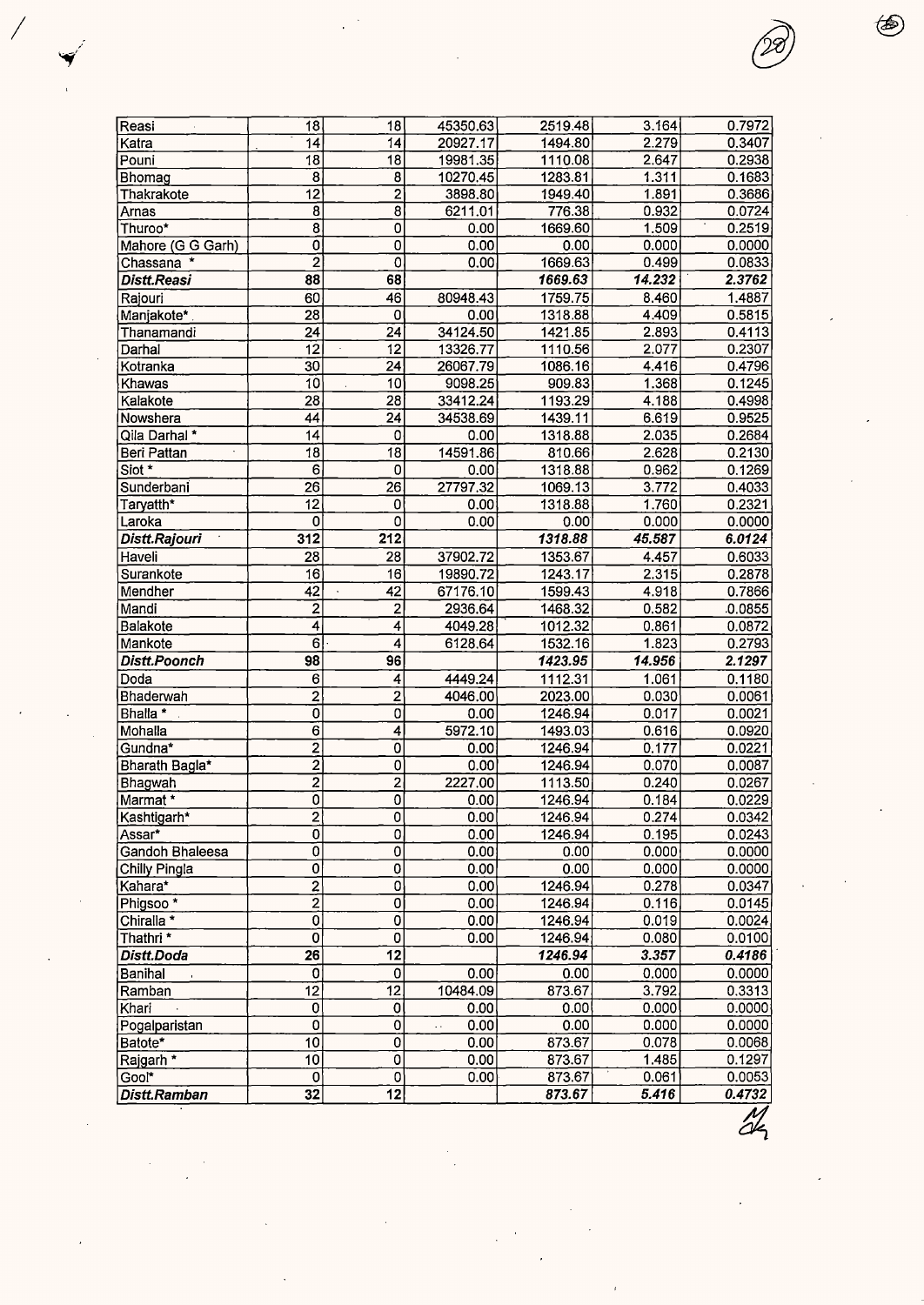| Reasi                 | 18                        | 18                        | 45350.63 | 2519.48 | 3.164  | 0.7972  |
|-----------------------|---------------------------|---------------------------|----------|---------|--------|---------|
| Katra                 | 14                        | 14                        | 20927.17 | 1494.80 | 2.279  | 0.3407  |
| Pouni                 | 18                        | $\overline{18}$           | 19981.35 | 1110.08 | 2.647  | 0.2938  |
| Bhomag                | 8                         | 8                         | 10270.45 | 1283.81 | 1.311  | 0.1683  |
| Thakrakote            | $\overline{12}$           | $\overline{2}$            | 3898.80  | 1949.40 | 1.891  | 0.3686  |
| Arnas                 | 8                         | 8                         | 6211.01  | 776.38  | 0.932  | 0.0724  |
| Thuroo*               | $\overline{\mathbf{8}}$   | $\pmb{0}$                 | 0.00     | 1669.60 | 1.509  | 0.2519  |
| Mahore (G G Garh)     | $\overline{\mathfrak{o}}$ | $\overline{0}$            | 0.00     | 0.00    | 0.000  | 0.0000  |
| Chassana <sup>*</sup> | 2                         | $\overline{0}$            | 0.00     | 1669.63 | 0.499  | 0.0833  |
| Distt.Reasi           | 88                        | 68                        |          | 1669.63 | 14.232 | 2.3762  |
| Rajouri               | 60                        | 46                        | 80948.43 | 1759.75 | 8.460  | 1.4887  |
| Manjakote*            | 28                        | 0                         | 0.00     | 1318.88 | 4.409  | 0.5815  |
| Thanamandi            | 24                        | $\overline{24}$           | 34124.50 | 1421.85 | 2.893  | 0.4113  |
| Darhai                | $\overline{12}$           | 12                        | 13326.77 | 1110.56 | 2.077  | 0.2307  |
| Kotranka              | 30                        | $\overline{24}$           | 26067.79 | 1086.16 | 4.416  | 0.4796  |
| Khawas                | $\overline{10}$           | 10 <sup>1</sup>           | 9098.25  | 909.83  | 1.368  | 0.1245  |
| Kalakote              | $\overline{28}$           | $\overline{28}$           | 33412.24 | 1193.29 | 4.188  | 0.4998  |
| Nowshera              | 44                        | 24                        | 34538.69 | 1439.11 | 6.619  | 0.9525  |
| Qila Darhal*          | 14                        | 0                         | 0.00     | 1318.88 | 2.035  | 0.2684  |
| Beri Pattan           | 18                        | $\overline{18}$           | 14591.86 | 810.66  | 2.628  | 0.2130  |
| Siot *                | 6                         | 0                         | 0.00     | 1318.88 | 0.962  | 0.1269  |
| Sunderbani            | 26                        | 26                        | 27797.32 | 1069.13 | 3.772  | 0.4033  |
| Taryatth*             | $\overline{12}$           | 0                         | 0.00     | 1318.88 | 1.760  | 0.2321  |
| Laroka                | 0                         | $\overline{0}$            | 0.00     | 0.00    | 0.000  | 0.0000  |
| Distt.Rajouri         | 312                       | 212                       |          | 1318.88 | 45.587 | 6.0124  |
| Haveli                | 28                        | 28                        | 37902.72 | 1353.67 | 4.457  | 0.6033  |
| Surankote             | 16                        | 16                        | 19890.72 | 1243.17 | 2.315  | 0.2878  |
| Mendher               | 42                        | 42                        | 67176.10 | 1599.43 | 4.918  | 0.7866  |
| Mandi                 | $\overline{\mathbf{c}}$   | $\overline{\mathbf{c}}$   | 2936.64  | 1468.32 | 0.582  | .0.0855 |
| Balakote              | 4                         | 4                         | 4049.28  | 1012.32 | 0.861  | 0.0872  |
| Mankote               | $\overline{6}$            | 4                         | 6128.64  | 1532.16 | 1.823  | 0.2793  |
| Distt.Poonch          | 98                        | 96                        |          | 1423.95 | 14.956 | 2.1297  |
| Doda                  | 6                         | 4                         | 4449.24  | 1112.31 | 1.061  | 0.1180  |
| Bhaderwah             | $\overline{2}$            | $\overline{2}$            | 4046.00  | 2023.00 | 0.030  | 0.0061  |
| Bhalla *              | $\overline{\mathfrak{o}}$ | $\overline{0}$            | 0.00     | 1246.94 | 0.017  | 0.0021  |
| Mohalla               | $\overline{6}$            | $\overline{\mathbf{A}}$   | 5972.10  | 1493.03 | 0.616  | 0.0920  |
| Gundna*               | $\overline{2}$            | $\overline{0}$            | 0.00     | 1246.94 | 0.177  | 0.0221  |
| Bharath Bagla*        | $\overline{2}$            | $\pmb{0}$                 | 0.00     | 1246.94 | 0.070  | 0.0087  |
| Bhagwah               | $\overline{2}$            | $\overline{2}$            | 2227.00  | 1113.50 | 0.240  | 0.0267  |
| Marmat *              | ō                         | $\overline{\mathfrak{o}}$ | 0.00     | 1246.94 | 0.184  | 0.0229  |
| Kashtigarh*           | $\overline{2}$            | 0                         | 0.00     | 1246.94 | 0.274  | 0.0342  |
| Assar*                | ō                         | $\overline{0}$            | 0.00     | 1246.94 | 0.195  | 0.0243  |
| Gandoh Bhaleesa       | ō                         | $\overline{0}$            | 0.00     | 0.00    | 0.000  | 0.0000  |
| Chilly Pingla         | $\overline{0}$            | $\overline{\mathbf{0}}$   | 0.00     | 0.00    | 0.000  | 0.0000  |
| Kahara*               | $\overline{2}$            | $\overline{0}$            | 0.00     | 1246.94 | 0.278  | 0.0347  |
| Phigsoo <sup>*</sup>  | $\overline{2}$            | 0                         | 0.00     | 1246.94 | 0.116  | 0.0145  |
| Chiralla *            | ō                         | 0                         | 0.00     | 1246.94 | 0.019  | 0.0024  |
| Thathri *             | $\overline{\mathfrak{o}}$ | $\overline{0}$            | 0.00     | 1246.94 | 0.080  | 0.0100  |
| Distt.Doda            | $\overline{26}$           | $\overline{12}$           |          | 1246.94 | 3.357  | 0.4186  |
| Banihal               | 0                         | 0                         | 0.00     | 0.00    | 0.000  | 0.0000  |
| Ramban                | 12                        | 12                        | 10484.09 | 873.67  | 3.792  | 0.3313  |
| Khari                 | 0                         | $\overline{0}$            | 0.00     | 0.00    | 0.000  | 0.0000  |
| Pogalparistan         | $\overline{\mathbf{0}}$   | $\mathbf{0}$              | 0.00     | 0.00    | 0.000  | 0.0000  |
| Batote*               | 10                        | 0                         | 0.00     | 873.67  | 0.078  | 0.0068  |
| Rajgarh *             | 10                        | 0                         | 0.00     | 873.67  | 1.485  | 0.1297  |
| Gool*                 | 0                         | $\overline{0}$            | 0.00     | 873.67  | 0.061  | 0.0053  |
| Distt.Ramban          | 32                        | 12                        |          | 873.67  | 5.416  | 0.4732  |
|                       |                           |                           |          |         |        |         |

❀

*I*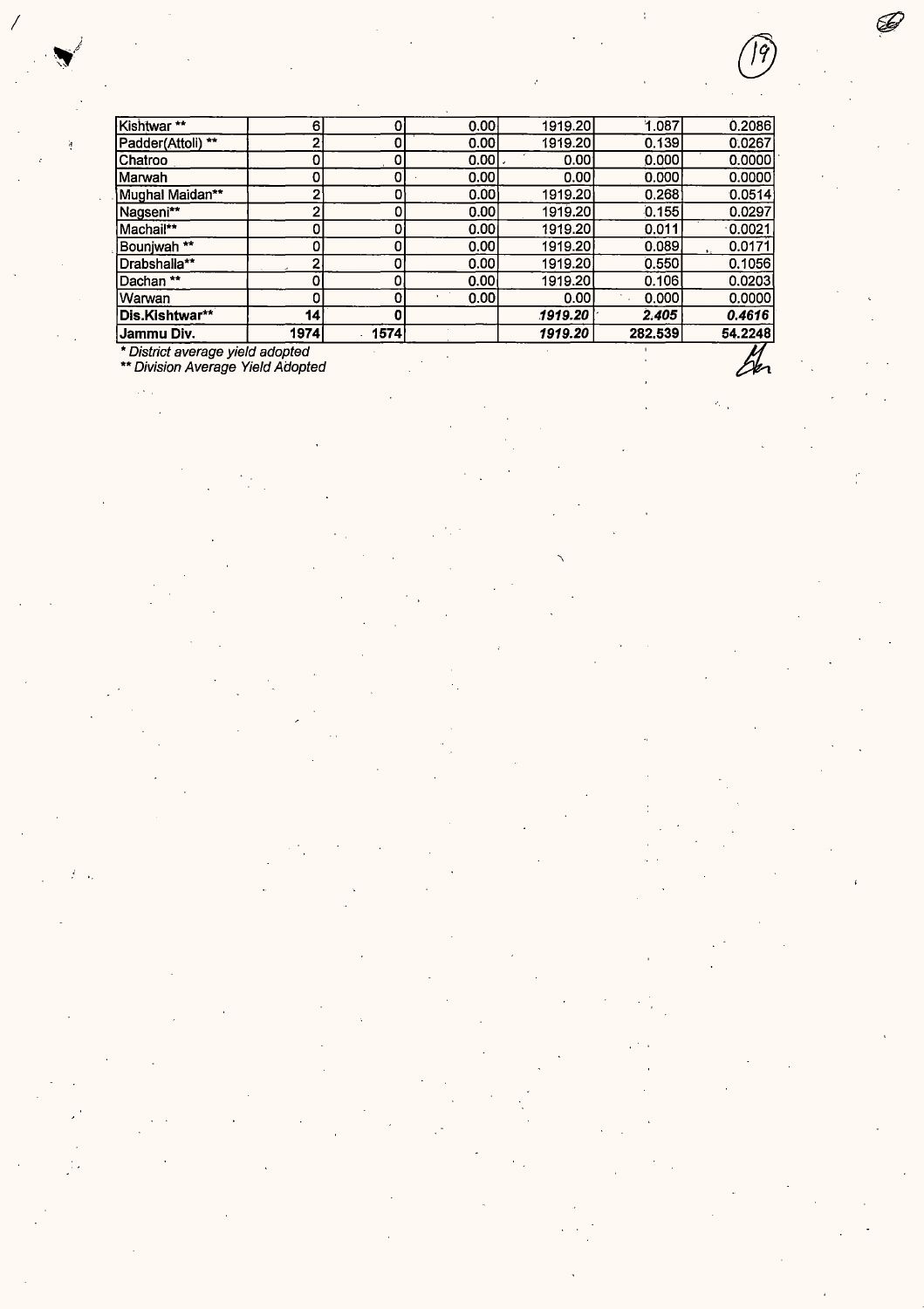| Jammu Div.<br>* District average yield adopted | 1974 | 1574 |        | 1919.20 | 282.539 | 54.2248   |
|------------------------------------------------|------|------|--------|---------|---------|-----------|
| Dis.Kishtwar**                                 | 14   | 0    |        | 1919.20 | 2.405   | 0.4616    |
| Warwan                                         | 0    | 0    | 0.00   | 0.00    | 0.000   | 0.0000    |
| Dachan**                                       |      | 0    | 0.00   | 1919.20 | 0.106   | 0.0203    |
| Drabshalla**                                   | 2    | 0    | 0.00   | 1919.20 | 0.550   | 0.1056    |
| Bounjwah <sup>**</sup>                         | ٥    | 0    | 0.00   | 1919.20 | 0.089   | 0.0171    |
| Machail**                                      | 0    |      | 0.00   | 1919.20 | 0.011   | $-0.0021$ |
| Nagseni**                                      | 2    | Ω    | 0.00   | 1919.20 | 0.155   | 0.0297    |
| Mughal Maidan**                                | 2    | 0    | 0.001  | 1919.20 | 0.268   | 0.0514    |
| Marwah                                         | 0    | 0    | 0.00   | 0.00    | 0.000   | 0.0000    |
| Chatroo                                        | 0    | 0    | 0.001. | 0.001   | 0.000   | 0.0000    |
| Padder(Attoli) **                              | 2    | 0    | 0.00   | 1919.20 | 0.139   | 0.0267    |
| Kishtwar**                                     | 61   | 0    | 0.00   | 1919.20 | 1.087   | 0.2086    |

*I*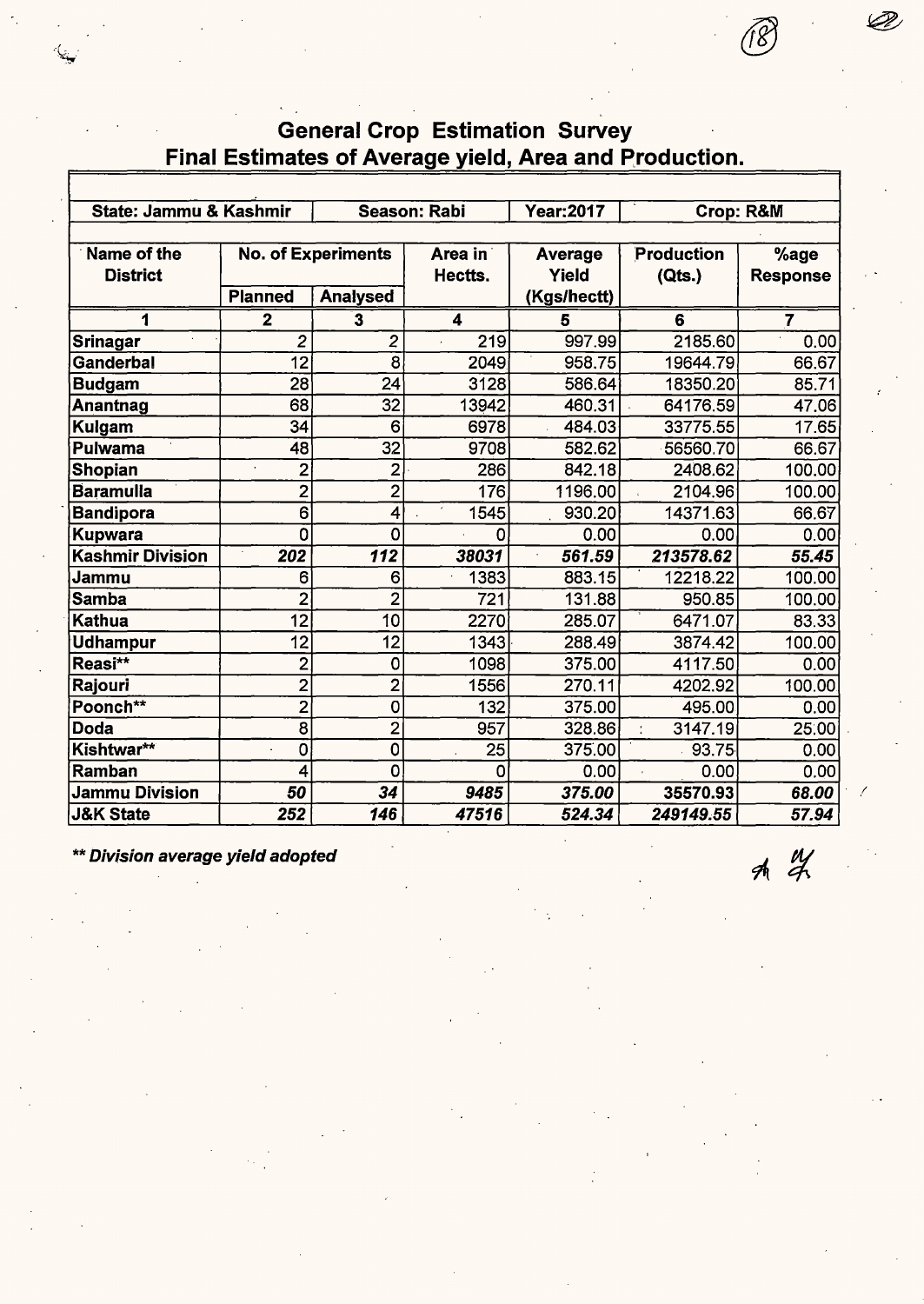### General Crop Estimation Survey Final Estimates of Average yield, Area and Production.

| State: Jammu & Kashmir         |                         |                                              | <b>Season: Rabi</b>     | <b>Year: 2017</b>                      |                             |                         |
|--------------------------------|-------------------------|----------------------------------------------|-------------------------|----------------------------------------|-----------------------------|-------------------------|
|                                |                         |                                              |                         |                                        | <b>Crop: R&amp;M</b>        |                         |
| Name of the<br><b>District</b> | <b>Planned</b>          | <b>No. of Experiments</b><br><b>Analysed</b> | Area in<br>Hectts.      | <b>Average</b><br>Yield<br>(Kgs/hectt) | <b>Production</b><br>(Qts.) | %age<br><b>Response</b> |
| 1                              | $\overline{\mathbf{2}}$ | $\overline{\mathbf{3}}$                      | $\overline{\mathbf{4}}$ | 5                                      | 6                           | 7                       |
| <b>Srinagar</b>                | $\overline{2}$          | $\overline{c}$                               | 219                     | 997.99                                 | 2185.60                     | 0.00                    |
| Ganderbal                      | 12                      | $\overline{8}$                               | 2049                    | 958.75                                 | 19644.79                    | 66.67                   |
| Budgam                         | $\overline{28}$         | 24                                           | 3128                    | 586.64                                 | 18350.20                    | 85.71                   |
| Anantnag                       | 68                      | 32                                           | 13942                   | 460.31                                 | 64176.59                    | 47.06                   |
| Kulgam                         | 34                      | 6                                            | 6978                    | 484.03                                 | 33775.55                    | 17.65                   |
| Pulwama                        | 48                      | 32                                           | 9708                    | 582.62                                 | 56560.70                    | 66.67                   |
| Shopian                        | $\overline{c}$          | $\mathbf{2}$                                 | 286                     | 842.18                                 | 2408.62                     | 100.00                  |
| <b>Baramulia</b>               | $\overline{c}$          | $\overline{2}$                               | 176                     | 1196.00                                | 2104.96                     | 100.00                  |
| <b>Bandipora</b>               | 6                       | 4                                            | 1545                    | 930.20                                 | 14371.63                    | 66.67                   |
| Kupwara                        | 0                       | O                                            | 0                       | 0.00                                   | 0.00                        | 0.00                    |
| <b>Kashmir Division</b>        | 202                     | 112                                          | 38031                   | 561.59                                 | 213578.62                   | 55.45                   |
| Jammu                          | 6                       | 6                                            | 1383                    | 883.15                                 | 12218.22                    | 100.00                  |
| Samba                          | $\overline{2}$          | $\overline{2}$                               | 721                     | 131.88                                 | 950.85                      | 100.00                  |
| Kathua                         | 12                      | 10                                           | 2270                    | 285.07                                 | 6471.07                     | 83.33                   |
| Udhampur                       | 12                      | 12                                           | 1343                    | 288.49                                 | 3874.42                     | 100.00                  |
| Reasi**                        | $\overline{c}$          | $\mathbf 0$                                  | 1098                    | 375.00                                 | 4117.50                     | 0.00                    |
| Rajouri                        | $\overline{c}$          | $\overline{2}$                               | 1556                    | 270.11                                 | 4202.92                     | 100.00                  |
| Poonch**                       | $\overline{c}$          | 0                                            | 132                     | 375.00                                 | 495.00                      | 0.00                    |
| Doda                           | 8                       | $\overline{2}$                               | 957                     | 328.86                                 | 3147.19                     | 25:00                   |
| Kishtwar**                     | 0                       | 0                                            | 25                      | 375.00                                 | 93.75                       | 0.00                    |
| Ramban                         | 4                       | 0                                            | 0                       | 0.00                                   | 0.00                        | 0.00                    |
| <b>Jammu Division</b>          | 50                      | 34                                           | 9485                    | 375.00                                 | 35570.93                    | 68.00                   |
| <b>J&amp;K State</b>           | 252                     | 146                                          | 47516                   | 524.34                                 | 249149.55                   | 57.94                   |

\*\* Division average yield adopted

 $A$   $\frac{11}{4}$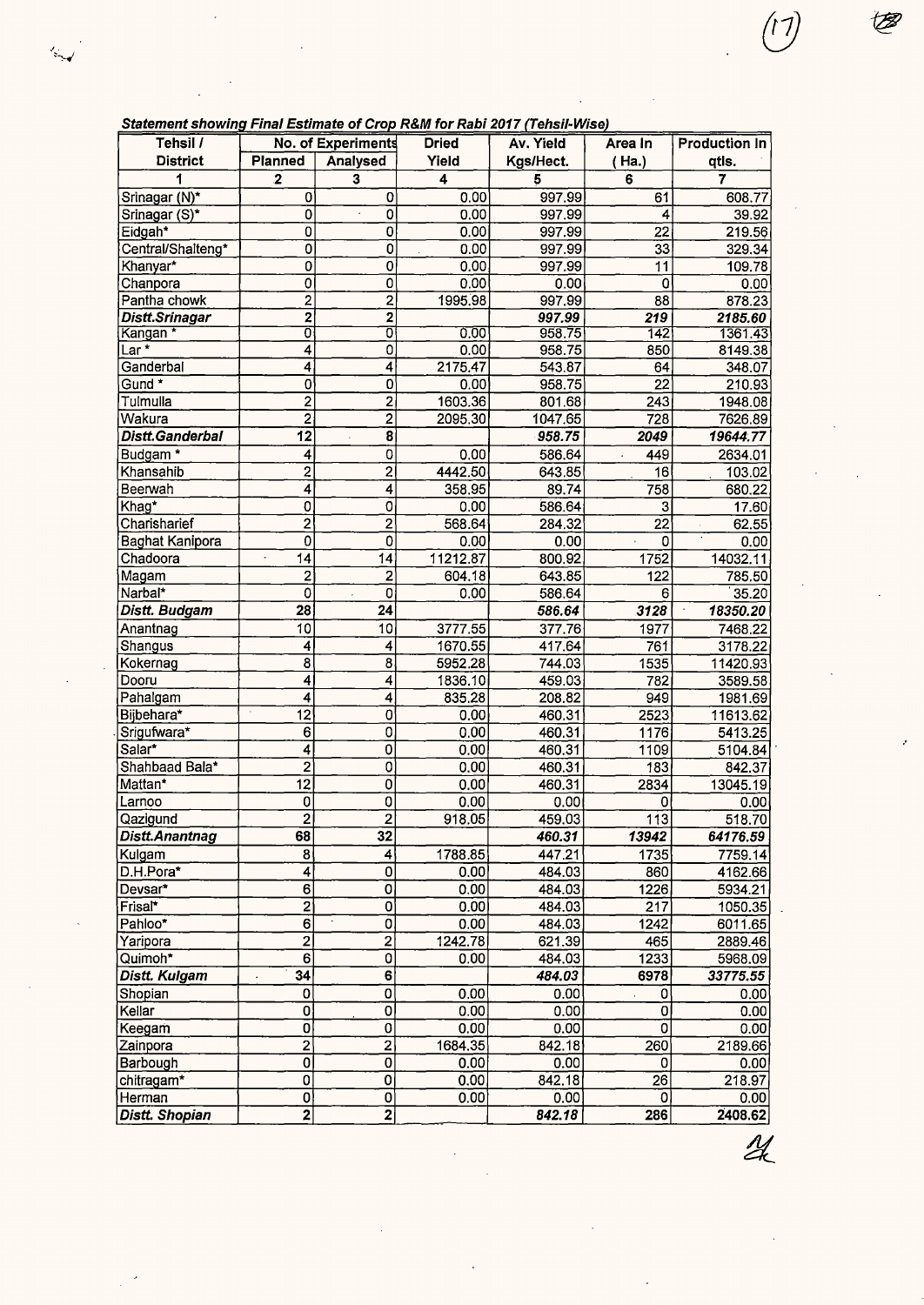| Statement showing Final Estimate of Crop R&M for Rabi 2017 (Tehsil-Wise) |  |  |
|--------------------------------------------------------------------------|--|--|
|                                                                          |  |  |

 $\ddot{\phantom{0}}$ 

 $\mathcal{L}_{\mathcal{A}}$ 

| ,,,,,,,,,,,,,,,,,,,,,,,<br>Tehsil / |                         | No. of Experiments                              | The Louisand of Orop Ram for Rapi Lott (Tendit Hidd)<br><b>Dried</b> | Av. Yield      | Area In               | <b>Production In</b> |
|-------------------------------------|-------------------------|-------------------------------------------------|----------------------------------------------------------------------|----------------|-----------------------|----------------------|
| <b>District</b>                     | <b>Planned</b>          | Analysed                                        | Yield                                                                | Kgs/Hect.      | (Ha.)                 |                      |
|                                     |                         |                                                 |                                                                      |                |                       | qtls.<br>7           |
| 1                                   | $\mathbf{2}$            | 3                                               | 4                                                                    | 5              | 6                     |                      |
| Srinagar (N)*                       | 0                       | 0                                               | 0.00                                                                 | 997.99         | 61<br>4               | 608.77               |
| Srinagar (S)*                       | 0                       | 0<br>0                                          | 0.00                                                                 | 997.99         |                       | 39.92                |
| Eidgah*                             | 0<br>$\mathbf 0$        | $\overline{0}$                                  | 0.00<br>0.00                                                         | 997.99         | 22<br>$\overline{33}$ | 219.56               |
| Central/Shalteng*<br>Khanyar*       | $\overline{0}$          | $\overline{0}$                                  | 0.00                                                                 | 997.99         | $\overline{1}1$       | 329.34               |
| Chanpora                            | $\mathbf 0$             | $\overline{0}$                                  | 0.00                                                                 | 997.99<br>0.00 | $\Omega$              | 109.78<br>0.00       |
| Pantha chowk                        | $\overline{\mathbf{c}}$ | $\overline{2}$                                  | 1995.98                                                              | 997.99         | $\overline{88}$       | 878.23               |
| Distt.Srinagar                      | $\overline{\mathbf{z}}$ | $\overline{\mathbf{2}}$                         |                                                                      | 997.99         | 219                   | 2185.60              |
| Kangan *                            | σ                       | ᠊ᢐ                                              | 0.00                                                                 | 958.75         | 142                   | 1361.43              |
| Lar *                               | 4                       | $\overline{0}$                                  | 0.00                                                                 | 958.75         | 850                   | 8149.38              |
| Ganderbal                           | 4                       | 4                                               | 2175.47                                                              | 543.87         | 64                    | 348.07               |
| $Gund*$                             | $\mathbf 0$             | 0                                               | 0.00                                                                 | 958.75         | $\overline{22}$       | 210.93               |
| Tulmulla                            | $\overline{2}$          | $\overline{\mathbf{c}}$                         | 1603.36                                                              | 801.68         | 243                   | 1948.08              |
| Wakura                              | $\overline{2}$          | $\overline{2}$                                  | 2095.30                                                              | 1047.65        | 728                   | 7626.89              |
| Distt.Ganderbal                     | $\overline{12}$         | $\overline{\mathbf{8}}$<br>$\ddot{\phantom{0}}$ |                                                                      | 958.75         | 2049                  | 19644.77             |
| Budgam*                             | 4                       | 0                                               | 0.00                                                                 | 586.64         | 449<br>$\epsilon$     | 2634.01              |
| Khansahib                           | $\overline{2}$          | $\overline{2}$                                  | 4442.50                                                              | 643.85         | 16                    | 103.02               |
| Beerwah                             | $\overline{4}$          | 4                                               | 358.95                                                               | 89.74          | 758                   | 680.22               |
| Khag*                               | 0                       | $\overline{0}$                                  | 0.00                                                                 | 586.64         | $\mathbf{3}$          | 17.60                |
| Charisharief                        | $\overline{2}$          | $\overline{2}$                                  | 568.64                                                               | 284.32         | $\overline{22}$       | 62.55                |
| <b>Baghat Kanipora</b>              | 0                       | 0                                               | 0.00                                                                 | 0.00           | $\overline{0}$        | 0.00                 |
| Chadoora                            | 14                      | 14                                              | 11212.87                                                             | 800.92         | 1752                  | 14032.11             |
| Magam                               | $\overline{2}$          | 2                                               | 604.18                                                               | 643.85         | 122                   | 785.50               |
| Narbal*                             | 0                       | 0<br>$\cdot$                                    | 0.00                                                                 | 586.64         | 6                     | 35.20                |
| Distt. Budgam                       | 28                      | 24                                              |                                                                      | 586.64         | 3128                  | 18350.20             |
| Anantnag                            | 10                      | 10                                              | 3777.55                                                              | 377.76         | 1977                  | 7468.22              |
| Shangus                             | 4                       | 4                                               | 1670.55                                                              | 417.64         | 761                   | 3178.22              |
| Kokernag                            | 8                       | 8                                               | 5952.28                                                              | 744.03         | 1535                  | 11420.93             |
| Dooru                               | 4                       | 4                                               | 1836.10                                                              | 459.03         | 782                   | 3589.58              |
| Pahalgam                            | 4                       | 4                                               | 835.28                                                               | 208.82         | 949                   | 1981.69              |
| Bijbehara*                          | 12                      | 0                                               | 0.00                                                                 | 460.31         | 2523                  | 11613.62             |
| Srigufwara*                         | 6                       | 0                                               | 0.00                                                                 | 460.31         | 1176                  | 5413.25              |
| Salar*                              | 4                       | 0                                               | 0.00                                                                 | 460.31         | 1109                  | 5104.84              |
| Shahbaad Bala*                      | $\overline{2}$          | 0                                               | 0.00                                                                 | 460.31         | 183                   | 842.37               |
| Mattan*                             | $\overline{12}$         | $\overline{0}$                                  | 0.00                                                                 | 460.31         | 2834                  | 13045.19             |
| Larnoo                              | 0                       | $\overline{0}$                                  | 0.00                                                                 | 0.00           | 0                     | 0.00                 |
| Qazigund                            | $\overline{2}$          | $\overline{2}$                                  | 918.05                                                               | 459.03         | 113                   | 518.70               |
| <b>Distt.Anantnag</b>               | 68                      | 32                                              |                                                                      | 460.31         | 13942                 | 64176.59             |
| Kulgam                              | 8                       | 4                                               | 1788.85                                                              | 447.21         | 1735                  | 7759.14              |
| D.H.Pora*                           | 4                       | $\overline{\text{o}}$                           | 0.00                                                                 | 484.03         | 860                   | 4162.66              |
| Devsar*                             | 6                       | 0                                               | 0.00                                                                 | 484.03         | 1226                  | 5934.21              |
| Frisal*                             | $\overline{2}$          | $\mathbf 0$                                     | 0.00                                                                 | 484.03         | 217                   | 1050.35              |
| Pahloo*                             | $\overline{6}$          | $\overline{0}$                                  | 0.00                                                                 | 484.03         | 1242                  | 6011.65              |
| Yaripora                            | $\overline{2}$          | $\overline{2}$                                  | 1242.78                                                              | 621.39         | 465                   | 2889.46              |
| Quimoh*                             | $\overline{6}$          | $\overline{0}$                                  | 0.00                                                                 | 484.03         | 1233                  | 5968.09              |
| Distt. Kulgam                       | 34                      | $\overline{\mathbf{6}}$                         |                                                                      | 484.03         | 6978                  | 33775.55             |
| Shopian                             | 0                       | 0                                               | 0.00                                                                 | 0.00           | 0                     | 0.00                 |
| Kellar                              | 0                       | 0                                               | $0.\overline{00}$                                                    | 0.00           | $\bar{0}$             | 0.00                 |
| Keegam                              | 0                       | 0                                               | 0.00                                                                 | 0.00           | 0                     | 0.00                 |
| Zainpora                            | $\overline{2}$          | 2                                               | 1684.35                                                              | 842.18         | 260                   | 2189.66              |
| Barbough                            | $\overline{0}$          | $\mathbf 0$                                     | 0.00                                                                 | 0.00           | 0                     | 0.00                 |
| chitragam*                          | 0                       | $\overline{0}$                                  | 0.00                                                                 | 842.18         | 26                    | 218.97               |
| Herman                              | $\mathbf{0}^{\prime}$   | O                                               | 0.00                                                                 | 0.00           | 0                     | 0.00                 |
| Distt. Shopian                      | $\overline{\mathbf{2}}$ | $\overline{2}$                                  |                                                                      | 842.18         | 286                   | 2408.62              |

 $\overline{\mathscr{U}}$ 

 $\ddot{\phantom{0}}$ 

 $\binom{1}{2}$ 

Ø

 $\epsilon$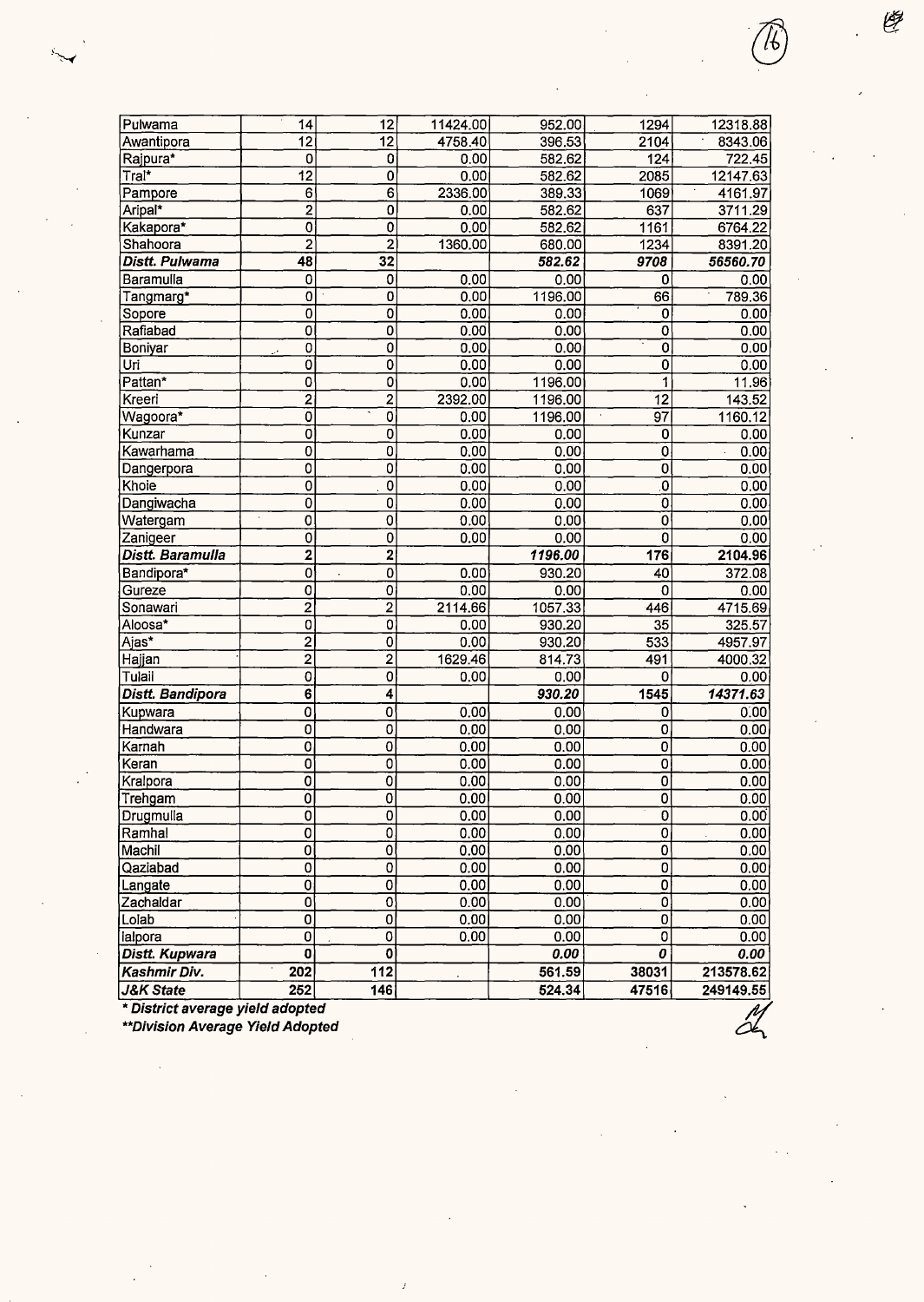| Pulwama              | 14                        | 12                | 11424.00 | 952.00  | 1294                      | 12318.88                            |
|----------------------|---------------------------|-------------------|----------|---------|---------------------------|-------------------------------------|
| Awantipora           | $\overline{12}$           | $\overline{12}$   | 4758.40  | 396.53  | 2104                      | 8343.06                             |
| Rajpura*             | 0                         | 0                 | 0.00     | 582.62  | $\overline{124}$          | 722.45                              |
| Tral*                | $\overline{12}$           | $\overline{0}$    | 0.00     | 582.62  | 2085                      | 12147.63                            |
| Pampore              | 6                         | $\overline{6}$    | 2336.00  | 389.33  | 1069                      | $\overline{\phantom{a}}$<br>4161.97 |
| Aripal*              | $\overline{2}$            | 0                 | 0.00     | 582.62  | $\overline{637}$          | 3711.29                             |
| Kakapora*            | 0                         | $\overline{0}$    | 0.00     | 582.62  | 1161                      | 6764.22                             |
| Shahoora             | $\overline{c}$            | $\overline{2}$    | 1360.00  | 680.00  | 1234                      | 8391.20                             |
| Distt. Pulwama       | 48                        | 32                |          | 582.62  | 9708                      | 56560.70                            |
| Baramulla            | $\bf{0}$                  | $\overline{0}$    | 0.00     | 0.00    | 0                         | 0.00                                |
| Tangmarg*            | $\overline{0}$            | 0                 | 0.00     | 1196.00 | 66                        | 789.36                              |
| Sopore               | 0                         | $\mathbf 0$       | 0.00     | 0.00    | 0                         | 0.00                                |
| Rafiabad             | 0                         | 0                 | 0.00     | 0.00    | 0                         | 0.00                                |
| Boniyar              | 0                         | $\mathbf 0$       | 0.00     | 0.00    | $\overline{0}$            | 0.00                                |
| Uri                  | Ö                         | 0                 | 0.00     | 0.00    | $\overline{0}$            | 0.00                                |
| Pattan*              | $\overline{0}$            | $\overline{0}$    | 0.00     | 1196.00 | $\overline{\mathbf{1}}$   | 11.96                               |
| Kreeri               | $\overline{2}$            | $\overline{2}$    | 2392.00  | 1196.00 | $\overline{12}$           | 143.52                              |
| Wagoora <sup>*</sup> | $\overline{0}$            | $\overline{0}$    | 0.00     | 1196.00 | $\overline{97}$           | 1160.12                             |
| Kunzar               | $\mathbf 0$               | $\overline{0}$    | 0.00     | 0.00    | 0                         | 0.00                                |
| Kawarhama            | $\mathbf 0$               | 0                 | 0.00     | 0.00    | 0                         | 0.00<br>$\bar{z}$                   |
| Dangerpora           | 0                         | 0                 | 0.00     | 0.00    | $\overline{0}$            | 0.00                                |
| Khole                | $\overline{0}$            | $\overline{0}$    | 0.00     | 0.00    | $\overline{0}$            | 0.00                                |
| Dangiwacha           | $\overline{0}$            | $\overline{0}$    | 0.00     | 0.00    | $\overline{0}$            | 0.00                                |
| Watergam             | $\overline{0}$            | $\overline{0}$    | 0.00     | 0.00    | ō                         | 0.00                                |
| Zanigeer             | $\overline{0}$            | 0                 | 0.00     | 0.00    | ō                         | 0.00                                |
| Distt. Baramulla     | $\mathbf{2}$              | 2                 |          | 1196.00 | 176                       | 2104.96                             |
| Bandipora*           | $\mathbf 0$               | $\mathbf 0$       | 0.00     | 930.20  | 40                        | 372.08                              |
| Gureze               | $\mathbf 0$               | 0                 | 0.00     | 0.00    | 0                         | 0.00                                |
| Sonawari             | $\overline{\mathbf{2}}$   | $\overline{c}$    | 2114.66  | 1057.33 | 446                       | 4715.69                             |
| Aloosa*              | 0                         | 0                 | 0.00     | 930.20  | 35                        | 325.57                              |
| Ajas*                | $\overline{2}$            | $\overline{0}$    | 0.00     | 930.20  | $\overline{533}$          | 4957.97                             |
| Hajjan               | $\overline{2}$            | $\overline{2}$    | 1629.46  | 814.73  | 491                       | 4000.32                             |
| Tulail               | 0                         | $\mathbf 0$       | 0.00     | 0.00    | 0                         | 0.00                                |
| Distt. Bandipora     | $\overline{6}$            | 4                 |          | 930.20  | 1545                      | 14371.63                            |
| Kupwara              | 0                         | $\mathbf 0$       | 0.00     | 0.00    | 0                         | 0.00                                |
| Handwara             | $\mathbf 0$               | $\overline{0}$    | 0.00     | 0.00    | o                         | 0.00                                |
| Karnah               | 0                         | $\overline{0}$    | 0.00     | 0.00    | 0                         | 0.00                                |
| Keran                | $\mathbf 0$               | $\mathbf 0$       | 0.00     | 0.00    | 0                         | 0.00                                |
| Kralpora             | $\overline{\mathfrak{o}}$ | $\overline{0}$    | 0.00     | 0.00    | $\overline{\mathfrak{o}}$ | 0.00                                |
| Trehgam              | $\overline{0}$            | $\overline{0}$    | 0.00     | 0.00    | $\overline{\mathbf{0}}$   | 0.00                                |
| Drugmulla            | 0                         | $\mathbf{0}$      | 0.00     | 0.00    | 0                         | 0.00                                |
| Ramhal               | 0                         | $\overline{0}$    | 0.00     | 0.00    | ō                         | 0.00                                |
| Machil               | $\mathbf{0}$              | $\overline{0}$    | 0.00     | 0.00    | $\mathbf{0}$              | 0.00                                |
| Qaziabad             | $\mathbf 0$               | $\overline{0}$    | 0.00     | 0.00    | $\mathbf{O}$              | 0.00                                |
| Langate              | 0                         | $\overline{0}$    | 0.00     | 0.00    | $\overline{0}$            | 0.00                                |
| Zachaldar            | 0                         | $\mathbf 0$       | 0.00     | 0.00    | $\overline{0}$            | 0.00                                |
| Lolab                | $\overline{\mathfrak{o}}$ | $\pmb{0}$         | 0.00     | 0.00    | $\overline{0}$            | 0.00                                |
| lalpora              | 0                         | 0                 | 0.00     | 0.00    | ō                         | 0.00                                |
| Distt. Kupwara       | 0                         | $\mathbf 0$       |          | 0.00    | 0                         | 0.00                                |
| Kashmir Div.         | 202                       | $\overline{112}$  |          | 561.59  | 38031                     | 213578.62                           |
| <b>J&amp;K State</b> | 252                       | $\overline{1}$ 46 |          | 524.34  | 47516                     | 249149.55                           |

 $\mathcal{I}$ 

Ç

 $24$ 

\* **District average yield adopted** 

**\*\*Division Average Yield Adopted**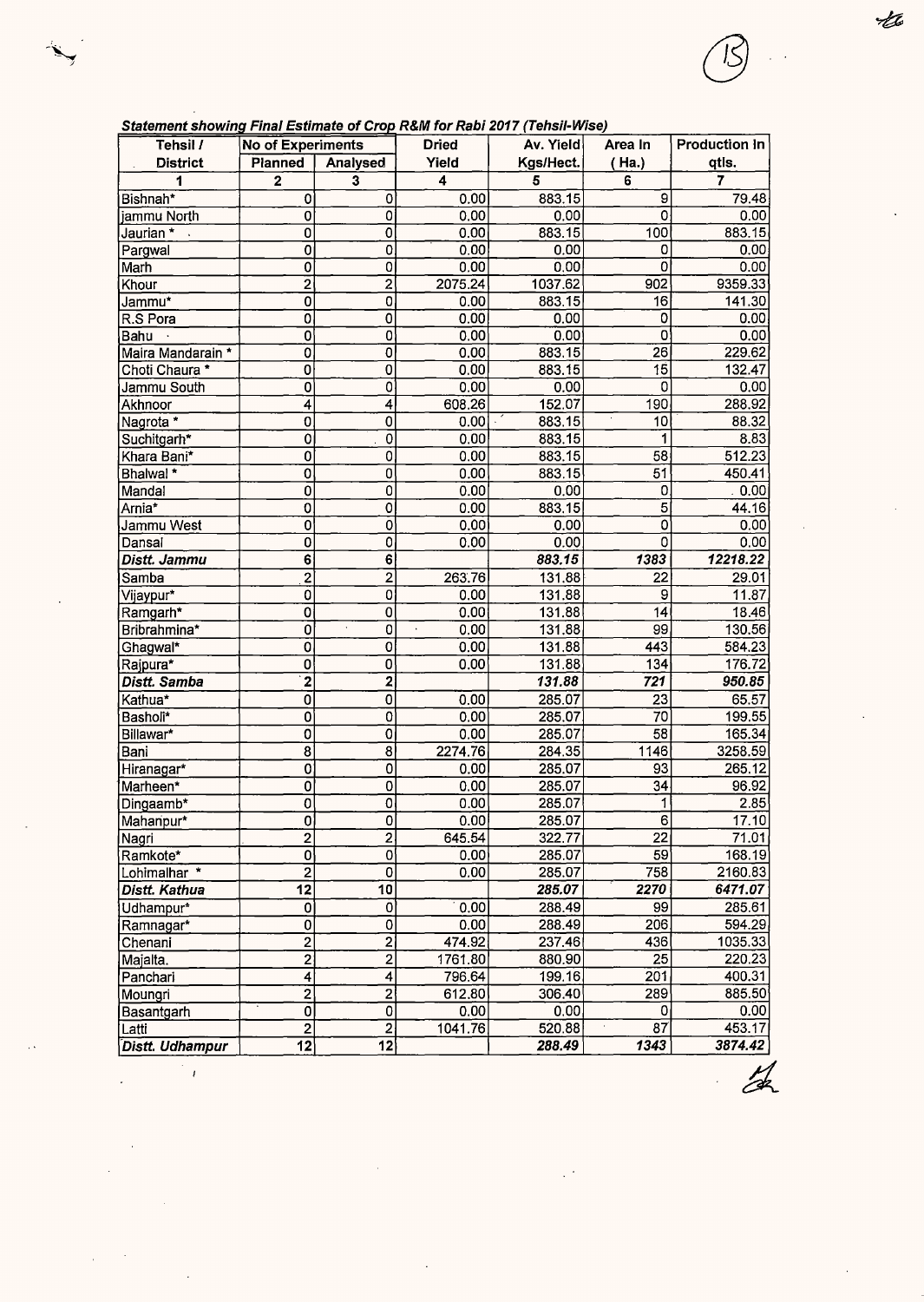| <b>District</b>   | Planned        | Analysed | Yield   | Kgs/Hect. | Ha.) | qtis.   |
|-------------------|----------------|----------|---------|-----------|------|---------|
|                   | 2              | 3        | 4       | 5         | 6    |         |
| Bishnah*          | 0              | 0        | 0.00    | 883.15    | 9    | 79.48   |
| iammu North       | 0              | 0        | 0.00    | 0.00      | 0    | 0.00    |
| Jaurian *         | 0              | 0        | 0.00    | 883.15    | 100  | 883.15  |
| Pargwal           | 0              | 0        | 0.00    | 0.00      | 0    | 0.00    |
| Marh              | 0              | 0        | 0.00    | 0.00      |      | 0.00    |
| Khour             | $\overline{2}$ | 2        | 2075.24 | 1037.62   | 902  | 9359.33 |
| Jammu*            | 0              | 0        | 0.00    | 883.15    | 16   | 141.30  |
| R.S Pora          | 0              | 0        | 0.00    | 0.00      | 0    | 0.00    |
| Bahu              | 0              | 0        | 0.00    | 0.001     | 0    | 0.00    |
| Maira Mandarain * | 0              | 0        | 0.00    | 883.15    | 26   | 229.62  |
| Choti Chaura *    | 0              | 0        | 0.00    | 883.15    | 15   | 132.47  |
| Jammu South       | 0              | 0        | 0.00    | 0.00      | Ω    | 0.00    |
| Akhnoor           | 4              | 4        | 608.26  | 152.07    | 190  | 288.92  |
| Nagrota *         | 0              | 0        | 0.00    | 883.15    | 10   | 88.32   |
| Suchitgarh*       | 0              | 0        | 0.00    | 883.15    |      | 8.83    |
| Khara Bani*       | 0              | 0        | 0.00    | 883.15    | 58   | 512.23  |
| Bhalwal *         | 0              | 0        | 0.00    | 883.15    | 51   | 450.41  |
| Mandal            | 0              | 0        | 0.00    | 0.00      | 0    | .0.00   |
| Arnia*            | 0              | 0        | 0.00    | 883.15    | 5    | 44.16   |

1<br>
1 Jammu West 1 0 0 0.00 0.00 0.00 0.00<br>
1 Dansal 1 0 0 0.00 0.00 0 0.00 0 0.00 Dansal 0 0 0 0 0.00 0.00 0 0.00 0.00 **Distt. Jammu 6 6 883.15 1383 12218.22**  Samba 2 2 263.76 131.88 22 29.01 Viiavpur\* 0 0 0.00 131.88 9 11.87 Ramgarh\* 18.46 **0 0 0 0.00 131.88** 14 18.46 Bribrahmina\* 0 0 0 0.00 131.88 99 130.56 Ghaawal\* 0 0 0.00 131.88 443 584.23 Rajpura\* \_ 0| 0| 0.00| 131.88| 134| 176.72| **Distt. Samba ·2 2 131.88 721 950.85**  Kathua\* 0 0 0.00 285.07 23 65.57 Basholi\* 0 0 0.00 285.07 70 199.55 Billawar\* 0 0 0.00 285.07 58 165.34 Bani 8 8 2274.76 284.35 1146 3258.59 Hiranagar\* <u>|</u> 0 0 0 000 285.07 93 265.12 Marheen\* 0| 0| 0.00| 285.07| 34| 96.92  $\mathsf{Dingaamb}^*$  0 0 0 0.00 285.07 1 2.85 Maharipur\* 0 0 0.00 285.07 6 17.10 Nagri \_ <u>| 2 2 2 323.77 22 71.01</u> Ramkote\* 0 0 0.00 285.07 59 168.19 Eohimalhar \* 2 0 0.00 285.07 758 2160.83<br>Distt. Kathua 12 10 285.07 2270 6471.07

Udhampur\* 0 0 0 0.00 288.49 99 285.61 Ramnagar\* 0 0 0.00 288.49 206 594.29 Chenani <sub>2 2</sub> 2 474.92 237.46 436 1035.33 Maialta. 2 2 1761.80 880.90 25 220.23 Panchari | 4 4 796.64 199.<u>16 201 400.31</u> Mounari 2 2 612.80 306.40 289 885.50 Basantgarh 0 0 0.00 0.00 0.00 0 0.00<br>Latti 2 2 1041.76 520.88 87 453.17 Latti 2 2 1041.76 520.88 87 453.17 **-Distt. Udhampur 12 12 288.49 1343 3874.42** 

**Distt. Kathua 12 10 10 285.07** 

**Tehsil** / **No of Experiments Dried Av. Yield Area In Production In** 

#### **Statement showing Final Estimate of Crop R&M for Rabi 2017 (Tehsil-Wise)**

 $\overline{1}$ 

Ht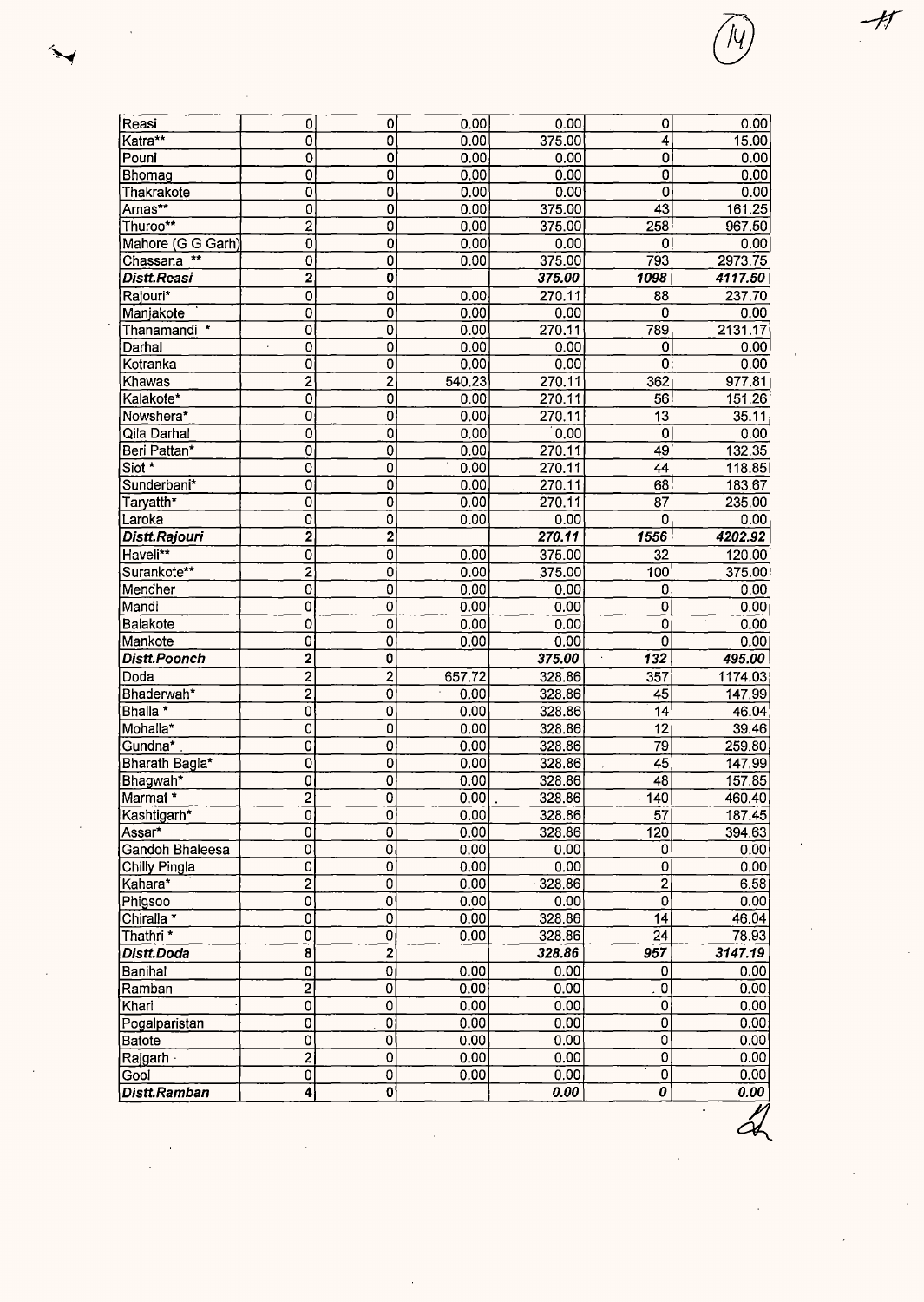| Reasi                   | 0                       | $\overline{0}$                   | 0.00         | 0.00                | $\mathbf{O}$           | 0.00                   |
|-------------------------|-------------------------|----------------------------------|--------------|---------------------|------------------------|------------------------|
| Katra**                 | 0                       | $\overline{0}$                   | 0.00         | 375.00              | 4                      | 15.00                  |
| Pouni                   | 0                       | $\overline{0}$                   | 0.00         | 0.00                | 0                      | 0.00                   |
| Bhomag                  | οI                      | $\mathbf 0$                      | 0.00         | 0.00                | 0                      | 0.00                   |
| Thakrakote              | 0                       | 0                                | 0.00         | 0.00                | 0                      | 0.00                   |
| Arnas**                 | 0                       | $\mathbf 0$                      | 0.00         | 375.00              | $\overline{43}$        | 161.25                 |
| Thuroo**                | $\overline{2}$          | 0                                | 0.00         | 375.00              | 258                    | 967.50                 |
| Mahore (G G Garh)       | $\overline{0}$          | 0                                | 0.00         | 0.00                | 0                      | 0.00                   |
| Chassana <sup>**</sup>  | οI                      | 0                                | 0.00         | 375,00              | 793                    | 2973.75                |
| <b>Distt.Reasi</b>      | $\overline{2}$          | 0                                |              | 375.00              | 1098                   | 4117.50                |
| Rajouri*                | 0                       | 0                                | 0.00         | 270.11              | 88                     | 237.70                 |
| Manjakote               | 0                       | $\mathbf 0$                      | 0.00<br>0.00 | 0.00<br>270.11      | $\mathbf 0$<br>789     | 0.00                   |
| Thanamandi *<br>Darhal  | 0<br>$\overline{0}$     | $\mathbf 0$<br>$\overline{0}$    | 0.00         | 0.00                | 0                      | 2131.17<br>0.00        |
| Kotranka                | 0                       | $\mathbf 0$                      | 0.00         | 0.00                | 0                      | 0.00                   |
| Khawas                  | $\overline{2}$          | $\overline{\mathbf{c}}$          | 540.23       | 270.11              | 362                    | 977.81                 |
| Kalakote*               | 0                       | 0                                | 0.00         | 270.11              | 56                     | 151.26                 |
| Nowshera*               | $\mathbf{0}$            | $\overline{\text{o}}$            | 0.00         | 270.11              | 13                     | 35.11                  |
| Qila Darhal             | $\mathbf{0}^{\prime}$   | 0                                | 0.00         | 0.00                | 0                      | 0.00                   |
| Beri Pattan*            | $\overline{0}$          | $\overline{0}$                   | 0.00         | 270.11              | $\overline{49}$        | 132.35                 |
| Siot *                  | 0                       | 0                                | 0.00         | 270.11              | 44                     | 118.85                 |
| Sunderbani*             | $\overline{0}$          | 0                                | 0.00         | 270.11              | 68                     | 183.67                 |
| Taryatth*               | 0                       | $\mathbf 0$                      | 0.00         | 270.11              | $\overline{87}$        | 235.00                 |
| Laroka                  | 0                       | 0                                | 0.00         | 0.00                | 0                      | 0.00                   |
| Distt.Rajouri           | 2                       | $\overline{\mathbf{2}}$          |              | 270.11              | 1556                   | 4202.92                |
| Haveli**                | 0                       | 0                                | 0.00         | 375.00              | 32                     | 120.00                 |
| Surankote**             | $\overline{2}$          | $\mathbf{0}^{\dagger}$           | 0.00         | 375.00              | 100                    | 375.00                 |
| Mendher                 | $\mathbf 0$             | $\mathbf 0$                      | 0.00         | 0.00                | 0                      | 0.00                   |
| Mandi                   | $\mathbf 0$             | $\overline{0}$                   | 0.00         | 0.00                | $\overline{0}$         | 0.00                   |
| Balakote                | 0                       | $\overline{0}$                   | 0.00         | 0.00                | o                      | $\blacksquare$<br>0.00 |
| Mankote                 | 0                       | 0                                | 0.00         | 0.00                | 0                      | 0.00                   |
| <b>Distt.Poonch</b>     | $\mathbf 2$             | $\mathbf 0$                      |              | 375.00<br>$\lambda$ | 132                    | 495.00                 |
| Doda                    | $\overline{2}$          | $\overline{2}$                   | 657.72       | 328.86              | 357                    | 1174.03                |
| Bhaderwah*              | $\overline{2}$          | $\overline{0}$                   | 0.00         | 328.86              | $\overline{45}$        | 147.99                 |
| Bhalla *                | 0                       | $\pmb{0}$                        | 0.00         | 328.86              | 14                     | 46.04                  |
| Mohalla*                | $\mathbf 0$             | 0                                | 0.00         | 328.86              | $\overline{1}2$        | 39.46                  |
| Gundna*                 | 0                       | $\overline{0}$                   | 0.00         | 328.86              | $\overline{79}$        | 259.80                 |
| Bharath Bagla*          | $\mathbf{0}$            | $\mathbf{0}$                     | 0.00         | 328.86              | $\overline{45}$        | 147.99                 |
| Bhagwah <sup>*</sup>    | $\boldsymbol{0}$        | 0                                | 0.00         | 328.86              | 48                     | 157.85                 |
| Marmat <sup>*</sup>     | $\overline{2}$          | $\overline{\mathbf{0}}$          | 0.00         | 328.86              | $\overline{140}$       | 460.40                 |
| Kashtigarh*             | $\overline{0}$          | $\overline{0}$                   | 0.00         | 328.86              | $\overline{57}$        | 187.45                 |
| Assar*                  | 0                       | $\overline{\mathbf{0}}$          | 0.00         | 328.86              | $\overline{120}$       | 394.63                 |
| Gandoh Bhaleesa         | 0                       | $\overline{0}$                   | 0.00         | 0.00                | 0                      | 0.00                   |
| Chilly Pingla           | 0                       | $\overline{0}$                   | 0.00         | 0.00                | $\mathbf 0$            | 0.00                   |
| Kahara*                 | $\overline{2}$          | $\overline{0}$                   | 0.00         | .328.86             | $\overline{2}$         | 6.58                   |
| Phigsoo                 | 0                       | $\overline{0}$                   | 0.00         | 0.00                | o                      | 0.00                   |
| Chiralla *              | $\mathbf 0$             | $\mathbf{0}$                     | 0.00         | 328.86              | $\overline{14}$        | 46.04                  |
| Thathri *               | 0                       | 0                                | 0.00         | 328.86              | $\overline{24}$<br>957 | 78.93                  |
| Distt.Doda              | 8                       | 2                                |              | 328.86              |                        | 3147.19                |
| Banihal                 | $\overline{0}$          | $\overline{0}$<br>$\overline{0}$ | 0.00<br>0.00 | 0.00<br>0.00        | 0<br>$\overline{0}$    | 0.00<br>0.00           |
| Ramban<br>Khari         | $\overline{2}$          | $\mathbf 0$                      | 0.00         |                     | 0                      | 0.00                   |
|                         | 0<br>0                  | $\overline{\mathfrak{o}}$        | 0.00         | 0.00<br>0.00        | $\overline{0}$         | 0.00                   |
| Pogalparistan<br>Batote | 0                       | $\overline{0}$                   | 0.00         | 0.00                | 0                      | 0.00                   |
| Rajgarh                 | $\overline{\mathbf{c}}$ | $\overline{0}$                   | 0.00         | 0.00                | $\overline{0}$         | 0.00                   |
| Gool                    | 0                       | $\mathbf 0$                      | 0.00         | 0.00                | o                      | 0.00                   |
| Distt.Ramban            | 4                       | $\mathbf{0}$                     |              | 0.00                | $\boldsymbol{\theta}$  | 0.00                   |
|                         |                         |                                  |              |                     |                        |                        |
|                         |                         |                                  |              |                     |                        |                        |
|                         |                         |                                  |              |                     |                        |                        |
|                         |                         |                                  |              |                     |                        |                        |
|                         |                         |                                  |              |                     |                        |                        |
|                         |                         |                                  |              |                     |                        |                        |
|                         |                         |                                  |              |                     |                        |                        |
|                         |                         |                                  |              |                     |                        |                        |
|                         |                         |                                  |              |                     |                        |                        |
|                         |                         |                                  |              |                     |                        |                        |

 $\sim$ 

 $\widehat{\mathcal{H}}$ 

 $\frac{1}{\sqrt{2}}$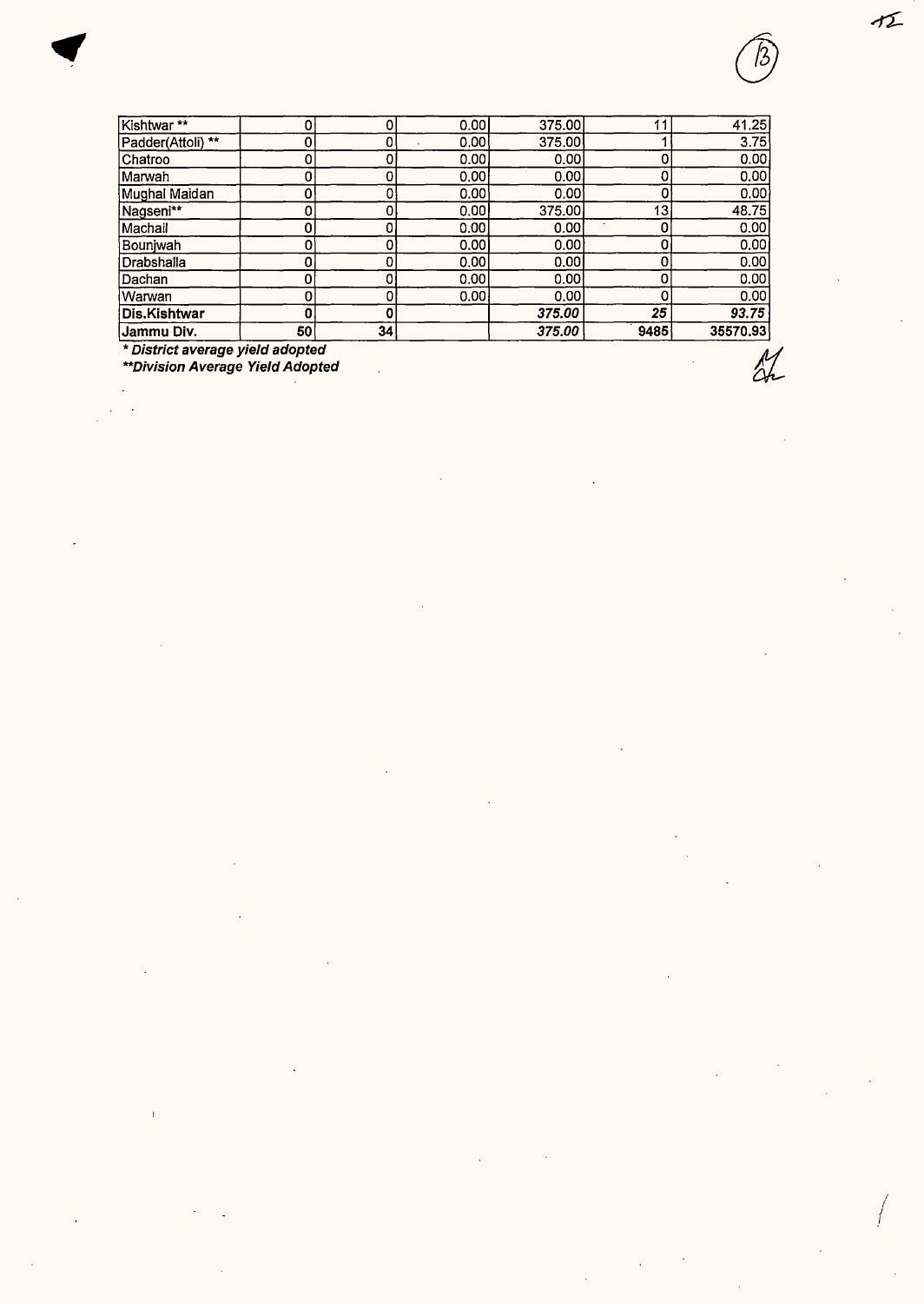| Jammu Div.        | 50 | 34 |       | 375.00 | 9485 | 35570.93 |
|-------------------|----|----|-------|--------|------|----------|
| Dis.Kishtwar      | 0  |    |       | 375.00 | 25   | 93.75    |
| lWarwan           |    |    | 0.00  | 0.00   | 0    | 0.00     |
| lDachan.          |    |    | 0.00  | 0.00   | 0    | 0.00     |
| Drabshalla        |    |    | 0.00  | 0.00   | 0    | 0.00     |
| Bounjwah          |    |    | 0.00  | 0.00   | 0    | 0.00     |
| Machail)          |    |    | 0.00  | 0.00   | 0    | 0.00     |
| Nagseni**         |    |    | 0.00  | 375.00 | 13   | 48.75    |
| Mughal Maidan     |    |    | 0.00  | 0.00   | 0    | 0.00     |
| Marwah            |    |    | 0.00  | 0.00   | 0    | 0.00     |
| Chatroo           |    |    | 0.00  | 0.00   | 0    | 0.00     |
| Padder(Attoli) ** |    |    | 0.00  | 375.00 |      | 3.75     |
| Kishtwar**        |    |    | 0.001 | 375.00 |      | 41.25    |

\* **District average yield adopted** 

**\*\*Division Average Yield Adopted** 

2%

 $\tau$ 

I I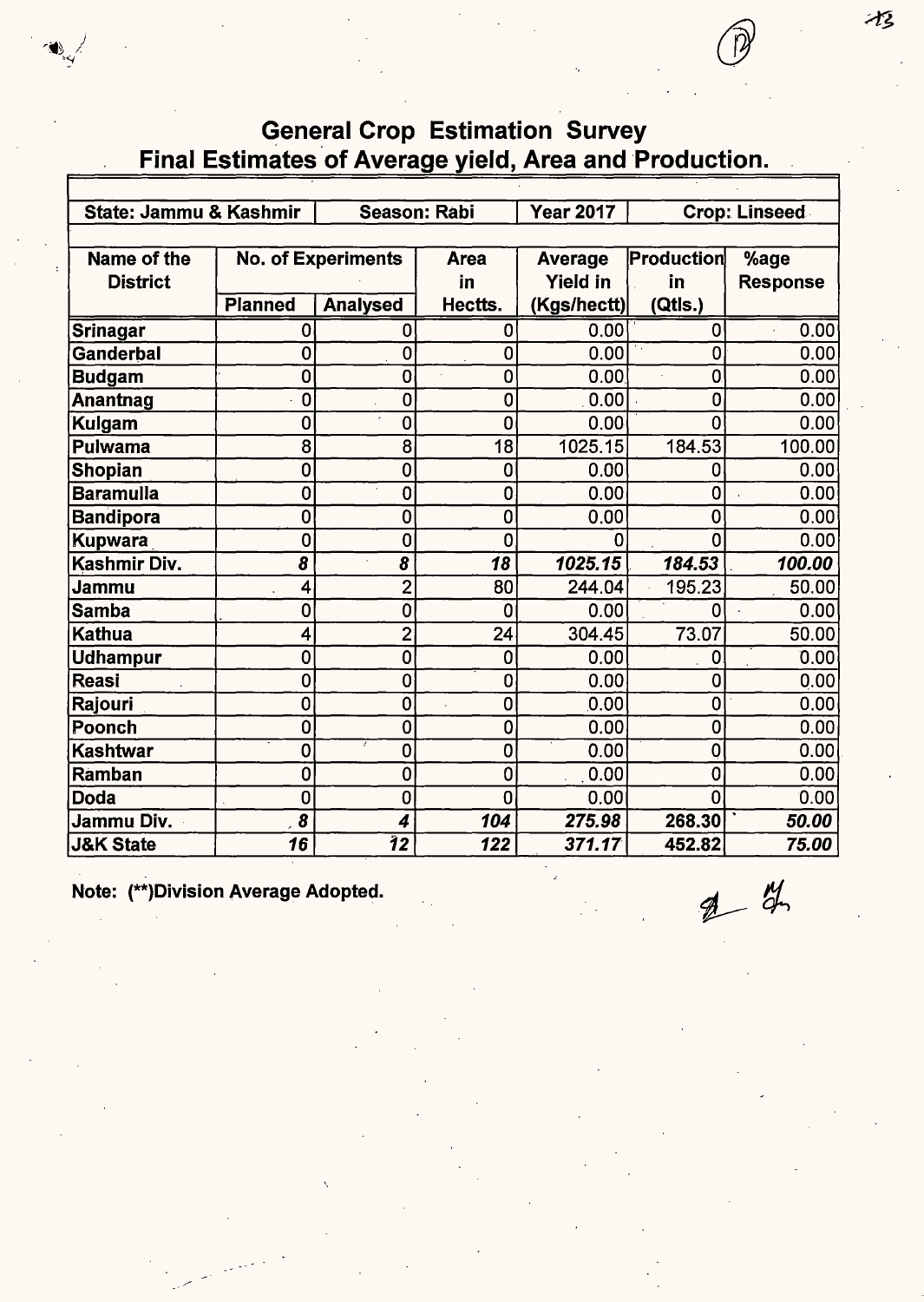## **General Crop Estimation Survey** Final Estimates of Average yield, Area and Production.

| State: Jammu & Kashmir |                |                           | <b>Season: Rabi</b> | <b>Year 2017</b> |                | <b>Crop: Linseed</b> |
|------------------------|----------------|---------------------------|---------------------|------------------|----------------|----------------------|
|                        |                |                           |                     |                  |                |                      |
| Name of the            |                | <b>No. of Experiments</b> | <b>Area</b>         | <b>Average</b>   | Production     | %age                 |
| <b>District</b>        |                |                           | in                  | <b>Yield in</b>  | in             | <b>Response</b>      |
|                        | <b>Planned</b> | <b>Analysed</b>           | Hectts.             | (Kgs/hectt)      | (Qtls.)        |                      |
| Srinagar               | 0              | 0                         | 0                   | 0.00             | 0              | 0.00                 |
| Ganderbal              | $\overline{0}$ | $\mathbf 0$               | 0                   | 0.00             | 0              | 0.00                 |
| <b>Budgam</b>          | $\mathbf 0$    | $\mathbf 0$               | 0                   | 0.00             | 0              | 0.00                 |
| <b>Anantnag</b>        | $\mathbf 0$    | $\mathbf 0$               | 0                   | 0.00             | $\mathbf 0$    | 0.00                 |
| Kulgam                 | 0              | 0                         | $\mathbf 0$         | 0.00             | $\overline{0}$ | 0.00                 |
| <b>Pulwama</b>         | 8              | 8                         | 18                  | 1025.15          | 184.53         | 100.00               |
| <b>Shopian</b>         | 0              | 0                         | $\mathbf 0$         | 0.00             | 0              | 0.00                 |
| <b>Baramulla</b>       | $\mathbf 0$    | $\mathbf 0$               | $\mathbf 0$         | 0.00             | 0              | 0.00                 |
| <b>Bandipora</b>       | $\mathbf 0$    | 0                         | $\mathbf 0$         | 0.00             | $\mathbf 0$    | 0.00                 |
| <b>Kupwara</b>         | $\overline{0}$ | $\overline{0}$            | $\overline{0}$      | ŋ                | 0              | 0.00                 |
| Kashmir Div.           | 8              | 8                         | 18                  | 1025.15          | 184.53         | 100.00               |
| Jammu                  | 4              | $\overline{2}$            | 80                  | 244.04           | 195.23         | 50.00                |
| <b>Samba</b>           | 0              | 0                         | $\mathbf 0$         | 0.00             | 0              | 0.00                 |
| <b>Kathua</b>          | 4              | $\overline{2}$            | 24                  | 304.45           | 73.07          | 50.00                |
| <b>Udhampur</b>        | $\mathbf 0$    | 0                         | $\mathbf 0$         | 0.00             | 0              | 0.00                 |
| <b>Reasi</b>           | 0              | $\mathbf 0$               | $\bf{0}$            | 0.00             | 0              | 0.00                 |
| Rajouri                | 0              | 0                         | $\mathbf 0$         | 0.00             | $\mathbf 0$    | 0.00                 |
| Poonch                 | 0              | $\mathbf 0$               | 0                   | 0.00             | $\mathbf 0$    | 0.00                 |
| <b>Kashtwar</b>        | 0              | $\mathbf 0$               | $\mathbf 0$         | 0.00             | 0              | 0.00                 |
| Ramban                 | $\mathbf 0$    | $\mathbf 0$               | $\mathbf 0$         | 0.00             | 0              | 0.00                 |
| <b>Doda</b>            | 0              | $\mathbf 0$               | $\mathbf 0$         | 0.00             | 0              | 0.00                 |
| Jammu Div.             | 8              | 4                         | 104                 | 275.98           | 268.30         | 50.00                |
| <b>J&amp;K State</b>   | 16             | $\overline{\bf 12}$       | 122                 | 371.17           | 452.82         | 75.00                |

Note: (\*\*)Division Average Adopted.

 $24$ 

 $\mathcal{X}_{\mathcal{Z}}$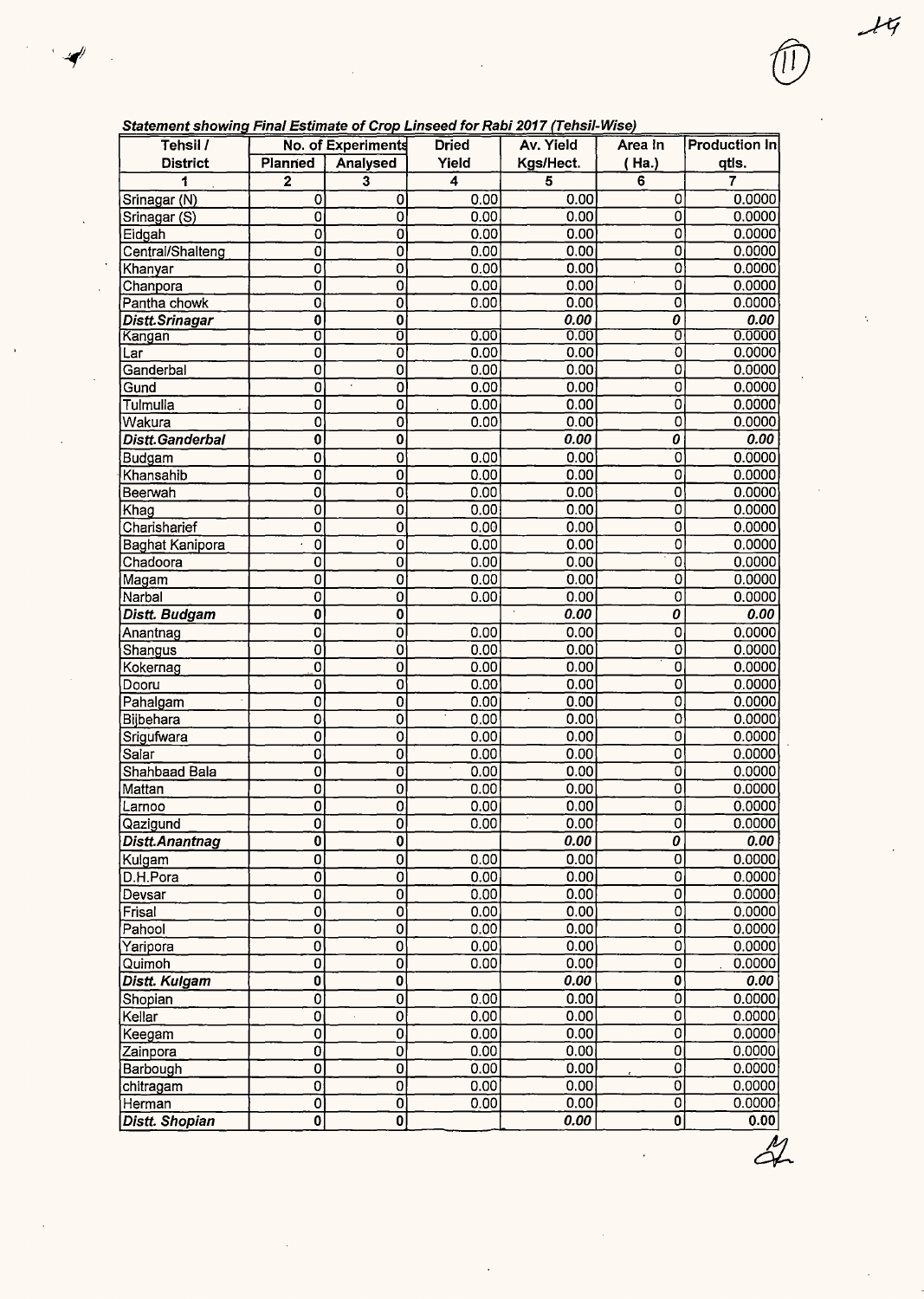|  | Statement showing Final Estimate of Crop Linseed for Rabi 2017 (Tehsil-Wise |  |
|--|-----------------------------------------------------------------------------|--|
|  |                                                                             |  |

 $\frac{1}{2}$ 

 $\mathcal{L}_{\mathcal{A}}$ 

| Tehsil /             |                           | No. of Experiments        | <b>Dried</b> | Av. Yield | Area In                   | <b>Production In</b> |
|----------------------|---------------------------|---------------------------|--------------|-----------|---------------------------|----------------------|
| <b>District</b>      | Planned                   | Analysed                  | Yield        | Kgs/Hect. | Ha.                       | qtis.                |
| 1                    | $\overline{\mathbf{2}}$   | 3                         | 4            | 5         | 6                         | 7                    |
| Srinagar (N)         | 0                         | 0                         | 0.00         | 0.00      | 0                         | 0.0000               |
| Srinagar (S)         | ō                         | $\overline{0}$            | 0.00         | 0.00      | ō                         | 0.0000               |
| Eidgah               | 0                         | 0                         | 0.00         | 0.00      | ō                         | 0.0000               |
| Central/Shalteng     | 0                         | 0                         | 0.00         | 0.00      | $\overline{0}$            | 0.0000               |
| Khanyar              | $\overline{0}$            | $\overline{0}$            | 0.00         | 0.00      | 0                         | 0.0000               |
| Chanpora             | $\mathbf 0$               | 0                         | 0.00         | 0.00      | 0                         | 0.0000               |
| Pantha chowk         | 0                         | 0                         | 0.00         | 0.00      | 0                         | 0.0000               |
| Distt.Srinagar       | 0                         | 0                         |              | 0.00      | 0                         | 0.00                 |
| Kangan               | $\overline{\mathfrak{o}}$ | ō                         | 0.00         | 0.00      | σ                         | 0.0000               |
| Lar                  | 0                         | 0                         | 0.00         | 0.00      | ō                         | 0.0000               |
| Ganderbal            | 0                         | 0                         | 0.00         | 0.00      | ō                         | 0.0000               |
| Gund                 | $\overline{0}$            | $\overline{0}$            | 0.00         | 0.00      | 0                         | 0.0000               |
| Tulmulla             | 0                         | 0                         | 0.00         | 0.00      | 0                         | 0.0000               |
| Wakura               | $\mathbf 0$               | 0                         | 0.00         | 0.00      | $\overline{\mathfrak{o}}$ | 0.0000               |
| Distt.Ganderbal      | $\overline{\mathbf{0}}$   | $\overline{\mathbf{0}}$   |              | 0.00      | 0                         | 0.00                 |
| Budgam               | $\overline{0}$            | $\overline{0}$            | 0.00         | 0.00      | $\overline{\mathfrak{o}}$ | 0.0000               |
| Khansahib            | $\overline{0}$            | $\overline{\mathfrak{o}}$ | 0.00         | 0.00      | ō                         | 0.0000               |
| Beerwah              | $\overline{0}$            | Ó                         | 0.00         | 0.00      | ō                         | 0.0000               |
| Khag                 | 0                         | 0                         | 0.00         | 0.00      | ō                         | 0.0000               |
| Charisharief         | 0                         | 0                         | 0.00         | 0.00      | $\overline{0}$            | 0.0000               |
| Baghat Kanipora      | O                         | 0                         | 0.00         | 0.00      | ō                         | 0.0000               |
| Chadoora             | 0                         | 0                         | 0.00         | 0.00      | 0                         | 0.0000               |
| Magam                | 0                         | 0                         | 0.00         | 0.00      | $\overline{\mathbf{0}}$   | 0.0000               |
| Narbal               | 0                         | 0                         | 0.00         | 0.00      | 0                         | 0.0000               |
| Distt. Budgam        | $\overline{0}$            | $\overline{\mathbf{o}}$   |              | 0.00      | 0                         | 0.00                 |
|                      | $\overline{0}$            | 0                         | 0.00         | 0.00      | $\overline{0}$            | 0.0000               |
| Anantnag             | $\overline{\mathfrak{o}}$ | 0                         | 0.00         | 0.00      | $\overline{\mathfrak{o}}$ | 0.0000               |
| Shangus              | $\overline{0}$            | Ō                         | 0.00         | 0.00      | ō                         | 0.0000               |
| Kokernag             | $\overline{0}$            |                           |              | 0.00      | $\overline{\mathfrak{o}}$ | 0.0000               |
| Dooru                |                           | 0                         | 0.00         | 0.00      | ō                         |                      |
| Pahalgam             | 0                         | 0                         | 0.00         |           |                           | 0.0000               |
| Bijbehara            | 0                         | Ò                         | 0.00         | 0.00      | ō                         | 0.0000               |
| Srigufwara           | 0                         | $\overline{0}$            | 0.00         | 0.00      | o                         | 0.0000               |
| Salar                | 0                         | 0                         | 0.00         | 0.00      | 0                         | 0.0000               |
| Shahbaad Bala        | 0                         | 0                         | 0.00         | 0.00      | 0                         | 0.0000               |
| Mattan               | $\overline{\mathbf{0}}$   | 0                         | 0.00         | 0.00      | $\overline{0}$            | 0.0000               |
| Larnoo               | 0                         | 0                         | 0.00         | 0.00      | $\overline{0}$            | 0.0000               |
| Qazigund             | 0                         | $\overline{0}$            | 0.00         | 0.00      | $\overline{\mathfrak{o}}$ | 0.0000               |
| Distt.Anantnag       | $\overline{\mathbf{0}}$   | $\overline{\mathbf{0}}$   |              | 0.00      | $\overline{o}$            | 0.00                 |
| Kulgam               | $\overline{\mathbf{0}}$   | 0                         | 0.00         | 0.00      | $\overline{\mathfrak{o}}$ | 0.0000               |
| D.H.Pora             | $\overline{\mathfrak{o}}$ | 0                         | 0.00         | 0.00      | $\overline{\mathfrak{o}}$ | 0.0000               |
| Devsar               | $\overline{0}$            | 0                         | 0.00         | 0.00      | $\overline{\mathfrak{o}}$ | 0.0000               |
| Frisal               | $\overline{0}$            | 0                         | 0.00         | 0.00      | $\overline{\mathfrak{o}}$ | 0.0000               |
| Pahool               | $\overline{0}$            | 0                         | 0.00         | 0.00      | $\overline{\mathfrak{o}}$ | 0.0000               |
| Yaripora             | $\overline{0}$            | 0                         | 0.00         | 0.00      | $\overline{0}$            | 0.0000               |
| Quimoh               | $\overline{0}$            | $\overline{\mathbf{0}}$   | 0.00         | 0.00      | $\overline{\mathbf{0}}$   | 0.0000               |
| Distt. Kulgam        | $\overline{\mathbf{0}}$   | $\overline{\mathbf{0}}$   |              | 0.00      | $\overline{\mathfrak{o}}$ | 0.00                 |
| Shopian              | $\overline{\mathfrak{o}}$ | 0                         | 0.00         | 0.00      | $\overline{0}$            | 0.0000               |
| Kellar               | $\overline{0}$            | 0                         | 0.00         | 0.00      | $\overline{\mathfrak{o}}$ | 0.0000               |
| Keegam               | $\overline{0}$            | 0                         | 0.00         | 0.00      | $\overline{\mathfrak{o}}$ | 0.0000               |
| Zainpora             | $\overline{0}$            | 0                         | 0.00         | 0.00      | $\overline{0}$            | 0.0000               |
| Barbough             | $\overline{\mathbf{o}}$   | $\overline{\mathbf{0}}$   | 0.00         | 0.00      | $\overline{0}$            | 0.0000               |
| chitragam            | $\overline{0}$            | $\overline{0}$            | 0.00         | 0.00      | $\overline{0}$            | 0.0000               |
| Herman               | $\overline{0}$            | $\overline{0}$            | 0.00         | 0.00      | $\overline{0}$            | 0.0000               |
| <b>Diett Shonian</b> | n.                        | n.                        |              | n nn      | n١                        | 0.00                 |

 $\frac{1}{2}$ 

 $\frac{1}{\sqrt{2}}$ 

 $\frac{1}{2}$ 

 $\ddot{\cdot}$ 

 $\left(\begin{matrix} 1 \end{matrix}\right)$ 

 $\langle \hat{u} \rangle$ 

 $\sim$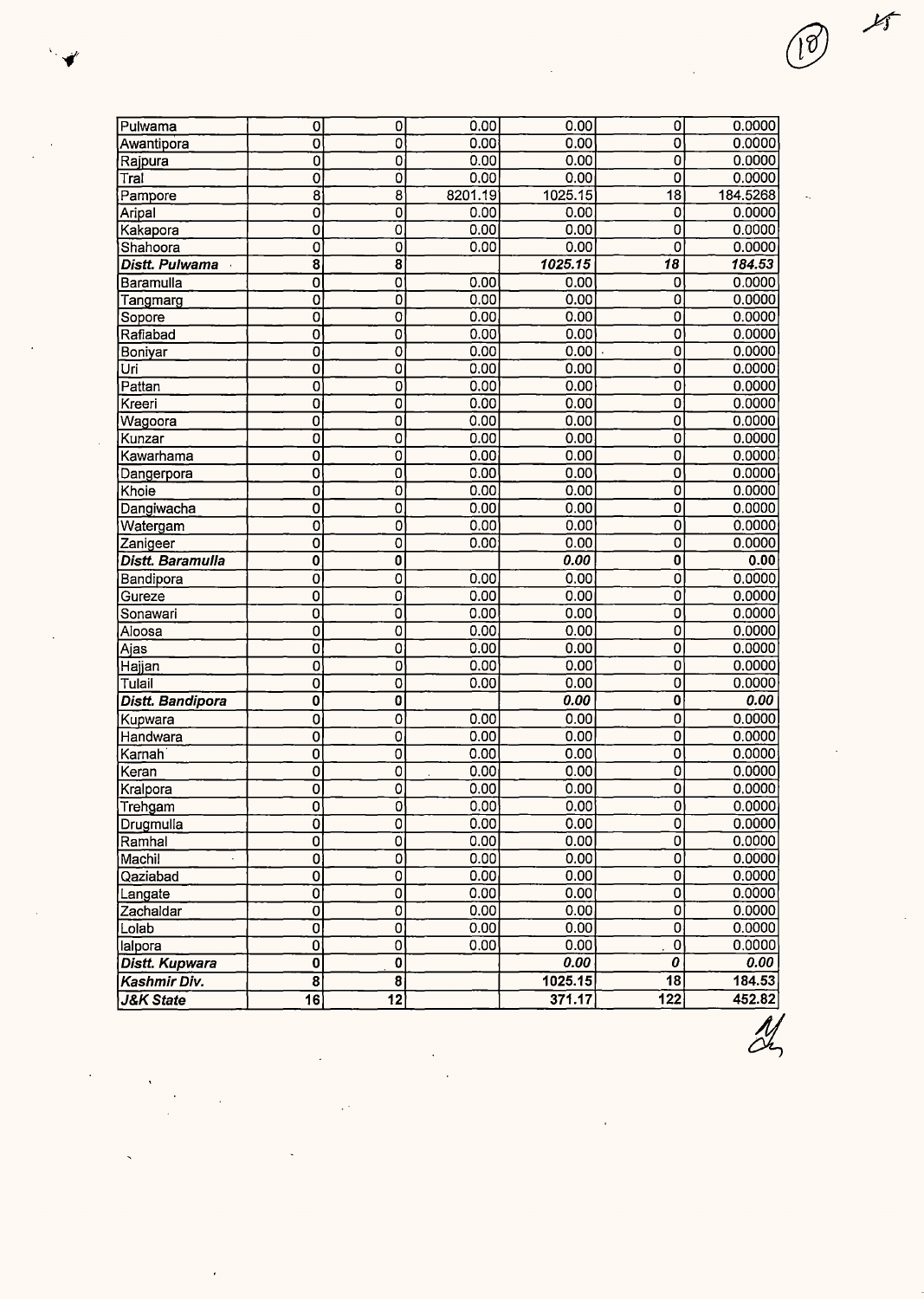| <b>Pulwama</b>          | 0                         | 0                       | 0.00    | 0.00              | $\Omega$                | 0.0000              |
|-------------------------|---------------------------|-------------------------|---------|-------------------|-------------------------|---------------------|
| Awantipora              | $\overline{0}$            | $\overline{0}$          | 0.00    | 0.00              | $\overline{0}$          | 0.0000              |
| Rajpura                 | $\overline{0}$            | $\overline{0}$          | 0.00    | 0.00              | $\mathbf 0$             | 0.0000              |
| Tral                    | 0                         | $\overline{0}$          | 0.00    | 0.00              | 0                       | 0.0000              |
| Pampore                 | $\overline{8}$            | 8                       | 8201.19 | 1025.15           | 18                      | 184.5268            |
| Aripal                  | $\overline{\mathfrak{o}}$ | $\mathbf 0$             | 0.00    | 0.00              | 0                       | 0.0000              |
| Kakapora                | 0                         | $\overline{0}$          | 0.00    | 0.00              | $\overline{0}$          | 0.0000              |
| Shahoora                | 0                         | 0                       | 0.00    | 0.00              | $\overline{0}$          | 0.0000              |
| Distt. Pulwama          | 8                         | $\overline{\mathbf{8}}$ |         | 1025.15           | $\overline{18}$         | $\overline{184.53}$ |
| Baramulla               | $\mathbf 0$               | $\overline{0}$          | 0.00    | 0.00              | 0                       | 0.0000              |
| Tangmarg                | $\mathbf 0$               | Ō                       | 0.00    | 0.00              | $\overline{0}$          | 0.0000              |
| Sopore                  | $\overline{0}$            | $\overline{0}$          | 0.00    | 0.00              | 0                       | 0.0000              |
| Rafiabad                | $\overline{0}$            | $\overline{0}$          | 0.00    | 0.00              | 0                       | 0.0000              |
| Boniyar                 | 0                         | $\overline{0}$          | 0.00    | 0.00              | $\overline{0}$          | 0.0000              |
| Uri                     | $\overline{0}$            | 0                       | 0.00    | 0.00              | $\overline{0}$          | 0.0000              |
| Pattan                  | $\overline{0}$            | $\overline{0}$          | 0.00    | 0.00              | $\overline{0}$          | 0.0000              |
| Kreeri                  | 0                         | 0                       | 0.00    | 0.00              | $\overline{0}$          | 0.0000              |
| Wagoora                 | $\mathbf 0$               | 0                       | 0.00    | 0.00              | $\overline{0}$          | 0.0000              |
| Kunzar                  | 0                         | 0                       | 0.00    | 0.00              | $\overline{0}$          | 0.0000              |
| Kawarhama               | $\overline{0}$            | $\overline{0}$          | 0.00    | 0.00              | 0                       | 0.0000              |
| Dangerpora              | 0                         | 0                       | 0.00    | 0.00              | 0                       | 0.0000              |
| Khoie                   | $\overline{0}$            | 0                       | 0.00    | 0.00              | 0                       | 0.0000              |
| Dangiwacha              | 0                         | 0                       | 0.00    | 0.00              | 0                       | 0.0000              |
| Watergam                | 0                         | $\overline{0}$          | 0.00    | 0.00              | $\overline{0}$          | 0.0000              |
| Zanigeer                | $\overline{0}$            | $\overline{0}$          | 0.00    | 0.00              | $\overline{0}$          | 0.0000              |
| Distt. Baramulla        | $\pmb{0}$                 | 0                       |         | 0.00              | $\overline{\mathbf{0}}$ | 0.00                |
| Bandipora               | $\overline{O}$            | 0                       | 0.00    | 0.00              | $\overline{0}$          | 0.0000              |
| Gureze                  | 0                         | 0                       | 0.00    | 0.00              | ō                       | 0.0000              |
| Sonawari                | $\mathbf 0$               | 0                       | 0.00    | 0.00              | $\mathbf 0$             | 0.0000              |
| Aloosa                  | 0                         | $\overline{0}$          | 0.00    | 0.00              | $\overline{0}$          | 0.0000              |
| Ajas                    | $\overline{0}$            | 0                       | 0.00    | 0.00              | $\mathbf 0$             | 0.0000              |
| Hajjan                  | 0                         | $\overline{0}$          | 0.00    | 0.00              | $\mathbf 0$             | 0.0000              |
| Tulail                  | 0                         | 0                       | 0.00    | 0.00              | $\overline{0}$          | 0.0000              |
| <b>Distt. Bandipora</b> | $\bf{0}$                  | 0                       |         | 0.00              | $\overline{\mathbf{0}}$ | 0.00                |
| Kupwara                 | $\overline{0}$            | 0                       | 0.00    | 0.00              | $\overline{0}$          | 0.0000              |
| Handwara                | $\overline{0}$            | 0                       | 0.00    | 0.00              | $\overline{0}$          | 0.0000              |
| Karnah                  | $\overline{0}$            | 0                       | 0.00    | 0.00              | $\overline{0}$          | 0.0000              |
| Keran                   | 0                         | 0                       | 0.00    | 0.00              | $\overline{0}$          | 0.0000              |
| Kralpora                | 0                         | 0                       | 0.00    | 0.00              | $\overline{0}$          | 0.0000              |
| Trehgam                 | 0                         | $\overline{0}$          | 0.00    | $\overline{0.00}$ | $\overline{0}$          | 0.0000              |
| Drugmulla               | Ō                         | $\overline{0}$          | 0.00    | 0.00              | $\overline{0}$          | 0.0000              |
| Ramhal                  | 0                         | 0                       | 0.00    | 0.00              | $\overline{0}$          | 0.0000              |
| Machil                  | 0                         | 0                       | 0.00    | 0.00              | $\mathbf{0}$            | 0.0000              |
| Qaziabad                | $\mathbf 0$               | 0                       | 0.00    | 0.00              | $\overline{0}$          | 0.0000              |
| Langate                 | $\overline{0}$            | $\overline{0}$          | 0.00    | 0.00              | $\overline{0}$          | 0.0000              |
| Zachaldar               | $\overline{0}$            | 0                       | 0.00    | 0.00              | 0                       | 0.0000              |
| Lolab                   | $\overline{0}$            | 0                       | 0.00    | 0.00              | $\overline{0}$          | 0.0000              |
| lalpora                 | 0                         | $\overline{0}$          | 0.00    | 0.00              | $\overline{0}$          | 0.0000              |
| <b>Distt. Kupwara</b>   | 0                         | $\overline{\mathbf{0}}$ |         | 0.00              | 0                       | 0.00                |
| Kashmir Div.            | 8                         | $\overline{\mathbf{8}}$ |         | 1025.15           | 18                      | 184.53              |
| <b>J&amp;K State</b>    | 16                        | $\overline{12}$         |         | 371.17            | 122                     | 452.82              |

 $\ddot{\phantom{a}}$ 

 $\overline{\mathscr{A}}$ 

 $25$ 

18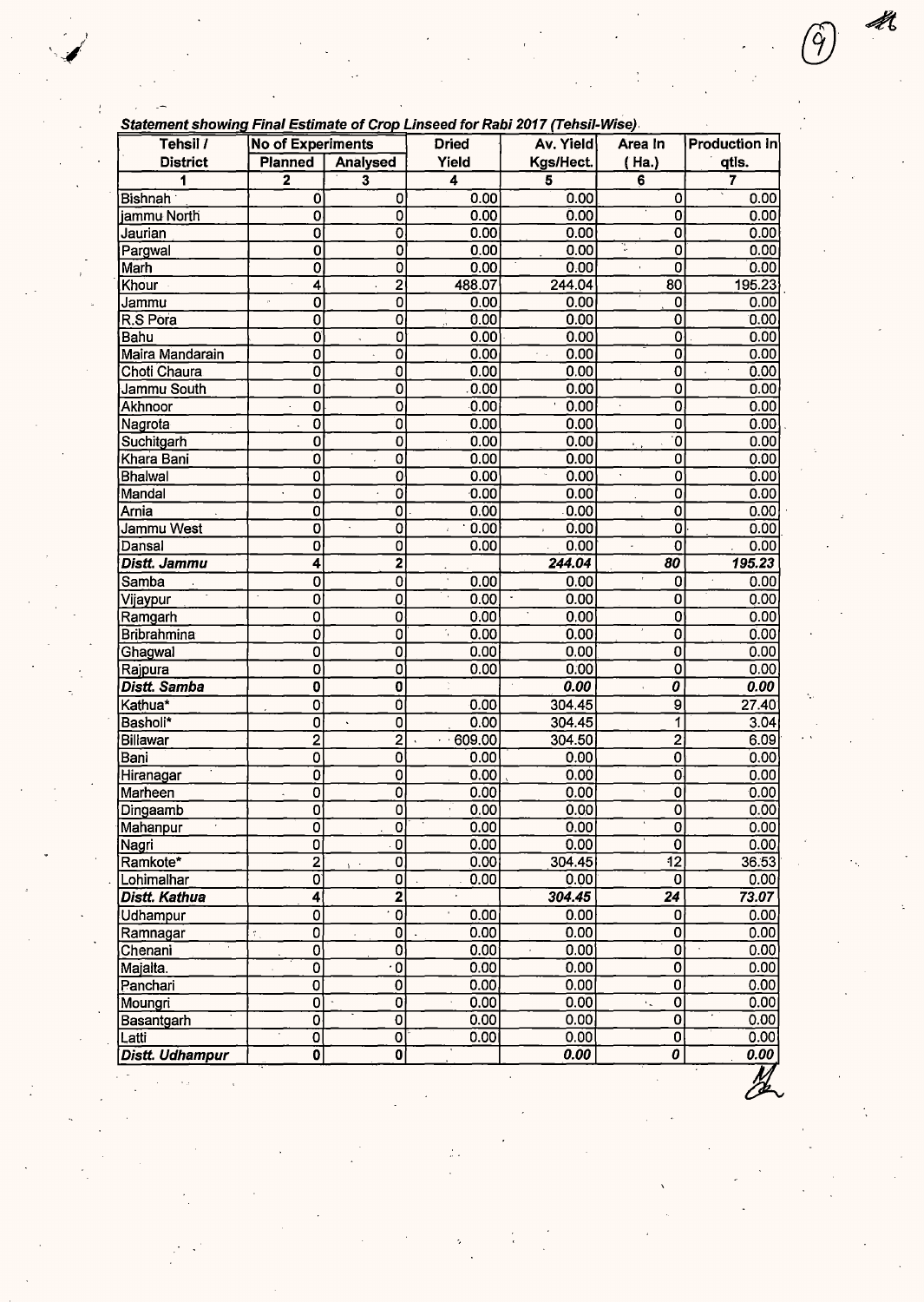| Tehsil /               | <b>No of Experiments</b>       |                           | <b>Dried</b>                 | Av. Yield                     | Area In                     | <b>Production In</b> |
|------------------------|--------------------------------|---------------------------|------------------------------|-------------------------------|-----------------------------|----------------------|
| <b>District</b>        | <b>Planned</b>                 | <b>Analysed</b>           | Yield                        | Kgs/Hect.                     | ( Ha.)                      | qtis.                |
| 1                      | $\overline{\mathbf{2}}$        | 3                         | 4                            | 5                             | 6                           | 7                    |
| Bishnah                | 0                              | 0                         | 0.00                         | 0.00                          | 0                           | 0.00                 |
| jammu North            | 0                              | 0                         | 0.00                         | 0.00                          | 0                           | 0.00                 |
| Jaurian                | 0                              | $\overline{0}$            | 0.00                         | 0.00                          | 0                           | 0.00                 |
| Pargwal                | $\overline{0}$                 | $\overline{0}$            | 0.00                         | 0.00                          | $\overline{\mathbf{0}}$     | 0.00                 |
| Marh                   | 0                              | Ō                         | 0.00                         | 0.00                          | $\overline{\mathfrak{o}}$   | 0.00                 |
| Khour ·                | 4                              | $\overline{2}$            | 488.07                       | 244.04                        | 80                          | 195.23               |
| Jammu                  | 0<br>$\mu$                     | 0                         | 0.00                         | 0.00                          | $\mathbf 0$                 | 0.00                 |
| R.S Pora               | 0                              | 0                         | 0.00<br>$\ddot{\phantom{a}}$ | 0.00                          | $\mathbf 0$                 | 0.00                 |
| Bahu                   | $\overline{0}$                 | 0                         | 0.00                         | 0.00                          | $\overline{0}$              | 0.00                 |
| Maira Mandarain        | 0                              | 0                         | 0.00                         | 0.00<br>$\epsilon = \sqrt{2}$ | 0                           | 0.00                 |
| Choti Chaura           | $\overline{0}$                 | 0                         | 0.00                         | 0.00                          | $\mathbf 0$                 | 0.00                 |
| Jammu South            | $\overline{0}$                 | 0                         | 0.00                         | 0.00                          | $\mathbf 0$                 | 0.00                 |
| Akhnoor                | 0                              | 0                         | 0.00                         | 0.00                          | $\overline{0}$              | 0.00                 |
| Nagrota                | $\overline{0}$                 | 0                         | 0.00                         | 0.00                          | 0                           | 0.00                 |
| Suchitgarh             | $\overline{0}$                 | 0                         | 0.00                         | 0.00                          | .0                          | 0.00                 |
| Khara Bani             | $\overline{\mathbf{o}}$        | 0                         | 0.00                         | 0.00                          | 0                           | 0.00                 |
| <b>Bhalwal</b>         | $\overline{0}$                 | 0                         | 0.00                         | 0.00                          | 0<br>$\bar{\phantom{a}}$    | 0.00                 |
| Mandal                 | 0                              | 0                         | 0.00                         | 0.00                          | 0                           | 0.00                 |
| Arnia                  | $\mathbf 0$                    | 0                         | 0.00                         | 0.00                          | 0                           | 0.00                 |
| Jammu West             | 0                              | 0                         | 0.00<br>$\boldsymbol{r}$     | 0.00                          | $\overline{0}$              | 0.00                 |
| Dansal                 | $\mathbf 0$                    | $\overline{\mathfrak{o}}$ | 0.00                         | 0.00                          | $\overline{0}$              | 0.00                 |
| Distt. Jammu           | 4                              | $\overline{\mathbf{2}}$   |                              | 244.04                        | 80                          | 195.23               |
| Samba                  | 0                              | 0                         | 0.00                         | 0.00                          | 0                           | 0.00                 |
|                        | Ō                              | 0                         | 0.00                         | $\;$<br>0.00                  | 0                           | 0.00                 |
| Vijaypur               | 0                              | 0                         | 0.00                         | 0.00                          | 0                           | 0.00                 |
| Ramgarh                | Ő                              |                           | ÷,<br>0.00                   | 0.00                          | $\mathbf 0$                 | 0.00                 |
| <b>Bribrahmina</b>     |                                | 0                         | 0.00                         |                               |                             |                      |
| Ghagwal                | $\overline{0}$                 | 0                         | 0.00                         | 0.00                          | $\bf{0}$                    | 0.00                 |
| Rajpura                | 0                              | ٥                         |                              | 0.00                          | 0                           | 0.00                 |
| Distt. Samba           | 0                              | 0                         |                              | 0.00                          | 0                           | 0.00                 |
| Kathua*                | 0                              | Ó                         | 0.00                         | 304.45                        | $\overline{9}$              | 27.40                |
| Basholi*               | 0                              | 0                         | 0.00                         | 304.45                        | 1                           | 3.04                 |
| <b>Billawar</b>        | $\overline{2}$                 | $\overline{2}$            | 609.00                       | 304.50                        | $\overline{2}$              | 6.09                 |
| Bani                   | 0                              | $\overline{0}$            | 0.00                         | 0.00                          | 0                           | 0.00                 |
| Hiranagar              | $\overline{0}$                 | 0                         | 0.00                         | 0.00                          | $\overline{\mathfrak{o}}$   | 0.00                 |
| Marheen                | $\overline{0}$                 | 0                         | 0.00                         | 0.00                          | Ö                           | 0.00                 |
| Dingaamb               | 0                              | 0                         | 0.00                         | 0.00                          | O                           | 0.00                 |
| Mahanpur               | ō                              | $\overline{\mathfrak{o}}$ | 0.00                         | 0.00                          | $\overline{\mathfrak{o}}$   | 0.00                 |
| Nagri                  | 0                              | $\overline{0}$            | 0.00                         | 0.00                          | $\overline{0}$              | 0.00                 |
| Ramkote*               | 2                              | 0<br>Y.                   | 0.00                         | 304.45                        | $\overline{12}$             | 36.53                |
| Lohimalhar             | $\overline{0}$                 | $\overline{\mathbf{0}}$   | 0.00                         | 0.00                          | $\bf{0}$                    | 0.00                 |
| <b>Distt. Kathua</b>   | $\overline{4}$                 | $\overline{\mathbf{2}}$   |                              | 304.45                        | $\overline{24}$             | 73.07                |
| Udhampur               | $\overline{0}$                 | $\overline{\mathfrak{o}}$ | 0.00                         | 0.00                          | 0                           | 0.00                 |
| Ramnagar               | $\overline{\mathfrak{o}}$<br>÷ | $\overline{0}$            | 0.00                         | 0.00                          | $\overline{0}$              | 0.00                 |
| Chenani                | $\overline{0}$                 | $\overline{\mathfrak{o}}$ | 0.00                         | 0.00                          | 0                           | 0.00                 |
| Majalta.               | $\overline{0}$                 | $\overline{\cdot}$ 0      | 0.00                         | 0.00                          | $\overline{\mathbf{0}}$     | 0.00                 |
| Panchari               | $\overline{\mathbf{0}}$        | $\overline{\mathfrak{o}}$ | 0.00                         | 0.00                          | Ó                           | 0.00                 |
| Moungri                | $\overline{0}$                 | $\overline{\mathbf{0}}$   | 0.00                         | 0.00                          | $\mathbf 0$<br>٠.           | 0.00                 |
| Basantgarh             | $\overline{0}$                 | $\overline{\mathbf{0}}$   | 0.00                         | 0.00                          | $\mathbf 0$                 | 0.00                 |
| Latti                  | 0                              | 0                         | 0.00                         | 0.00                          | $\overline{\text{o}}$       | 0.00                 |
| <b>Distt. Udhampur</b> | $\ddot{\mathbf{0}}$            | $\overline{\mathbf{0}}$   |                              | 0.00                          | $\overline{\boldsymbol{o}}$ | 0.00                 |

-

**!!!**<br>**DE** 

 $\bigcirc$ 

Ű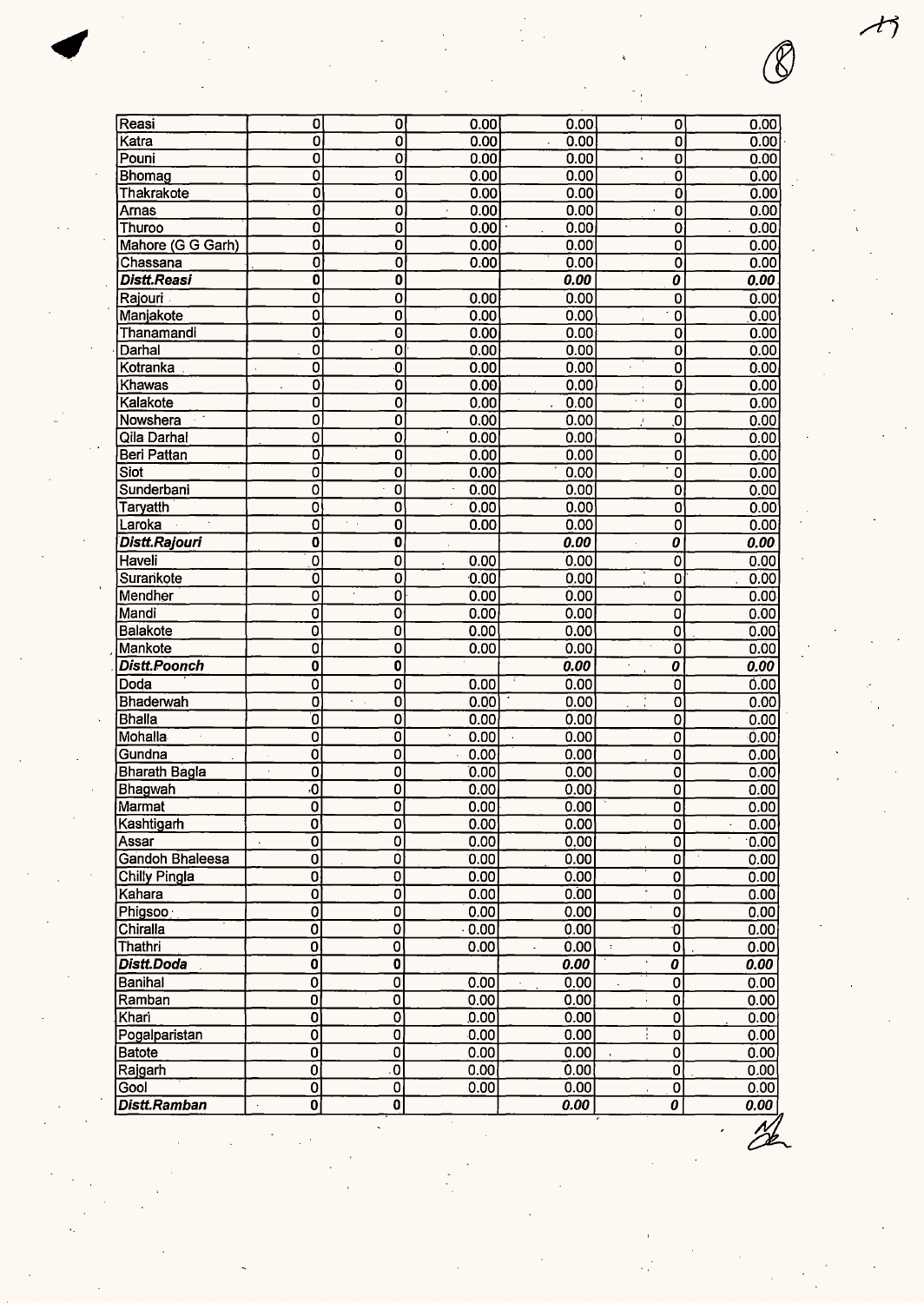| Reasi               | 0                         | 0                                  | 0.00 | 0.00   | 0                                | 0.00 |
|---------------------|---------------------------|------------------------------------|------|--------|----------------------------------|------|
| Katra               | ō                         | $\overline{0}$                     | 0.00 | 0.00   | $\overline{\mathfrak{o}}$        | 0.00 |
| Pouni               | $\overline{\mathbf{0}}$   | $\overline{0}$                     | 0.00 | 0.00   | 0                                | 0.00 |
| Bhomag              | $\overline{\mathfrak{o}}$ | $\overline{0}$                     | 0.00 | 0.00   | 0                                | 0.00 |
| Thakrakote          | $\overline{\mathfrak{o}}$ | $\mathbf 0$                        | 0.00 | 0.00   | 0                                | 0.00 |
| Arnas               | ō                         | $\overline{\mathbf{0}}$            | 0.00 | 0.00   | $\overline{0}$                   | 0.00 |
| Thuroo              | ō                         | $\overline{\mathbf{0}}$            | 0.00 | 0.00   | $\overline{\mathbf{o}}$          | 0.00 |
| Mahore (G G Garh)   | $\overline{0}$            | $\overline{0}$                     | 0.00 | 0.00   | $\mathbf 0$                      | 0.00 |
| Chassana            | $\overline{\mathfrak{o}}$ | $\overline{0}$                     | 0.00 | 0.00   | 0                                | 0.00 |
| Distt.Reasi         | $\overline{\mathbf{0}}$   | $\overline{\mathbf{0}}$            |      | 0.00   | 0                                | 0.00 |
| Rajouri             | $\overline{\mathfrak{o}}$ | $\overline{\mathbf{o}}$            | 0.00 | 0.00   | $\bf{0}$                         | 0.00 |
| Manjakote           | ō                         | $\overline{\mathbf{0}}$            | 0.00 | 0.00   | $\mathbf 0$                      | 0.00 |
| Thanamandi          | Ō                         | 0                                  | 0.00 | 0.00   | 0                                | 0.00 |
| Darhal              | $\overline{\mathbf{0}}$   | 0                                  | 0.00 | 0.00   | 0                                | 0.00 |
| Kotranka            | $\overline{\mathbf{o}}$   | $\overline{\mathbf{0}}$            | 0.00 | 0.00   | Ō                                | 0.00 |
| Khawas              | $\overline{\mathbf{0}}$   | $\overline{0}$                     | 0.00 | 0.00   | 0                                | 0.00 |
| Kalakote            | $\overline{\mathfrak{o}}$ | 0                                  | 0.00 | $\sim$ | $\epsilon=1$<br>$\overline{0}$   |      |
|                     |                           |                                    |      | 0.00   |                                  | 0.00 |
| Nowshera            | 0                         | 0                                  | 0.00 | 0.00   | $\overline{\mathbf{0}}$<br>J     | 0.00 |
| Qila Darhal         | O                         | 0                                  | 0.00 | 0.00   | $\mathbf 0$                      | 0.00 |
| Beri Pattan         | ō                         | 0                                  | 0.00 | 0.00   | $\overline{0}$                   | 0.00 |
| Siot                | 0                         | $\overline{0}$                     | 0.00 | 0.00   | O                                | 0.00 |
| Sunderbani          | 0                         | $\mathbf 0$                        | 0.00 | 0.00   | 0                                | 0.00 |
| Taryatth            | ō                         | o                                  | 0.00 | 0.00   | 0                                | 0.00 |
| Laroka              | $\overline{\mathfrak{o}}$ | $\overline{\mathbf{0}}$<br>$\cdot$ | 0.00 | 0.00   | $\overline{0}$                   | 0.00 |
| Distt.Rajouri       | $\overline{\mathbf{0}}$   | $\overline{\mathbf{0}}$            |      | 0.00   | 0                                | 0.00 |
| Haveli              | $\overline{\mathbf{0}}$   | Ò                                  | 0.00 | 0.00   | $\overline{0}$                   | 0.00 |
| Surankote           | 0                         | 0                                  | 0.00 | 0.00   | $\overline{0}$                   | 0.00 |
| Mendher             | 0                         | 0                                  | 0.00 | 0.00   | $\mathbf 0$                      | 0.00 |
| Mandi               | 0                         | $\overline{0}$                     | 0.00 | 0.00   | 0                                | 0.00 |
| Balakote            | 0                         | 0                                  | 0.00 | 0.00   | $\mathbf 0$                      | 0.00 |
| Mankote             | Ò                         | 0                                  | 0.00 | 0.00   | $\overline{0}$                   | 0.00 |
| <b>Distt.Poonch</b> | $\overline{\mathbf{0}}$   | $\overline{\mathbf{0}}$            |      | 0.00   | 0                                | 0.00 |
| Doda                | $\overline{0}$            | 0                                  | 0.00 | 0.00   | 0                                | 0.00 |
| Bhaderwah           | $\overline{\mathbf{0}}$   | 0<br>$\epsilon = 1$                | 0.00 | 0.00   | 0                                | 0.00 |
| <b>Bhalla</b>       | ō                         | $\overline{\mathbf{o}}$            | 0.00 | 0.00   | 0                                | 0.00 |
| Mohalla             | ō                         | $\overline{\mathfrak{o}}$          | 0.00 | 0.00   | 0                                | 0.00 |
| Gundna              | $\overline{\mathbf{0}}$   | 0                                  | 0.00 | 0.00   | 0                                |      |
|                     | à,                        |                                    |      |        | $\overline{0}$                   | 0.00 |
| Bharath Bagla       | 0                         | 0                                  | 0.00 | 0.00   |                                  | 0.00 |
| <b>Bhagwah</b>      | $\overline{\mathbf{0}}$   | 0                                  | 0.00 | 0.00   | $\overline{0}$                   | 0.00 |
| Marmat              | $\overline{\mathfrak{o}}$ | $\overline{\mathbf{o}}$            | 0.00 | 0.00   | 이                                | 0.00 |
| Kashtigarh          | 0                         | 0                                  | 0.00 | 0.00   | $\overline{\mathfrak{o}}$        | 0.00 |
| Assar               | 0<br>$\ddot{\phantom{0}}$ | 0                                  | 0.00 | 0.00   | 0                                | 0.00 |
| Gandoh Bhaleesa     | 0                         | Ő                                  | 0.00 | 0.00   | 0                                | 0.00 |
| Chilly Pingla       | $\overline{\mathbf{0}}$   | $\overline{\mathbf{0}}$            | 0.00 | 0.00   | 0                                | 0.00 |
| Kahara              | $\overline{0}$            | $\overline{\mathbf{0}}$            | 0.00 | 0.00   | $\mathbf 0$                      | 0.00 |
| Phigsoo             | 0                         | 0                                  | 0.00 | 0.00   | $\overline{0}$                   | 0.00 |
| Chiralla            | 0                         | 0                                  | 0.00 | 0.00   | $\overline{0}$                   | 0.00 |
| Thathri             | $\overline{0}$            | $\overline{\mathbf{0}}$            | 0.00 | 0.00   | $\overline{0}$<br>$\tilde{\tau}$ | 0.00 |
| Distt.Doda          | $\overline{\mathbf{0}}$   | $\overline{\mathbf{0}}$            |      | 0.00   | 0                                | 0.00 |
| Banihal             | $\overline{\mathfrak{o}}$ | $\overline{\mathfrak{o}}$          | 0.00 | 0.00   | $\mathbf 0$                      | 0.00 |
| Ramban              | $\overline{\mathbf{0}}$   | $\overline{0}$                     | 0.00 | 0.00   | $\overline{0}$                   | 0.00 |
| Khari               | $\overline{\mathbf{0}}$   | $\overline{\mathbf{0}}$            | 0.00 | 0.00   | $\overline{0}$                   | 0.00 |
| Pogalparistan       | $\overline{0}$            | $\pmb{0}$                          | 0.00 | 0.00   | 0                                | 0.00 |
| <b>Batote</b>       | $\overline{0}$            | 0                                  | 0.00 | 0.00   | 0                                | 0.00 |
| Rajgarh             | $\overline{\mathfrak{o}}$ | $\overline{0}$                     | 0.00 | 0.00   | Ö                                | 0.00 |
| Gool                | $\overline{0}$            | $\overline{0}$                     | 0.00 | 0.00   | $\overline{0}$                   | 0.00 |
| Distt.Ramban        | $\overline{\mathbf{0}}$   | $\mathbf{0}$                       |      | 0.00   | $\overline{o}$                   | 0.00 |
|                     |                           |                                    |      |        |                                  |      |

か

 $\mathcal{Y}% _{M_{1},M_{2}}^{\alpha,\beta}(\varepsilon)$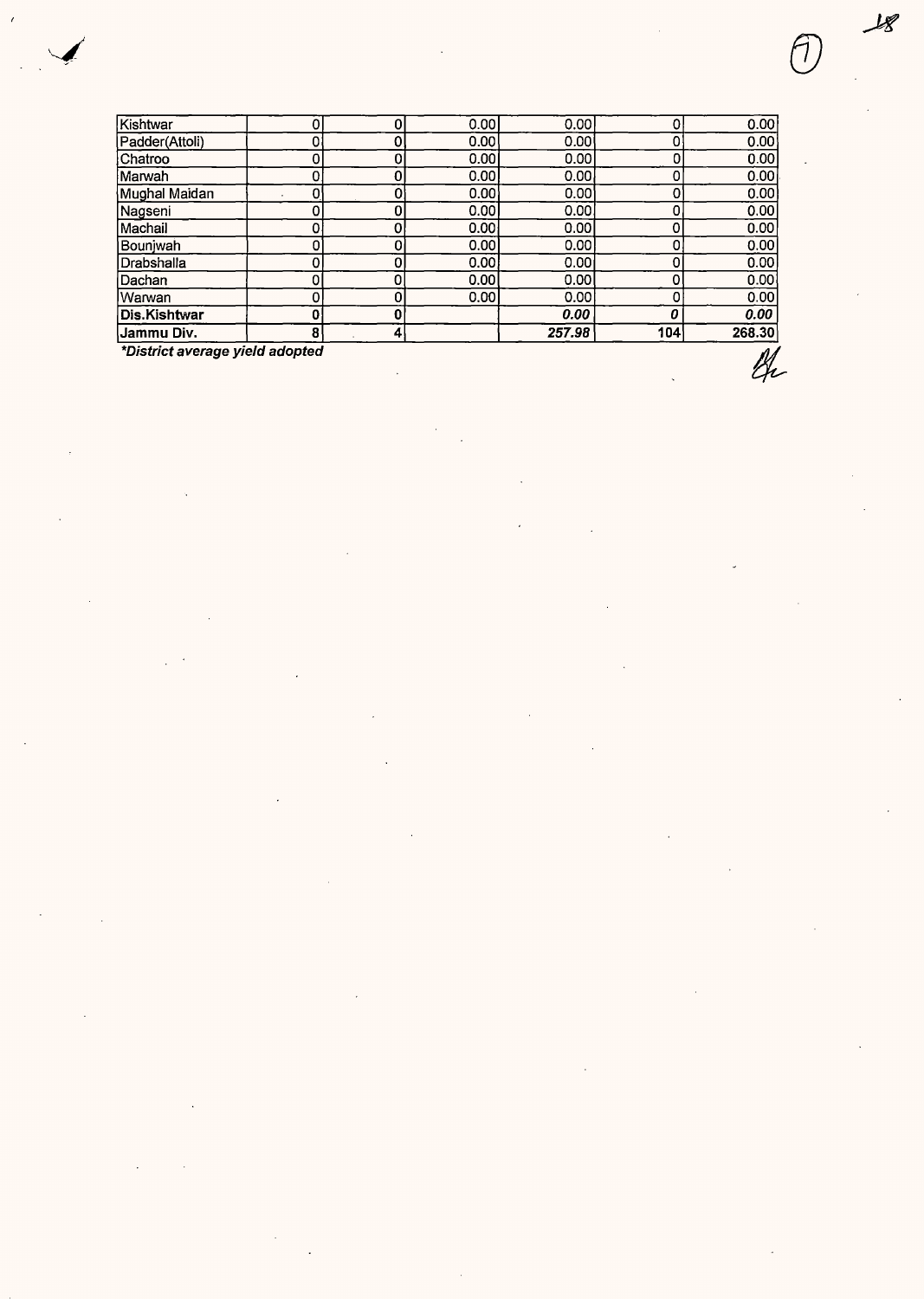| <b>Jammu Div.</b><br>_________<br>. | 8<br>$\sim$ | 4 |      | 257.98 | 104 |        |
|-------------------------------------|-------------|---|------|--------|-----|--------|
|                                     |             |   |      |        |     | 268.30 |
| Dis.Kishtwar                        | 0           |   |      | 0.00   |     | 0.00   |
| lWarwan                             | 0           |   | 0.00 | 0.001  |     | 0.00   |
| Dachan                              | 0           |   | 0.00 | 0.00   |     | 0.00   |
| Drabshalla                          | 0           |   | 0.00 | 0.00   |     | 0.00   |
| Bounjwah                            | 0           |   | 0.00 | 0.00   |     | 0.00   |
| Machail                             |             |   | 0.00 | 0.00   |     | 0.00   |
| Nagseni                             | 0           |   | 0.00 | 0.001  |     | 0.00   |
| Mughal Maidan                       | 0           |   | 0.00 | 0.00   |     | 0.00   |
| Marwah                              | 0           |   | 0.00 | 0.00   |     | 0.00   |
| Chatroo                             | 0           |   | 0.00 | 0.00   |     | 0.00   |
| lPadder(Attoli).                    | 0           |   | 0.00 | 0.00   |     | 0.00   |
| Kishtwar                            | 0           | 0 | 0.00 | 0.001  |     | 0.00   |

**\*District average yield adopted**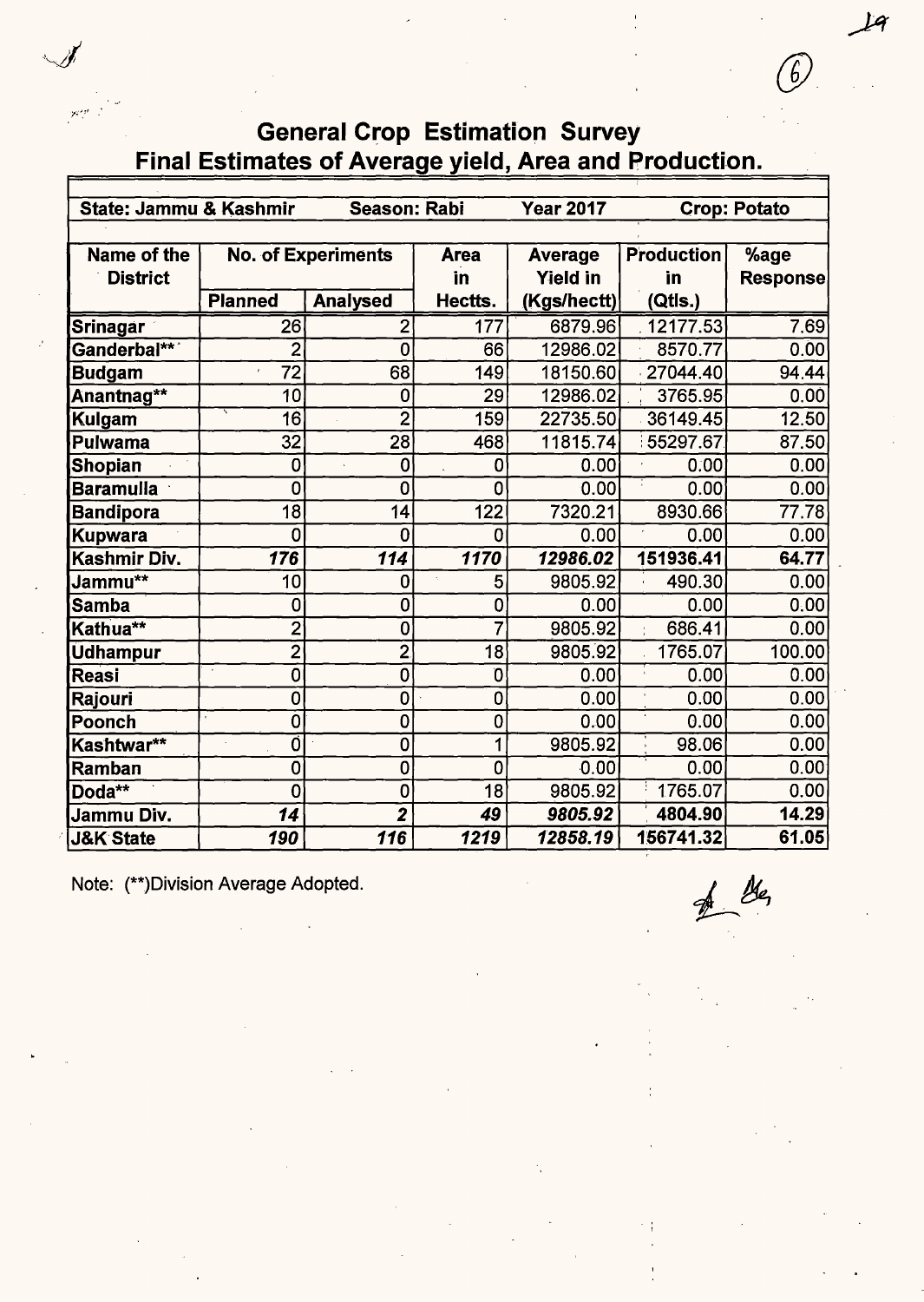# General Crop Estimation Survey Final Estimates of Average yield, Area and Production.

| State: Jammu & Kashmir |                  | <b>Season: Rabi</b>       |                           | <b>Year 2017</b> |                   | <b>Crop: Potato</b> |
|------------------------|------------------|---------------------------|---------------------------|------------------|-------------------|---------------------|
|                        |                  |                           |                           |                  |                   |                     |
| Name of the            |                  | <b>No. of Experiments</b> | <b>Area</b>               | <b>Average</b>   | <b>Production</b> | %age                |
| <b>District</b>        |                  |                           | in                        | <b>Yield in</b>  | in                | <b>Response</b>     |
|                        | <b>Planned</b>   | <b>Analysed</b>           | Hectts.                   | (Kgs/hectt)      | (Qtls.)           |                     |
| <b>Srinagar</b>        | 26               | $\overline{c}$            | 177                       | 6879.96          | 12177.53          | 7.69                |
| Ganderbal***           | $\overline{2}$   | 0                         | 66                        | 12986.02         | 8570.77           | 0.00                |
| <b>Budgam</b>          | 72<br>ï          | 68                        | 149                       | 18150.60         | 27044.40          | 94.44               |
| Anantnag**             | 10               | 0                         | 29                        | 12986.02         | 3765.95           | 0.00                |
| Kulgam                 | 16               | $\overline{2}$            | 159                       | 22735.50         | 36149.45          | 12.50               |
| Pulwama                | 32               | 28                        | 468                       | 11815.74         | 55297.67          | 87.50               |
| <b>Shopian</b>         | 0                | 0                         | 0                         | 0.00             | 0:00              | 0.00                |
| <b>Baramulla</b>       | 0                | 0                         | 0                         | 0.00             | 0.00              | 0.00                |
| <b>Bandipora</b>       | 18               | 14                        | $\overline{1}22$          | 7320.21          | 8930.66           | 77.78               |
| <b>Kupwara</b>         | 0                | 0                         | 0                         | 0.00             | 0.00              | 0.00                |
| Kashmir Div.           | $\overline{176}$ | 114                       | 1170                      | 12986.02         | 151936.41         | 64.77               |
| Jammu**                | 10               | 0                         | 5                         | 9805.92          | 490.30            | 0.00                |
| Samba                  | 0                | 0                         | 0                         | 0.00             | 0.00              | 0.00                |
| Kathua**               | $\overline{2}$   | $\mathbf 0$               | $\overline{\overline{7}}$ | 9805.92          | 686.41<br>÷.      | $\overline{0.00}$   |
| <b>Udhampur</b>        | $\overline{2}$   | $\overline{2}$            | 18                        | 9805.92          | 1765.07           | 100.00              |
| Reasi                  | 0                | 0                         | O                         | 0.00             | 0.00              | 0.00                |
| Rajouri                | 0                | 0                         | 0                         | 0.00             | 0.00              | 0.00                |
| Poonch                 | 0                | 0                         | 0                         | 0.00             | 0.00              | 0.00                |
| Kashtwar**             | Ó                | 0                         | 1                         | 9805.92          | 98.06             | 0.00                |
| Ramban                 | 0                | 0                         | 0                         | 0.00             | 0.00              | 0.00                |
| Doda**                 | 0                | 0                         | 18                        | 9805.92          | 1765.07           | 0.00                |
| Jammu Div.             | 14               | $\overline{2}$            | 49                        | 9805.92          | 4804.90           | 14.29               |
| <b>J&amp;K State</b>   | 190              | 116                       | 1219                      | 12858.19         | 156741.32         | 61.05               |

Note: (\*\*)Division Average Adopted.

 $\mathcal{B}_{q}$ 

 $19$ 

*(f)*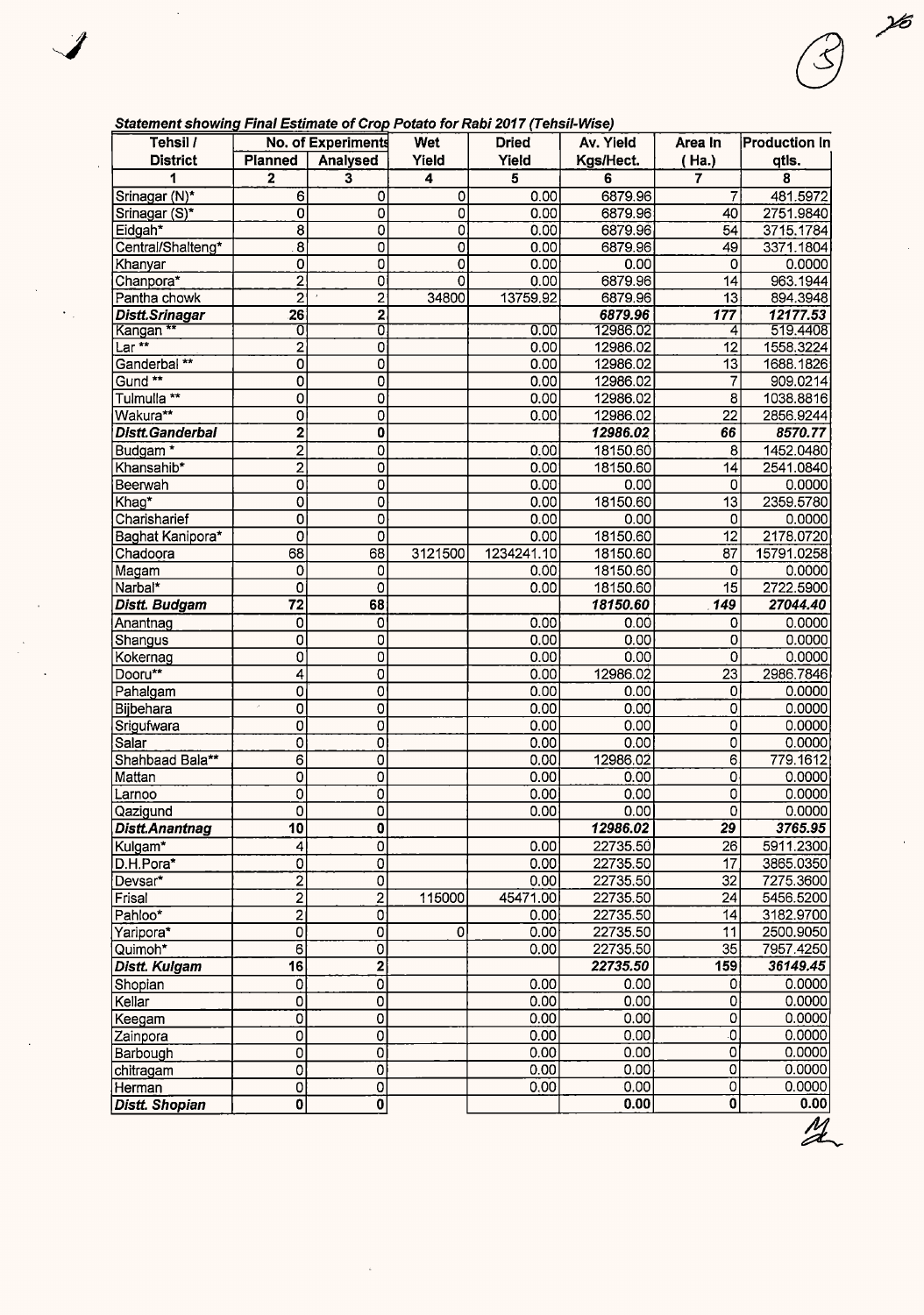### **Statement showing Final Estimate of Crop Potato for Rabi 2017 (Tehsil-Wise)**

 $\ddot{\phantom{a}}$ 

 $\mathcal{J}$ 

 $\bar{\mathcal{A}}$ 

 $\frac{1}{2}$ 

 $\langle \cdot \rangle_{\rm{eff}}$ 

 $\bar{\mathcal{A}}$ 

| Tehsil /                |                         | No. of Experiments           | Wet                       | <b>Dried</b> | Av. Yield    | Area In                 | <b>Production In</b> |
|-------------------------|-------------------------|------------------------------|---------------------------|--------------|--------------|-------------------------|----------------------|
| <b>District</b>         | <b>Planned</b>          | Analysed                     | Yield                     | Yield        | Kgs/Hect.    | (Ha.)                   | qtls.                |
|                         | $\overline{\mathbf{2}}$ | 3                            | 4                         | 5            | 6            | $\overline{\mathbf{r}}$ | 8                    |
| Srinagar (N)*           | 6                       | 0                            | 0                         | 0.00         | 6879.96      | 7                       | 481.5972             |
| Srinagar (S)*           | $\mathbf 0$             | $\overline{0}$               | $\overline{0}$            | 0.00         | 6879.96      | 40                      | 2751.9840            |
| Eidgah <sup>*</sup>     | $\overline{\mathbf{8}}$ | $\overline{0}$               | $\overline{\mathfrak{o}}$ | 0.00         | 6879.96      | 54                      | 3715.1784            |
| Central/Shalteng*       | 8                       | 0                            | 0                         | 0.00         | 6879.96      | 49                      | 3371.1804            |
| Khanyar                 | O                       | $\overline{0}$               | 0                         | 0.00         | 0.00         | 0                       | 0.0000               |
| Chanpora*               | $\overline{2}$          | $\overline{0}$               | 0                         | 0.00         | 6879.96      | 14                      | 963.1944             |
| Pantha chowk            | $\overline{2}$          | $\overline{2}$               | 34800                     | 13759.92     | 6879.96      | $\overline{13}$         | 894.3948             |
| Distt.Srinagar          | $\overline{26}$         | 2                            |                           |              | 6879.96      | $\overline{177}$        | 12177.53             |
| Kangan **               | Ō                       | 0                            |                           | 0.00         | 12986.02     | 4                       | 519.4408             |
| $Lar \star\star$        | $\overline{2}$          | 0                            |                           | 0.00         | 12986.02     | 12                      | 1558.3224            |
| Ganderbal <sup>**</sup> | 0                       | 0                            |                           | 0.00         | 12986.02     | 13                      | 1688.1826            |
| Gund <sup>**</sup>      | O                       | $\overline{0}$               |                           | 0.00         | 12986.02     | $\overline{7}$          | 909.0214             |
| Tulmulla <sup>**</sup>  | 0                       | 0                            |                           | 0.00         | 12986.02     | 8                       | 1038.8816            |
| Wakura**                | 0                       | 0                            |                           | 0.00         | 12986.02     | 22                      | 2856.9244            |
| <b>Distt.Ganderbal</b>  | $\overline{2}$          | $\overline{\mathbf{0}}$      |                           |              | 12986.02     | 66                      | 8570.77              |
| Budgam <sup>*</sup>     | $\overline{2}$          | 0                            |                           | 0.00         | 18150.60     | 8                       | 1452.0480            |
| Khansahib*              | 2                       | 0                            |                           | 0.00         | 18150.60     | 14                      | 2541.0840            |
| Beerwah                 | 0                       | 0                            |                           | 0.00         | 0.00         | 0                       | 0.0000               |
| Khag*                   | 0                       | 0                            |                           | 0.00         | 18150.60     | $\overline{13}$         | 2359.5780            |
| Charisharief            | $\overline{\mathbf{o}}$ | 0                            |                           | 0.00         | 0.00         | 0                       | 0.0000               |
| Baghat Kanipora*        | 0                       | 0                            |                           | 0.00         | 18150.60     | $\overline{12}$         | 2178.0720            |
| Chadoora                | 68                      | 68                           | 3121500                   | 1234241.10   | 18150.60     | 87                      | 15791.0258           |
| Magam                   | 0                       | 0                            |                           | 0.00         | 18150.60     | 0                       | 0.0000               |
| Narbal*                 | 0                       | 0                            |                           | 0.00         | 18150.60     | $\overline{15}$         | 2722.5900            |
| Distt. Budgam           | $\overline{72}$         | 68                           |                           |              | 18150.60     | 149                     | 27044.40             |
| Anantnag                | 0                       | 0                            |                           | 0.00         | 0.00         | 0                       | 0.0000               |
| Shangus                 | 0                       | 0                            |                           | 0.00         | 0.00         | 0                       | 0.0000               |
| Kokernag                | 0                       | $\overline{0}$               |                           | 0.00         | 0.00         | 0                       | 0.0000               |
| Dooru**                 | 4                       | 0                            |                           | 0.00         | 12986.02     | 23                      | 2986.7846            |
| Pahalgam<br>Bijbehara   | 0                       | 0<br>$\overline{\mathbf{0}}$ |                           | 0.00<br>0.00 | 0.00<br>0.00 | 0<br>$\overline{0}$     | 0.0000<br>0.0000     |
|                         | 0<br>0                  | $\overline{0}$               |                           | 0.00         | 0.00         | $\overline{0}$          | 0.0000               |
| Srigufwara<br>Salar     | 0                       | Ò                            |                           | 0.00         | 0.00         | 0                       | 0.0000               |
| Shahbaad Bala**         | 6                       | 0                            |                           | 0.00         | 12986.02     | 6                       | 779.1612             |
| Mattan                  | 0                       | $\overline{0}$               |                           | 0.00         | 0.00         | 0                       | 0.0000               |
| Larnoo                  | 0                       | o                            |                           | 0.00         | 0.00         | 0                       | 0.0000               |
| Qazigund                | $\overline{0}$          | $\overline{0}$               |                           | 0.00         | 0.00         | $\overline{0}$          | 0.0000               |
| Distt.Anantnag          | $\overline{10}$         | $\overline{0}$               |                           |              | 12986.02     | $\overline{29}$         | 3765.95              |
| Kulgam*                 | 4                       | $\overline{\mathfrak{o}}$    |                           | 0.00         | 22735.50     | $\overline{26}$         | 5911.2300            |
| D.H.Pora*               | ö                       | 0                            |                           | 0.00         | 22735.50     | $\overline{17}$         | 3865.0350            |
| Devsar*                 | $\overline{2}$          | $\overline{0}$               |                           | 0.00         | 22735.50     | 32                      | 7275.3600            |
| Frisal                  | $\overline{2}$          | $\overline{\mathbf{c}}$      | 115000                    | 45471.00     | 22735.50     | 24                      | 5456.5200            |
| Pahloo*                 | $\overline{2}$          | 0                            |                           | 0.00         | 22735.50     | 14                      | 3182.9700            |
| Yaripora*               | $\overline{0}$          | $\overline{0}$               | $\overline{\mathfrak{o}}$ | 0.00         | 22735.50     | 11                      | 2500.9050            |
| Quimoh*                 | $\overline{6}$          | $\overline{0}$               |                           | 0.00         | 22735.50     | $\overline{35}$         | 7957.4250            |
| <b>Distt. Kulgam</b>    | $\overline{16}$         | $\overline{\mathbf{2}}$      |                           |              | 22735.50     | 159                     | 36149.45             |
| Shopian                 | $\overline{0}$          | $\overline{\mathfrak{o}}$    |                           | 0.00         | 0.00         | 0                       | 0.0000               |
| Kellar                  | 0                       | $\overline{0}$               |                           | 0.00         | 0.00         | 0                       | 0.0000               |
| Keegam                  | 0                       | $\overline{0}$               |                           | 0.00         | 0.00         | $\mathbf 0$             | 0.0000               |
| Zainpora                | 0                       | $\overline{\mathfrak{o}}$    |                           | 0.00         | 0.00         | $\overline{0}$          | 0.0000               |
| Barbough                | 0                       | $\overline{\mathfrak{o}}$    |                           | 0.00         | 0.00         | $\mathbf 0$             | 0.0000               |
| chitragam               | 0                       | $\overline{0}$               |                           | 0.00         | 0.00         | $\overline{0}$          | 0.0000               |
| Herman                  | $\overline{\mathbf{o}}$ | $\overline{0}$               |                           | 0.00         | 0.00         | $\hbox{O}$              | 0.0000               |
| <b>Distt. Shopian</b>   | $\overline{\mathbf{0}}$ | $\overline{\mathfrak{o}}$    |                           |              | 0.00         | $\ddot{\mathbf{0}}$     | 0.00                 |

 $\frac{1}{6}$ 

 $\bar{\mathcal{A}}$ 

 $\hat{\boldsymbol{r}}$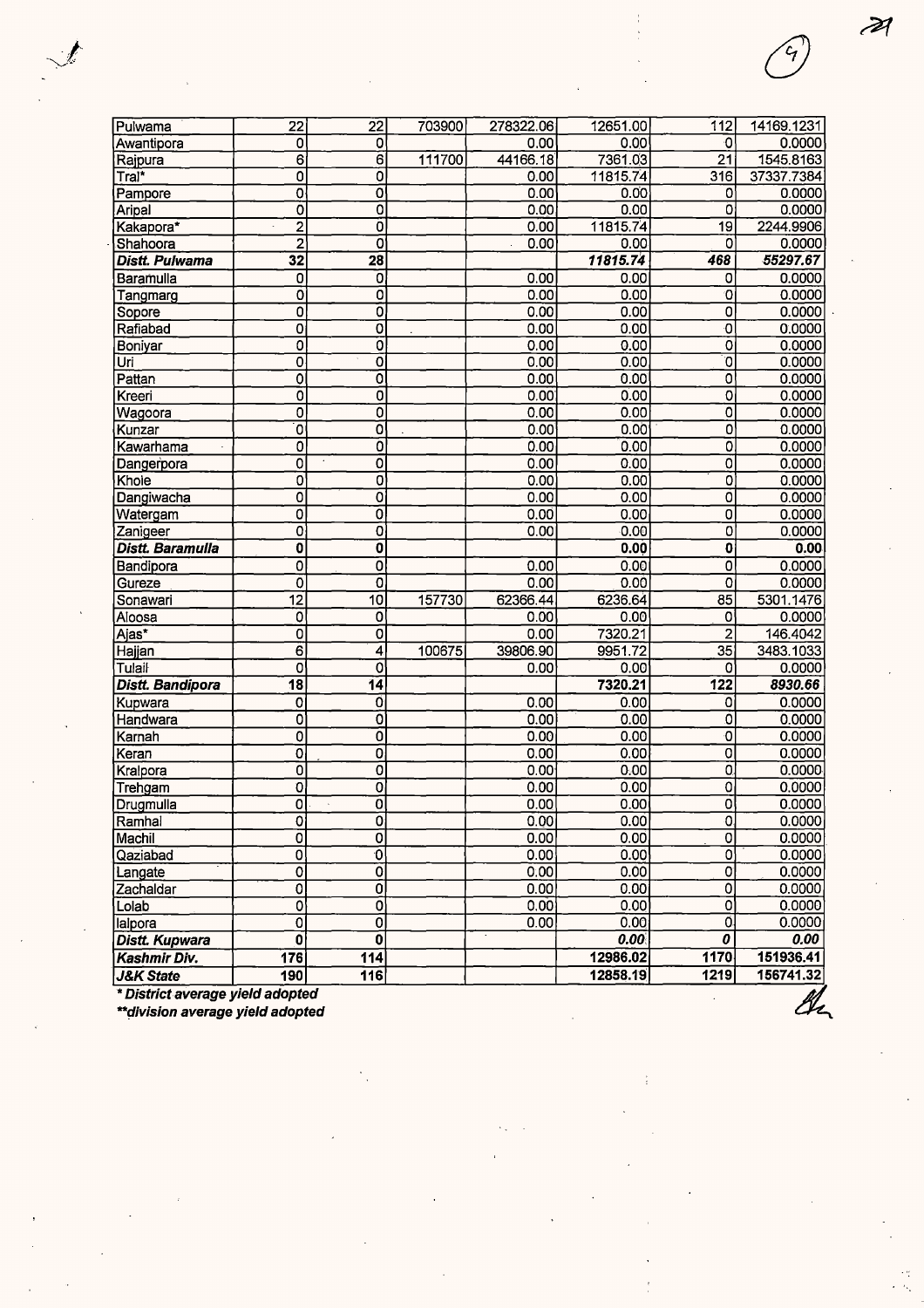| Pulwama               | 22                        | 22                        | 703900 | 278322.06         | 12651.00 | 112                              | 14169.1231 |
|-----------------------|---------------------------|---------------------------|--------|-------------------|----------|----------------------------------|------------|
| Awantipora            | 0                         | 0                         |        | 0.00              | 0.00     | ۰O                               | 0.0000     |
| Rajpura               | 6                         | $\overline{6}$            | 111700 | 44166.18          | 7361.03  | 21                               | 1545.8163  |
| Tral*                 | 0                         | 0                         |        | 0.00              | 11815.74 | 316                              | 37337.7384 |
| Pampore               | O                         | ō                         |        | 0.00              | 0.00     | 0                                | 0.0000     |
| Aripal                | Ő                         | $\overline{0}$            |        | 0.00              | 0.00     | Ò                                | 0.0000     |
| Kakapora*             | $\overline{2}$            | ō                         |        | 0.00              | 11815.74 | 19                               | 2244.9906  |
| Shahoora              | $\overline{2}$            | $\overline{\mathbf{o}}$   |        | 0.00              | 0.00     | 0                                | 0.0000     |
| <b>Distt. Pulwama</b> | $\overline{32}$           | $\overline{28}$           |        |                   | 11815.74 | 468                              | 55297.67   |
| Baramulla             | 0                         | 0                         |        | 0.00              | 0.00     | 0                                | 0.0000     |
| Tangmarg              | 0                         | ō                         |        | 0.00              | 0.00     | $\overline{0}$                   | 0.0000     |
| Sopore                | 0                         | ō                         |        | 0.00              | 0.00     | $\overline{0}$                   | 0.0000     |
| Rafiabad              | 0                         | $\overline{\mathfrak{o}}$ |        | 0.00              | 0.00     | $\overline{\mathbf{0}}$          | 0.0000     |
| Boniyar               | $\overline{0}$            | ō                         |        | 0.00              | 0.00     | $\overline{0}$                   | 0.0000     |
| Uri                   | 0                         | $\overline{\mathbf{o}}$   |        | 0.00              | 0.00     | $\overline{\mathfrak{o}}$        | 0.0000     |
| Pattan                | 0                         | ō                         |        | 0.00              | 0.00     | $\overline{\mathbf{o}}$          | 0.0000     |
| Kreeri                | 0                         | $\overline{\mathfrak{o}}$ |        | 0.00              | 0.00     | $\overline{0}$                   | 0.0000     |
| Wagoora               | 0                         | Ō                         |        | 0.00              | 0.00     | $\overline{0}$                   | 0.0000     |
| Kunzar                | $\overline{\mathbf{0}}$   | Ō                         |        | 0.00              | 0.00     | 0                                | 0.0000     |
| Kawarhama             | 0                         | Ö                         |        | 0.00              | 0.00     | 0                                | 0.0000     |
| Dangerpora            | $\overline{0}$            | O                         |        | 0.00              | 0.00     | $\overline{\mathfrak{o}}$        | 0.0000     |
| Khole                 | 0                         | $\overline{\mathbf{0}}$   |        | 0.00              | 0.00     | 0                                | 0.0000     |
| Dangiwacha            | 0                         | $\overline{\mathfrak{o}}$ |        | 0.00              | 0.00     | $\overline{\mathfrak{o}}$        | 0.0000     |
| Watergam              | $\overline{0}$            | $\overline{\mathfrak{o}}$ |        | 0.00              | 0.00     | $\overline{0}$                   | 0.0000     |
| Zanigeer              | 0                         | $\overline{\mathfrak{o}}$ |        | 0.00              | 0.00     | 0                                | 0.0000     |
| Distt. Baramulla      | 0                         | $\overline{\mathbf{0}}$   |        |                   | 0.00     | 0                                | 0.00       |
| Bandipora             | 0                         | Ō                         |        | 0.00              | 0.00     | $\overline{0}$                   | 0.0000     |
| Gureze                | 0                         | 0                         |        | 0.00              | 0.00     | 0                                | 0.0000     |
| Sonawari              | $\overline{12}$           | $\overline{10}$           | 157730 | 62366.44          | 6236.64  | 85                               | 5301.1476  |
| Aloosa                | 0                         | $\overline{\mathbf{0}}$   |        | 0.00              | 0.00     | 0                                | 0.0000     |
| Ajas*                 | $\overline{\mathbf{0}}$   | $\overline{\mathfrak{o}}$ |        | 0.00              | 7320.21  | $\overline{\mathbf{c}}$          | 146.4042   |
| Hajjan                | $\overline{6}$            | 4                         | 100675 | 39806.90          | 9951.72  | 35                               | 3483.1033  |
| Tulail                | 0                         | 0                         |        | 0.00              | 0.00     | 0                                | 0.0000     |
| Distt. Bandipora      | $\overline{18}$           | $\overline{14}$           |        |                   | 7320.21  | 122                              | 8930.66    |
| Kupwara               | 0                         | 0                         |        | 0.00              | 0.00     | 0                                | 0.0000     |
| Handwara              | $\overline{0}$            | ō                         |        | 0.00              | 0.00     | $\overline{\mathfrak{o}}$        | 0.0000     |
| Karnah                | 0                         | $\overline{\mathfrak{o}}$ |        | 0.00              | 0.00     | $\overline{\mathbf{0}}$          | 0.0000     |
| Keran                 | 0                         | $\overline{\mathfrak{o}}$ |        | 0.00              | 0.00     | 0                                | 0.0000     |
| Kralpora              | ō                         | $\overline{\mathfrak{o}}$ |        | 0.00              | 0.00     | $\overline{0}$                   | 0.0000     |
| Trehgam               | 0                         | 0                         |        | 0.00              | 0.00     | 0                                | 0.0000     |
| Drugmulla             | $\overline{0}$            | Ō                         |        | 0.00              | 0.00     | $\overline{\mathfrak{o}}$        | 0.0000     |
| Ramhal                | $\overline{0}$            | $\overline{0}$            |        | 0.00              | 0.00     | O.                               | 0.0000     |
| Machil                | $\overline{0}$            | ō                         |        | 0.00              | 0.00     | $\overline{0}$                   | 0.0000     |
| Qaziabad              | 0                         | ত                         |        | 0.00              | 0.00     | 0                                | 0.0000     |
| Langate               | 0                         | $\overline{\mathfrak{o}}$ |        | $\overline{0.00}$ | 0.00     | $\overline{0}$                   | 0.0000     |
| Zachaldar             | 0                         | Ō                         |        | 0.00              | 0.00     | $\overline{0}$                   | 0.0000     |
| Lolab                 | 0                         | 0                         |        | 0.00              | 0.00     | $\overline{0}$                   | 0.0000     |
| lalpora               | $\overline{\mathfrak{o}}$ | ō                         |        | 0.00              | 0.00     | Ö.                               | 0.0000     |
| <b>Distt. Kupwara</b> | $\overline{\mathbf{0}}$   | $\overline{\mathbf{0}}$   |        |                   | 0.00     | $\overline{\boldsymbol{\theta}}$ | 0.00       |
| Kashmir Div.          | 176                       | $\overline{114}$          |        |                   | 12986.02 | 1170                             | 151936.41  |
| <b>J&amp;K State</b>  | 190                       | 116                       |        |                   | 12858.19 | 1219                             | 156741.32  |
|                       |                           |                           |        |                   |          |                                  |            |

\* **District average yield adopted** 

**\*\*~ivision average yield adopted** 

÷

 $\mathscr{B}$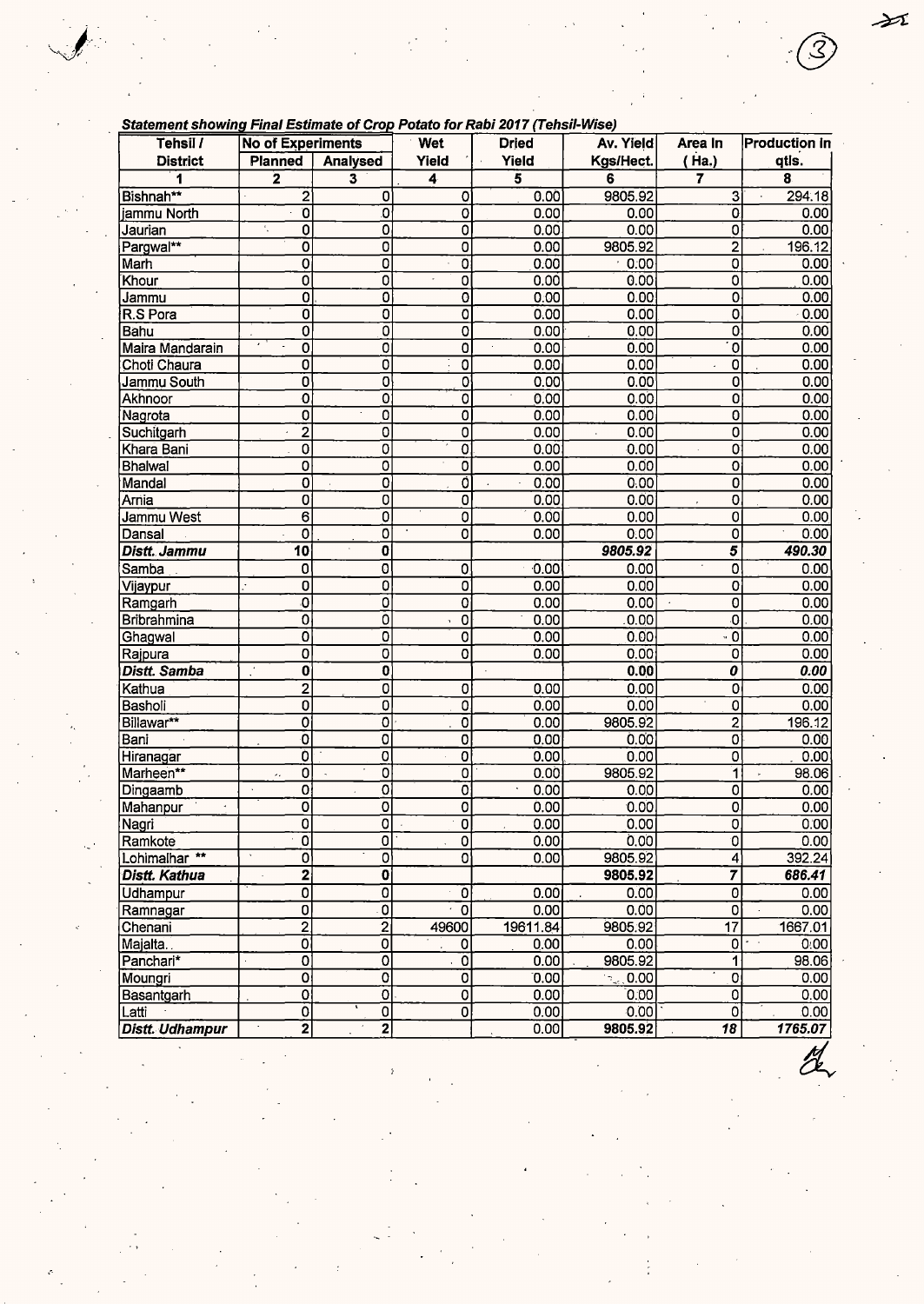| Statement showing Final Estimate of Crop Potato for Rabi 2017 (Tehsil-Wise) |
|-----------------------------------------------------------------------------|
|-----------------------------------------------------------------------------|

| Statement snowing Final Estimate of Crop Potato for Rabi 2017 (Tensil-Wise) |                                 |                           |                           |              |                |                           |                      |
|-----------------------------------------------------------------------------|---------------------------------|---------------------------|---------------------------|--------------|----------------|---------------------------|----------------------|
| Tehsil /                                                                    | <b>No of Experiments</b>        |                           | Wet                       | <b>Dried</b> | Av. Yield      | Area In                   | <b>Production in</b> |
| <b>District</b>                                                             | Planned                         | Analysed                  | Yield                     | Yield        | Kgs/Hect.      | (Ha.)                     | qtis.                |
| 1                                                                           | $\overline{\mathbf{z}}$         | 3                         | 4                         | 5            | 6              | 7                         | 8                    |
| Bishnah**                                                                   | $\overline{2}$                  | 0                         | 0                         | 0.00         | 9805.92        | 3                         | 294.18               |
| jammu North                                                                 | ō                               | 0                         | $\overline{0}$            | 0.00         | 0.00           | 0                         | 0.00                 |
| Jaurian                                                                     | 0<br>$\overline{\phantom{a}}$ . | Ō                         | $\overline{\mathfrak{o}}$ | 0.00         | 0.00           | 0                         | 0.00                 |
| Pargwal**                                                                   | 0                               | $\overline{\mathfrak{o}}$ | $\overline{0}$            | 0.00         | 9805.92        | $\overline{c}$            | 196.12               |
| Marh                                                                        | 0                               | $\overline{0}$            | $\overline{\mathfrak{o}}$ | 0.00         | 0.00           | $\overline{0}$            | 0.00                 |
| Khour                                                                       | $\overline{\mathfrak{o}}$       | $\overline{\mathfrak{o}}$ | $\overline{\mathfrak{o}}$ | 0.00         | 0.00           | 0                         | 0.00                 |
| Jammu                                                                       | 0                               | $\overline{\mathfrak{o}}$ | $\overline{\mathbf{o}}$   | 0.00         | 0.00           | 0                         | 0.00                 |
| R.S Pora                                                                    | $\overline{0}$                  | o                         | 0                         | 0.00         | 0.00           | $\overline{0}$            | 0.00                 |
| Bahu                                                                        | 0                               | $\overline{0}$            | $\overline{0}$            | 0.00         | 0.00           | 0                         | 0.00                 |
| Maira Mandarain                                                             | $\overline{0}$                  | $\overline{\mathfrak{o}}$ | $\overline{0}$            | 0.00         | 0.00           | $\overline{\mathfrak{o}}$ | 0.00                 |
| Choti Chaura                                                                | 0                               | $\overline{\mathfrak{o}}$ | $\overline{0}$            | 0.00         | 0.00           | $\overline{0}$            | 0.00                 |
| Jammu South                                                                 | 0                               | 0                         | 0                         | 0.00         | 0.00           | 0                         | 0.00                 |
| Akhnoor                                                                     | $\overline{\mathbf{o}}$         | $\overline{\mathfrak{o}}$ | 0                         | 0.00         | 0.00           | $\mathbf 0$               | 0.00                 |
| Nagrota                                                                     | 0                               | $\overline{\mathbf{0}}$   | $\overline{\mathbf{0}}$   | 0.00         | 0.00           | 0                         | 0.00                 |
| Suchitgarh                                                                  | $\bar{2}$                       | $\overline{0}$            | $\mathbf 0$               | 0.00         | 0.00           | 0                         | 0.00                 |
| Khara Bani                                                                  | 0                               | $\overline{0}$            | $\overline{0}$            | 0.00         | 0.00           | 0                         | 0.00                 |
| <b>Bhalwal</b>                                                              | 0                               | $\overline{0}$            | $\overline{\mathfrak{o}}$ | 0.00         | 0.00           | 0                         | 0.00                 |
| Mandal                                                                      | 0                               | $\overline{\mathfrak{o}}$ | $\overline{0}$            | 0.00         | 0.00           | 0                         | 0.00                 |
| Arnia                                                                       | 0                               | $\overline{0}$            | $\overline{0}$            | 0.00         | 0.00           | $\overline{O}$            | 0.00                 |
| Jammu West                                                                  | 6                               | $\overline{\mathfrak{o}}$ | 0                         | 0.00         | 0.00           | 0                         | 0.00                 |
| Dansal                                                                      | $\overline{0}$                  | 0                         | $\overline{0}$            | 0.00         | 0:00           | $\overline{0}$            | 0.00                 |
| <b>Distt. Jammu</b>                                                         | $\overline{10}$                 | $\overline{\mathbf{0}}$   |                           |              | 9805.92        | $\overline{5}$            | 490.30               |
| Samba                                                                       | 0                               | $\overline{\mathbf{0}}$   | 0                         | 0.00         | 0.00           | $\overline{0}$            | 0.00                 |
| Vijaypur                                                                    | 0                               | $\overline{\mathfrak{o}}$ | $\overline{\mathfrak{o}}$ | 0.00         | 0.00           | 0                         | 0.00                 |
| Ramgarh                                                                     | O                               | Ó                         | $\overline{O}$            | 0.00         | 0.00           | 0<br>$\sim$               | 0.00                 |
| <b>Bribrahmina</b>                                                          | 0                               | $\overline{0}$            | $\overline{\mathbf{o}}$   | 0.00         | 0.00           | 0                         | 0.00                 |
| Ghagwal                                                                     | 0                               | $\overline{0}$            | $\overline{0}$            | 0.00         | 0.00           | $\cdot$ 0                 | 0.00                 |
| Rajpura                                                                     | 0                               | $\overline{0}$            | $\overline{\mathbf{o}}$   | 0.00         | 0.00           | 0                         | 0.00                 |
| Distt. Samba                                                                | 0                               | $\overline{\mathbf{0}}$   |                           |              | 0.00           | $\overline{o}$            | 0.00                 |
| Kathua                                                                      | $\overline{2}$                  | $\overline{\mathbf{0}}$   | $\mathbf 0$               | 0.00         | 0.00           | 0                         | 0.00                 |
| Basholi                                                                     | 0                               | $\overline{\mathfrak{o}}$ | $\overline{0}$            | 0.00         | 0.00           | 0                         | 0.00                 |
| Billawar**                                                                  | O                               | $\overline{\mathfrak{o}}$ | $\overline{0}$            | 0.00         | 9805.92        | $\overline{c}$            | 196.12               |
| Bani                                                                        | Ō                               | 0                         | $\overline{0}$            | 0.00         | 0.00           | 0                         | 0.00                 |
| Hiranagar                                                                   | Ò                               | $\overline{0}$            | 0                         | 0.00         | 0.00           | 0                         | 0.00                 |
| Marheen**                                                                   | 0<br>ż,                         | $\overline{0}$            | $\overline{0}$            | 0.00         | 9805.92        | 1                         | 98.06                |
| Dingaamb                                                                    | 0<br>$\hat{\mathbf{v}}$         | $\overline{\mathfrak{o}}$ | $\overline{\mathfrak{o}}$ | 0.00         | 0.00           | $\overline{0}$            | 0.00                 |
| Mahanpur                                                                    | 0                               | 0                         | $\overline{0}$            | 0.00         | 0.00           | 0                         | 0.00                 |
| Nagri                                                                       | $\Omega$                        | $\overline{0}$            | $\overline{0}$            | 0.00         | 0.00           | $\sigma$                  | 0.00                 |
| Ramkote                                                                     | $\overline{\mathfrak{o}}$       | $\overline{0}$            | $\overline{0}$            | 0.00         | 0.00           | 0                         | 0.00                 |
| Lohimalhar <sup>**</sup>                                                    | 0                               | $\overline{\mathbf{0}}$   | 0                         | 0.00         | 9805.92        | 4                         | 392.24               |
| <b>Distt. Kathua</b>                                                        | $\overline{\mathbf{2}}$         | $\overline{\mathbf{0}}$   |                           |              | 9805.92        | $\overline{\mathbf{z}}$   | 686.41               |
| Udhampur                                                                    | $\overline{\mathfrak{o}}$       | $\overline{\mathbf{0}}$   | 0                         | 0.00         | 0.00           | $\overline{0}$            | 0.00                 |
| Ramnagar                                                                    | 0                               | $\overline{\mathfrak{o}}$ | $\overline{\mathfrak{o}}$ | 0.00         | 0.00           | $\overline{0}$            | 0.00                 |
| Chenani                                                                     | $\overline{2}$                  | $\overline{2}$            | 49600                     | 19611.84     | 9805.92        | $\overline{17}$           | 1667.01              |
| Majalta.                                                                    | $\overline{\mathbf{o}}$         | $\overline{\mathfrak{o}}$ | 0                         | 0.00         | 0.00           | $\overline{0}$            | 0:00                 |
| Panchari*                                                                   | 0                               | $\overline{0}$            | $\overline{\mathfrak{o}}$ | 0.00         | 9805.92        | 1                         | 98.06                |
| Moungri                                                                     | O                               | $\overline{\mathfrak{o}}$ | $\overline{\mathfrak{o}}$ | 0.00         | $\approx 0.00$ | $\overline{0}$            | 0.00                 |
| Basantgarh                                                                  | $\overline{\mathbf{o}}$         | 이                         | $\overline{\mathbf{0}}$   | 0.00         | 0.00           | $\overline{0}$            | 0.00                 |
| Latti                                                                       | $\overline{\mathbf{o}}$         | $\overline{\mathbf{0}}$   | $\overline{0}$            | 0.00         | 0.00           | 0                         | 0.00                 |
| Distt. Udhampur                                                             | $\overline{2}$                  | $\overline{\mathbf{2}}$   |                           | 0.00         | 9805.92        | 18                        | 1765.07              |

 $\cancel{\rightarrow}$ 

Ŝ

 $\overline{\alpha}$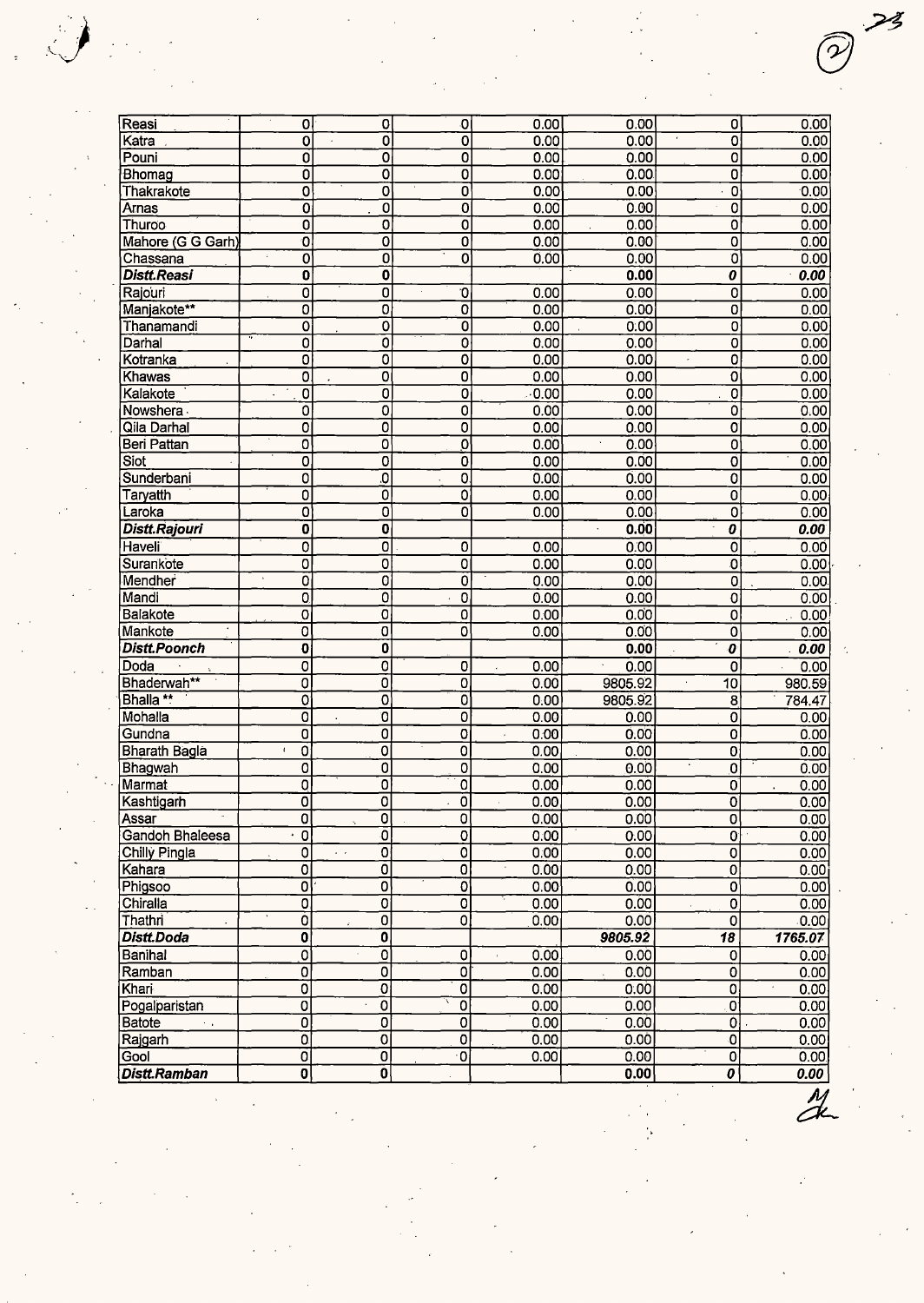| Reasi                          | 0                         | $\mathbf 0$                                          | O                         | 0.00         | 0.00              | 0                                     | 0.00          |
|--------------------------------|---------------------------|------------------------------------------------------|---------------------------|--------------|-------------------|---------------------------------------|---------------|
| Katra                          | 0                         | $\overline{\mathbf{0}}$<br>÷.                        | $\overline{\mathfrak{o}}$ | 0.00         | 0.00              | $\overline{\mathfrak{o}}$             | 0.00          |
| Pouni                          | 0                         | $\overline{0}$                                       | $\overline{0}$            | 0.00         | 0.00              | Ō                                     | 0.00          |
| Bhomag                         | 0                         | $\overline{\mathbf{o}}$                              | 0                         | 0.00         | 0.00              | 0                                     | 0.00          |
| Thakrakote                     | $\overline{\mathbf{o}}$   | $\overline{\mathbf{o}}$                              | $\overline{\mathfrak{o}}$ | 0.00         | 0.00              | $\overline{\mathfrak{o}}$             | 0.00          |
| Arnas                          | 0                         | $\overline{0}$                                       | 0                         | 0.00         | 0.00              | $\overline{0}$                        | 0.00          |
| Thuroo                         | 0                         | $\overline{\mathbf{0}}$                              | Ō                         | 0.00         | 0.00              | $\overline{0}$                        | 0.00          |
| Mahore (G G Garh)              | $\overline{0}$            | $\overline{0}$                                       | $\overline{\mathbf{0}}$   | 0.00         | 0.00              | $\overline{0}$                        | 0.00          |
| Chassana                       | $\overline{\mathfrak{o}}$ | $\overline{0}$                                       | $\overline{\mathbf{o}}$   | 0.00         | 0.00              | Ō                                     | 0.00          |
| <b>Distt.Reasi</b>             | 0                         | 0                                                    |                           |              | 0.00              | 0                                     | 0.00          |
| Rajouri                        | $\overline{\mathfrak{o}}$ | $\overline{0}$                                       | O                         | 0.00         | 0.00              | $\overline{\mathfrak{o}}$             | 0.00          |
| Manjakote**                    | $\overline{0}$            | $\overline{0}$                                       | $\overline{0}$            | 0.00         | 0.00              | $\overline{0}$                        | 0.00          |
| Thanamandi                     | 0                         | $\overline{0}$                                       | $\overline{0}$            | 0.00         | 0.00              | 0                                     | 0.00          |
| Darhal                         | 0                         | $\overline{\mathfrak{o}}$                            | 0                         | 0.00         | 0.00              | 0                                     | 0.00          |
| Kotranka                       | 0                         | 0                                                    | $\overline{\mathfrak{o}}$ | 0.00         | 0.00              | 0                                     | 0.00          |
| Khawas                         | $\overline{O}$            | $\overline{0}$                                       | $\overline{\mathfrak{o}}$ | 0.00         | 0.00              | $\overline{\mathfrak{o}}$             | 0.00          |
| Kalakote                       | $\overline{\mathfrak{o}}$ | $\overline{\mathbf{0}}$                              | $\overline{0}$            | 0.00         | 0.00              | $\overline{0}$                        | 0.00          |
| Nowshera                       | 0                         | $\overline{0}$                                       | $\overline{0}$            | 0.00         | 0.00              | 0                                     | 0.00          |
| Qila Darhal                    | 0                         | $\overline{\mathfrak{o}}$                            | $\overline{0}$            | 0.00         | 0.00              | $\overline{\mathfrak{o}}$             | 0.00          |
| Beri Pattan                    | 0                         | $\overline{\mathbf{o}}$                              | $\overline{\mathfrak{o}}$ | 0.00         | ÷.<br>0.00        | $\overline{0}$                        | 0.00          |
| Siot                           | 0                         | $\overline{0}$                                       | $\bar{0}$                 | 0.00         | 0.00              | Ó                                     | 0.00          |
| Sunderbani                     | $\overline{\mathbf{0}}$   | $\overline{\mathfrak{o}}$                            | $\overline{0}$            | 0.00         | 0.00              | $\overline{0}$                        | 0.00          |
| Taryatth                       | 0                         | $\overline{0}$                                       | $\overline{\mathfrak{o}}$ | 0.00         | 0.00              | $\overline{\mathfrak{o}}$             | 0.00          |
| Laroka                         | 0                         | 0                                                    | $\overline{\mathbf{o}}$   | 0.00         | 0.00              | 0                                     | 0.00          |
| Distt.Rajouri                  | 0                         | $\overline{\mathbf{0}}$                              |                           |              | 0.00              | 0                                     | 0.00          |
| Haveli                         | 0                         | $\overline{0}$                                       | 0                         | 0.00         | 0.00              | $\overline{0}$                        | 0.00          |
| Surankote                      | 0                         | $\overline{0}$                                       | $\overline{0}$            | 0.00         | 0.00              | ٥                                     | 0.00          |
| Mendher                        | 0                         | $\overline{0}$                                       | 0                         | 0.00         | 0.00              | O,                                    |               |
| Mandi                          | $\mathbf{0}$              | $\overline{\mathfrak{o}}$                            | $\overline{0}$            | 0.00         | 0.00              | $\overline{\mathfrak{o}}$             | 0.00.<br>0.00 |
| Balakote                       |                           | $\overline{\mathfrak{o}}$                            | $\overline{0}$            |              |                   |                                       |               |
|                                | 0                         | 0                                                    | Ō                         | 0.00<br>0.00 | 0.00<br>0.00      | $\overline{0}$                        | 0.00          |
| Mankote<br><b>Distt.Poonch</b> | 0                         | $\overline{\mathbf{0}}$                              |                           |              | 0.00              | 0<br>$\overline{\boldsymbol{\theta}}$ | 0.00          |
|                                | 0                         |                                                      |                           |              |                   |                                       | 0.00          |
| Doda                           | 0                         | $\overline{0}$                                       | 0                         | 0.00         | 0.00              | 0                                     | 0.00          |
| Bhaderwah**                    | 0                         | Ó                                                    | 0                         | 0.00         | 9805.92           | 10                                    | 980.59        |
| Bhalla **                      | 0                         | $\overline{\mathbf{o}}$                              | $\overline{\mathfrak{o}}$ | 0.00         | 9805.92           | 8                                     | 784.47        |
| Mohalla                        | Ō                         | $\overline{\mathbf{0}}$                              | 0                         | 0.00         | 0.00              | 0                                     | 0.00          |
| Gundna                         | 0                         | 0                                                    | 0                         | 0.00         | 0.00              | 0                                     | 0.00          |
| <b>Bharath Bagla</b>           | $\bar{t}$<br>0            | $\overline{0}$                                       | $\overline{\mathbf{0}}$   | 0.00         | 0.00              | 0                                     | 0.00          |
| Bhagwah                        | 0                         | $\overline{0}$                                       | 0                         | 0.00         | 0.00              | $\overline{\mathbf{0}}$               | 0.00          |
| Marmat                         | Q                         | $\overline{0}$                                       | $\overline{\mathfrak{o}}$ | 0.00         | 0.00              | 0                                     | 0.00          |
| Kashtigarh                     | 0                         | $\overline{\mathbf{0}}$                              | $\overline{0}$            | 0.00         | $\overline{0.00}$ | $\overline{\mathfrak{o}}$             | 0.00          |
| Assar                          | 0                         | $\mathbf 0$                                          | 0                         | 0.00         | 0.00              | $\overline{\mathbf{0}}$               | 0.00          |
| Gandoh Bhaleesa                | $\overline{0}$            | Ō                                                    | $\overline{\mathbf{o}}$   | 0.00         | 0.00              | 0                                     | 0.00          |
| Chilly Pingla                  | 0                         | $\overline{\mathfrak{o}}$<br>$\epsilon$ . $\epsilon$ | $\overline{\mathfrak{o}}$ | 0.00         | 0.00              | $\overline{0}$                        | 0.00          |
| Kahara                         | 0                         | $\overline{0}$                                       | $\overline{\mathbf{0}}$   | 0.00         | 0.00              | 0                                     | 0.00          |
| Phigsoo                        | 0                         | 0                                                    | $\overline{\mathbf{o}}$   | 0.00         | 0.00              | 0                                     | 0.00          |
| Chiralla                       | 0                         | $\overline{\mathfrak{o}}$                            | $\overline{\mathfrak{o}}$ | 0.00         | 0.00              | 0                                     | 0.00          |
| Thathri                        | Ò                         | 0                                                    | $\overline{0}$            | 0.00         | 0.00              | $\overline{\mathbf{o}}$               | 0.00          |
| Distt.Doda                     | Ō                         | O                                                    |                           |              | 9805.92           | 18                                    | 1765.07       |
| Banihal                        | 0                         | 0                                                    | 0                         | 0.00         | 0.00              | Ó                                     | 0.00          |
| Ramban                         | $\overline{\mathfrak{o}}$ | 0                                                    | $\overline{\mathfrak{o}}$ | 0.00         | 0.00              | Ö                                     | 0.00          |
| Khari                          | $\overline{\mathfrak{o}}$ | $\overline{\mathbf{0}}$                              | $\overline{\mathbf{0}}$   | 0.00         | 0.00              | $\overline{0}$                        | $0.00 -$      |
| Pogalparistan                  | 0                         | 0                                                    | $\overline{\mathfrak{o}}$ | 0.00         | 0.00              | o                                     | 0.00          |
| Batote<br>ris.                 | O                         | 0                                                    | $\overline{0}$            | 0.00         | 0.00              | $\overline{0}$                        | 0.00          |
| Rajgarh                        | $\overline{0}$            | 0                                                    | $\overline{\mathbf{0}}$   | 0.00         | 0.00              | $\overline{\mathfrak{o}}$             | 0.00          |
| Gool                           | 0                         | ō                                                    | $\overline{\mathfrak{o}}$ | 0.00         | 0.00              | 0                                     | 0.00          |
| Distt.Ramban                   | $\mathbf{0}$              | $\overline{\mathbf{o}}$                              |                           |              | 0.00              | 0                                     | 0.00          |
|                                |                           |                                                      |                           |              |                   |                                       |               |

J'

 $\stackrel{<}{\smile}$ 

 $\bigodot$  23